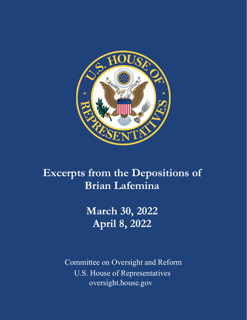

# **Excerpts from the Depositions of Brian Lafemina**

**March 30, 2022 April 8, 2022**

Committee on Oversight and Reform U.S. House of Representatives oversight.house.gov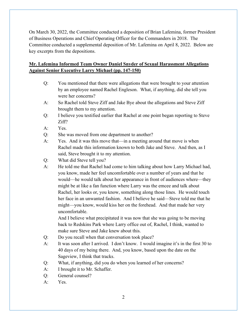On March 30, 2022, the Committee conducted a deposition of Brian Lafemina, former President of Business Operations and Chief Operating Officer for the Commanders in 2018. The Committee conducted a supplemental deposition of Mr. Lafemina on April 8, 2022. Below are key excerpts from the depositions.

## **Mr. Lafemina Informed Team Owner Daniel Snyder of Sexual Harassment Allegations Against Senior Executive Larry Michael (pp. 147-150)**

- Q: You mentioned that there were allegations that were brought to your attention by an employee named Rachel Engleson. What, if anything, did she tell you were her concerns?
- A: So Rachel told Steve Ziff and Jake Bye about the allegations and Steve Ziff brought them to my attention.
- Q: I believe you testified earlier that Rachel at one point began reporting to Steve Ziff?
- A: Yes.
- Q: She was moved from one department to another?
- A: Yes. And it was this move that—in a meeting around that move is when Rachel made this information known to both Jake and Steve. And then, as I said, Steve brought it to my attention.
- Q: What did Steve tell you?
- A: He told me that Rachel had come to him talking about how Larry Michael had, you know, made her feel uncomfortable over a number of years and that he would—he would talk about her appearance in front of audiences where—they might be at like a fan function where Larry was the emcee and talk about Rachel, her looks or, you know, something along those lines. He would touch her face in an unwanted fashion. And I believe he said—Steve told me that he might—you know, would kiss her on the forehead. And that made her very uncomfortable.

And I believe what precipitated it was now that she was going to be moving back to Redskins Park where Larry office out of, Rachel, I think, wanted to make sure Steve and Jake knew about this.

- Q: Do you recall when that conversation took place?
- A: It was soon after I arrived. I don't know. I would imagine it's in the first 30 to 40 days of my being there. And, you know, based upon the date on the Sageview, I think that tracks.
- Q: What, if anything, did you do when you learned of her concerns?
- A: I brought it to Mr. Schaffer.
- Q: General counsel?
- A: Yes.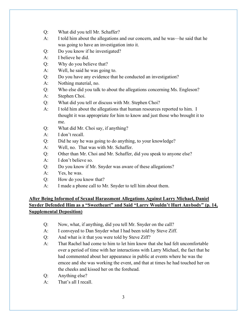- Q: What did you tell Mr. Schaffer?
- A: I told him about the allegations and our concern, and he was—he said that he was going to have an investigation into it.
- Q: Do you know if he investigated?
- A: I believe he did.
- Q: Why do you believe that?
- A: Well, he said he was going to.
- Q: Do you have any evidence that he conducted an investigation?
- A: Nothing material, no.
- Q: Who else did you talk to about the allegations concerning Ms. Engleson?
- A: Stephen Choi.
- Q: What did you tell or discuss with Mr. Stephen Choi?
- A: I told him about the allegations that human resources reported to him. I thought it was appropriate for him to know and just those who brought it to me.
- Q: What did Mr. Choi say, if anything?
- A: I don't recall.
- Q: Did he say he was going to do anything, to your knowledge?
- A: Well, no. That was with Mr. Schaffer.
- Q: Other than Mr. Choi and Mr. Schaffer, did you speak to anyone else?
- A: I don't believe so.
- Q: Do you know if Mr. Snyder was aware of these allegations?
- A: Yes, he was.
- Q: How do you know that?
- A: I made a phone call to Mr. Snyder to tell him about them.

#### **After Being Informed of Sexual Harassment Allegations Against Larry Michael, Daniel Snyder Defended Him as a "Sweetheart" and Said "Larry Wouldn't Hurt Anybody" (p. 14, Supplemental Deposition)**

- Q: Now, what, if anything, did you tell Mr. Snyder on the call?
- A: I conveyed to Dan Snyder what I had been told by Steve Ziff.
- Q: And what is it that you were told by Steve Ziff?
- A: That Rachel had come to him to let him know that she had felt uncomfortable over a period of time with her interactions with Larry Michael, the fact that he had commented about her appearance in public at events where he was the emcee and she was working the event, and that at times he had touched her on the cheeks and kissed her on the forehead.
- Q: Anything else?
- A: That's all I recall.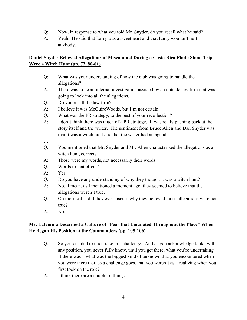- Q: Now, in response to what you told Mr. Snyder, do you recall what he said?
- A: Yeah. He said that Larry was a sweetheart and that Larry wouldn't hurt anybody.

## **Daniel Snyder Believed Allegations of Misconduct During a Costa Rica Photo Shoot Trip Were a Witch Hunt (pp. 77, 80-81)**

- Q: What was your understanding of how the club was going to handle the allegations?
- A: There was to be an internal investigation assisted by an outside law firm that was going to look into all the allegations.
- Q: Do you recall the law firm?
- A: I believe it was McGuireWoods, but I'm not certain.
- Q: What was the PR strategy, to the best of your recollection?
- A: I don't think there was much of a PR strategy. It was really pushing back at the story itself and the writer. The sentiment from Bruce Allen and Dan Snyder was that it was a witch hunt and that the writer had an agenda.
- …
- Q: You mentioned that Mr. Snyder and Mr. Allen characterized the allegations as a witch hunt, correct?
- A: Those were my words, not necessarily their words.
- Q: Words to that effect?
- A: Yes.
- Q: Do you have any understanding of why they thought it was a witch hunt?
- A: No. I mean, as I mentioned a moment ago, they seemed to believe that the allegations weren't true.
- Q: On those calls, did they ever discuss why they believed those allegations were not true?
- $A:$  No.

#### **Mr. Lafemina Described a Culture of "Fear that Emanated Throughout the Place" When He Began His Position at the Commanders (pp. 105-106)**

- Q: So you decided to undertake this challenge. And as you acknowledged, like with any position, you never fully know, until you get there, what you're undertaking. If there was—what was the biggest kind of unknown that you encountered when you were there that, as a challenge goes, that you weren't as—realizing when you first took on the role?
- A: I think there are a couple of things.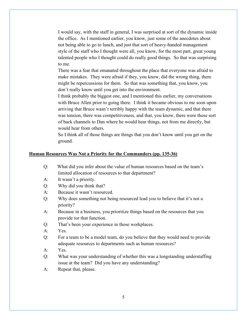I would say, with the staff in general, I was surprised at sort of the dynamic inside the office. As I mentioned earlier, you know, just some of the anecdotes about not being able to go to lunch, and just that sort of heavy-handed management style of the staff who I thought were all, you know, for the most part, great young talented people who I thought could do really good things. So that was surprising to me.

There was a fear that emanated throughout the place that everyone was afraid to make mistakes. They were afraid if they, you know, did the wrong thing, there might be repercussions for them. So that was something that, you know, you don't really know until you get into the environment.

I think probably the biggest one, and I mentioned this earlier, my conversations with Bruce Allen prior to going there. I think it became obvious to me soon upon arriving that Bruce wasn't terribly happy with the team dynamic, and that there was tension, there was competitiveness, and that, you know, there were these sort of back channels to Dan where he would hear things, not from me directly, but would hear from others.

So I think all of those things are things that you don't know until you get on the ground.

#### **Human Resources Was Not a Priority for the Commanders (pp. 135-36)**

- Q: What did you infer about the value of human resources based on the team's limited allocation of resources to that department?
- A: It wasn't a priority.
- Q: Why did you think that?
- A: Because it wasn't resourced.
- Q: Why does something not being resourced lead you to believe that it's not a priority?
- A: Because in a business, you prioritize things based on the resources that you provide tor that function.
- Q: That's been your experience in those workplaces.
- A: Yes.
- Q: For a team to be a model team, do you believe that they would need to provide adequate resources to departments such as human resources?
- A: Yes.
- Q: What was your understanding of whether this was a longstanding understaffing issue at the team? Did you have any understanding?
- A: Repeat that, please.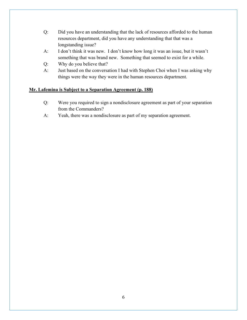- Q: Did you have an understanding that the lack of resources afforded to the human resources department, did you have any understanding that that was a longstanding issue?
- A: I don't think it was new. I don't know how long it was an issue, but it wasn't something that was brand new. Something that seemed to exist for a while.
- Q: Why do you believe that?
- A: Just based on the conversation I had with Stephen Choi when I was asking why things were the way they were in the human resources department.

#### **Mr. Lafemina is Subject to a Separation Agreement (p. 188)**

- Q: Were you required to sign a nondisclosure agreement as part of your separation from the Commanders?
- A: Yeah, there was a nondisclosure as part of my separation agreement.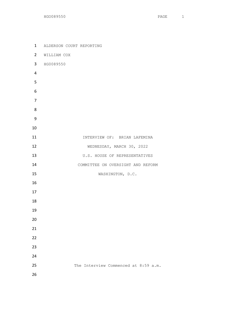ALDERSON COURT REPORTING WILLIAM COX HG0089550 **INTERVIEW OF: BRIAN LAFEMINA**  WEDNESDAY, MARCH 30, 2022 13 U.S. HOUSE OF REPRESENTATIVES 14 COMMITTEE ON OVERSIGHT AND REFORM 15 WASHINGTON, D.C. 25 The Interview Commenced at 8:59 a.m.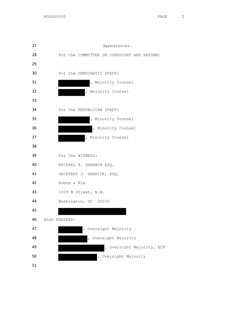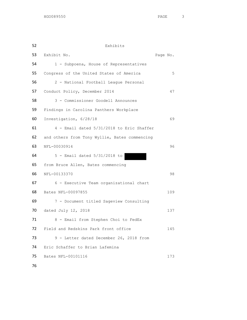Exhibits Exhibit No. Page No. 1 - Subpoena, House of Representatives 55 Congress of the United States of America 5 2 - National Football League Personal 57 Conduct Policy, December 2014 47 3 - Commissioner Goodell Announces Findings in Carolina Panthers Workplace Investigation, 6/28/18 69 4 - Email dated 5/31/2018 to Eric Shaffer and others from Tony Wyllie, Bates commencing NFL-00030914 96 5 - Email dated 5/31/2018 to from Bruce Allen, Bates commencing NFL-00133370 98 6 - Executive Team organizational chart Bates NFL-00097855 109 7 - Document titled Sageview Consulting 70 dated July 12, 2018 137 71 8 - Email from Stephen Choi to FedEx 72 Field and Redskins Park front office 145 73 9 - Letter dated December 26, 2018 from Eric Schaffer to Brian Lafemina Bates NFL-00101116 173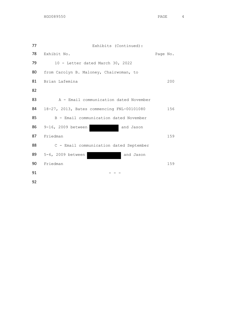| 77 | Exhibits (Continued):                      |          |
|----|--------------------------------------------|----------|
| 78 | Exhibit No.                                | Page No. |
| 79 | 10 - Letter dated March 30, 2022           |          |
| 80 | from Carolyn B. Maloney, Chairwoman, to    |          |
| 81 | Brian Lafemina                             | 200      |
| 82 |                                            |          |
| 83 | A - Email communication dated November     |          |
| 84 | 18-27, 2013, Bates commencing FNL-00101080 | 156      |
| 85 | B - Email communication dated November     |          |
| 86 | 9-16, 2009 between<br>and Jason            |          |
| 87 | Friedman                                   | 159      |
| 88 | C - Email communication dated September    |          |
| 89 | 5-6, 2009 between<br>and Jason             |          |
| 90 | Friedman                                   | 159      |
| 91 |                                            |          |
|    |                                            |          |

92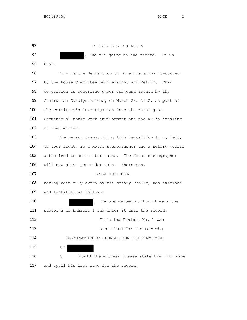P R O C E E D I N G S 94 . We are going on the record. It is 8:59. This is the deposition of Brian Lafemina conducted 97 by the House Committee on Oversight and Reform. This 98 deposition is occurring under subpoena issued by the Chairwoman Carolyn Maloney on March 28, 2022, as part of 100 the committee's investigation into the Washington Commanders' toxic work environment and the NFL's handling of that matter. 103 The person transcribing this deposition to my left, 104 to your right, is a House stenographer and a notary public authorized to administer oaths. The House stenographer 106 will now place you under oath. Whereupon, BRIAN LAFEMINA, having been duly sworn by the Notary Public, was examined and testified as follows: **.** Before we begin, I will mark the subpoena as Exhibit 1 and enter it into the record. (Lafemina Exhibit No. 1 was **identified for the record.**) **EXAMINATION BY COUNSEL FOR THE COMMITTEE** 115 BY Q Would the witness please state his full name 117 and spell his last name for the record.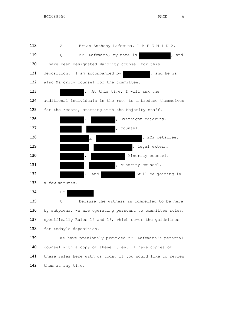

136 by subpoena, we are operating pursuant to committee rules, specifically Rules 15 and 16, which cover the guidelines 138 for today's deposition.

 We have previously provided Mr. Lafemina's personal counsel with a copy of these rules. I have copies of these rules here with us today if you would like to review 142 them at any time.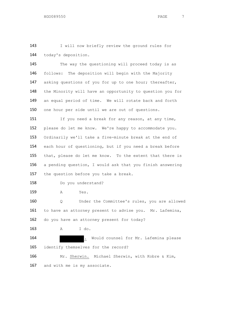143 I will now briefly review the ground rules for 144 today's deposition.

145 The way the questioning will proceed today is as 146 follows: The deposition will begin with the Majority 147 asking questions of you for up to one hour; thereafter, 148 the Minority will have an opportunity to question you for 149 an equal period of time. We will rotate back and forth 150 one hour per side until we are out of questions.

151 If you need a break for any reason, at any time, please do let me know. We're happy to accommodate you. Ordinarily we'll take a five-minute break at the end of each hour of questioning, but if you need a break before that, please do let me know. To the extent that there is a pending question, I would ask that you finish answering 157 the question before you take a break.

158 Do you understand?

159 A Yes.

160 Q Under the Committee's rules, you are allowed 161 to have an attorney present to advise you. Mr. Lafemina, 162 do you have an attorney present for today?

163 A I do.

164 . Would counsel for Mr. Lafemina please 165 identify themselves for the record? 166 Mr. Sherwin. Michael Sherwin, with Kobre & Kim,

167 and with me is my associate.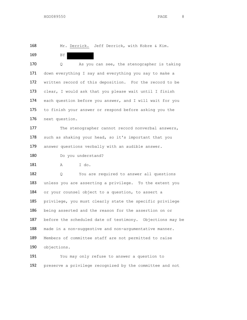168 Mr. Derrick. Jeff Derrick, with Kobre & Kim.

169 BY

170 Q As you can see, the stenographer is taking 171 down everything I say and everything you say to make a 172 written record of this deposition. For the record to be 173 clear, I would ask that you please wait until I finish 174 each question before you answer, and I will wait for you 175 to finish your answer or respond before asking you the 176 next question.

177 The stenographer cannot record nonverbal answers, 178 such as shaking your head, so it's important that you 179 answer questions verbally with an audible answer.

180 Do you understand?

181 A I do.

182 Q You are required to answer all questions 183 unless you are asserting a privilege. To the extent you 184 or your counsel object to a question, to assert a 185 privilege, you must clearly state the specific privilege 186 being asserted and the reason for the assertion on or 187 before the scheduled date of testimony. Objections may be 188 made in a non-suggestive and non-argumentative manner. 189 Members of committee staff are not permitted to raise 190 objections.

191 You may only refuse to answer a question to 192 preserve a privilege recognized by the committee and not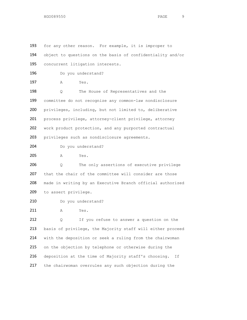193 for any other reason. For example, it is improper to 194 object to questions on the basis of confidentiality and/or 195 concurrent litigation interests. 196 Do you understand? 197 A Yes. 198 Q The House of Representatives and the 199 committee do not recognize any common-law nondisclosure 200 privileges, including, but not limited to, deliberative 201 process privilege, attorney-client privilege, attorney 202 work product protection, and any purported contractual 203 privileges such as nondisclosure agreements. 204 Do you understand? 205 A Yes. 206 Q The only assertions of executive privilege 207 that the chair of the committee will consider are those 208 made in writing by an Executive Branch official authorized 209 to assert privilege. 210 Do you understand? 211 A Yes. 212 Q If you refuse to answer a question on the 213 basis of privilege, the Majority staff will either proceed 214 with the deposition or seek a ruling from the chairwoman 215 on the objection by telephone or otherwise during the 216 deposition at the time of Majority staff's choosing. If 217 the chairwoman overrules any such objection during the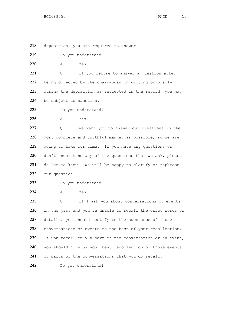218 deposition, you are required to answer.

219 Do you understand?

220 A Yes.

221 Q If you refuse to answer a question after 222 being directed by the chairwoman in writing or orally 223 during the deposition as reflected in the record, you may 224 be subject to sanction.

225 Do you understand?

226 A Yes.

227 Q We want you to answer our questions in the 228 most complete and truthful manner as possible, so we are 229 going to take our time. If you have any questions or 230 don't understand any of the questions that we ask, please 231 do let me know. We will be happy to clarify or rephrase 232 our question.

```
233 Do you understand?
```
234 A Yes.

235 Q If I ask you about conversations or events 236 in the past and you're unable to recall the exact words or 237 details, you should testify to the substance of those 238 conversations or events to the best of your recollection. 239 If you recall only a part of the conversation or an event, 240 you should give us your best recollection of those events 241 or parts of the conversations that you do recall.

242 Do you understand?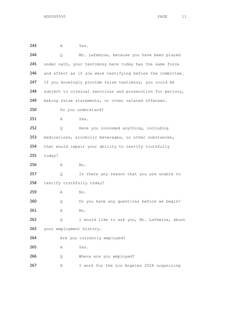243 A Yes. 244 Q Mr. Lafemina, because you have been placed 245 under oath, your testimony here today has the same force 246 and effect as if you were testifying before the committee. 247 If you knowingly provide false testimony, you could be 248 subject to criminal sanctions and prosecution for perjury, 249 making false statements, or other related offenses. 250 Do you understand? 251 A Yes. 252 Q Have you consumed anything, including 253 medications, alcoholic beverages, or other substances, 254 that would impair your ability to testify truthfully 255 today? 256 A No. 257 Q Is there any reason that you are unable to 258 testify truthfully today? 259 A No. 260 Q Do you have any questions before we begin? 261 A No. 262 Q I would like to ask you, Mr. Lafemina, about 263 your employment history. 264 Are you currently employed? 265 A Yes. 266 Q Where are you employed? 267 A I work for the Los Angeles 2028 organizing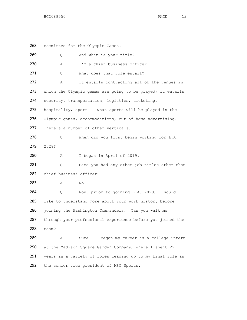268 committee for the Olympic Games.

| 269 | Q                       | And what is your title?                                    |
|-----|-------------------------|------------------------------------------------------------|
| 270 | Α                       | I'm a chief business officer.                              |
| 271 | Q.                      | What does that role entail?                                |
| 272 | Α                       | It entails contracting all of the venues in                |
| 273 |                         | which the Olympic games are going to be played; it entails |
| 274 |                         | security, transportation, logistics, ticketing,            |
| 275 |                         | hospitality, sport -- what sports will be played in the    |
| 276 |                         | Olympic games, accommodations, out-of-home advertising.    |
| 277 |                         | There's a number of other verticals.                       |
| 278 | Q                       | When did you first begin working for L.A.                  |
| 279 | 2028?                   |                                                            |
| 280 | Α                       | I began in April of 2019.                                  |
| 281 | Q.                      | Have you had any other job titles other than               |
| 282 | chief business officer? |                                                            |
| 283 | Α                       | No.                                                        |
| 284 | $\circ$                 | Now, prior to joining L.A. 2028, I would                   |
| 285 |                         | like to understand more about your work history before     |
| 286 |                         | joining the Washington Commanders. Can you walk me         |
| 287 |                         | through your professional experience before you joined the |
| 288 | team?                   |                                                            |
| 289 | Α                       | Sure. I began my career as a college intern                |
| 290 |                         | at the Madison Square Garden Company, where I spent 22     |
| 291 |                         | years in a variety of roles leading up to my final role as |
| 292 |                         | the senior vice president of MSG Sports.                   |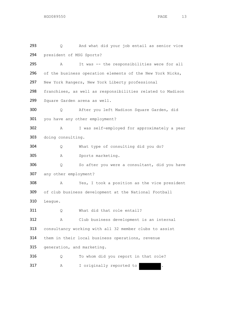Q And what did your job entail as senior vice president of MSG Sports? A It was -- the responsibilities were for all 296 of the business operation elements of the New York Nicks, New York Rangers, New York Liberty professional franchises, as well as responsibilities related to Madison Square Garden arena as well. Q After you left Madison Square Garden, did you have any other employment? A I was self-employed for approximately a year doing consulting. Q What type of consulting did you do? A Sports marketing. Q So after you were a consultant, did you have any other employment? A Yes, I took a position as the vice president of club business development at the National Football League. 311 Q What did that role entail? A Club business development is an internal consultancy working with all 32 member clubs to assist them in their local business operations, revenue generation, and marketing. 316 Q To whom did you report in that role? 317 A I originally reported to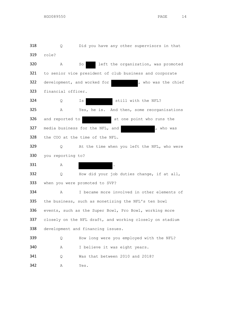| 318 | Q                                                        | Did you have any other supervisors in that              |  |
|-----|----------------------------------------------------------|---------------------------------------------------------|--|
| 319 | role?                                                    |                                                         |  |
| 320 | Α                                                        | left the organization, was promoted<br>So               |  |
| 321 |                                                          | to senior vice president of club business and corporate |  |
| 322 |                                                          | development, and worked for<br>, who was the chief      |  |
| 323 | financial officer.                                       |                                                         |  |
| 324 | Q                                                        | still with the NFL?<br>Ιs                               |  |
| 325 | Α                                                        | Yes, he is. And then, some reorganizations              |  |
| 326 | and reported to                                          | at one point who runs the                               |  |
| 327 |                                                          | media business for the NFL, and<br>, who was            |  |
| 328 |                                                          | the COO at the time of the NFL.                         |  |
| 329 | Q.                                                       | At the time when you left the NFL, who were             |  |
| 330 | you reporting to?                                        |                                                         |  |
| 331 | Α                                                        | $\cdot$                                                 |  |
| 332 | Q                                                        | How did your job duties change, if at all,              |  |
| 333 |                                                          | when you were promoted to SVP?                          |  |
| 334 | Α                                                        | I became more involved in other elements of             |  |
| 335 |                                                          | the business, such as monetizing the NFL's ten bowl     |  |
| 336 | events, such as the Super Bowl, Pro Bowl, working more   |                                                         |  |
| 337 | closely on the NFL draft, and working closely on stadium |                                                         |  |
| 338 |                                                          | development and financing issues.                       |  |
| 339 | Q                                                        | How long were you employed with the NFL?                |  |
| 340 | Α                                                        | I believe it was eight years.                           |  |
| 341 | Q                                                        | Was that between 2010 and 2018?                         |  |
| 342 | Α                                                        | Yes.                                                    |  |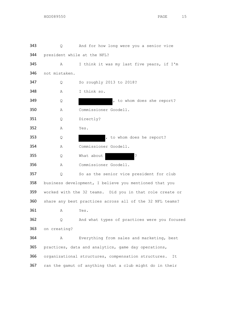Q And for how long were you a senior vice president while at the NFL? A I think it was my last five years, if I'm not mistaken. Q So roughly 2013 to 2018? A I think so. 349 Q Q , to whom does she report? A Commissioner Goodell. Q Directly? A Yes. 353 Q Research Library (1995), to whom does he report? A Commissioner Goodell. 355 Q What about ? A Commissioner Goodell. 357 Q So as the senior vice president for club business development, I believe you mentioned that you worked with the 32 teams. Did you in that role create or share any best practices across all of the 32 NFL teams? A Yes. Q And what types of practices were you focused on creating? A Everything from sales and marketing, best practices, data and analytics, game day operations, organizational structures, compensation structures. It ran the gamut of anything that a club might do in their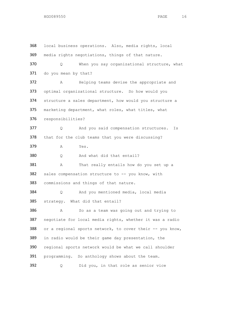local business operations. Also, media rights, local media rights negotiations, things of that nature. Q When you say organizational structure, what 371 do you mean by that? A Helping teams devise the appropriate and optimal organizational structure. So how would you structure a sales department, how would you structure a marketing department, what roles, what titles, what responsibilities? 377 Q And you said compensation structures. Is that for the club teams that you were discussing? A Yes. Q And what did that entail? 381 A That really entails how do you set up a 382 sales compensation structure to -- you know, with commissions and things of that nature. 384 O And you mentioned media, local media strategy. What did that entail? A So as a team was going out and trying to 387 negotiate for local media rights, whether it was a radio 388 or a regional sports network, to cover their -- you know, in radio would be their game day presentation, the regional sports network would be what we call shoulder programming. So anthology shows about the team. 392 Q Did you, in that role as senior vice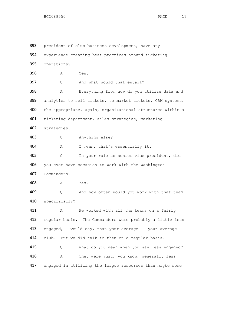393 president of club business development, have any experience creating best practices around ticketing operations? A Yes. Q And what would that entail? A Everything from how do you utilize data and 399 analytics to sell tickets, to market tickets, CRM systems; the appropriate, again, organizational structures within a ticketing department, sales strategies, marketing strategies. Q Anything else? A I mean, that's essentially it. Q In your role as senior vice president, did 406 you ever have occasion to work with the Washington Commanders? A Yes. 409 0 And how often would you work with that team specifically? 411 A We worked with all the teams on a fairly regular basis. The Commanders were probably a little less 413 engaged, I would say, than your average -- your average 414 club. But we did talk to them on a regular basis. 415 Q What do you mean when you say less engaged? A They were just, you know, generally less engaged in utilizing the league resources than maybe some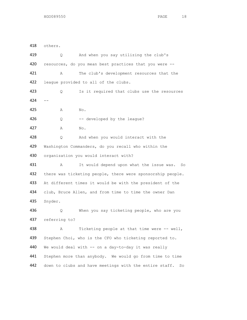others. Q And when you say utilizing the club's 420 resources, do you mean best practices that you were -- A The club's development resources that the league provided to all of the clubs. Q Is it required that clubs use the resources -- A No. 426 Q -- developed by the league? A No. 428 Q And when you would interact with the Washington Commanders, do you recall who within the organization you would interact with? 431 A It would depend upon what the issue was. So 432 there was ticketing people, there were sponsorship people. At different times it would be with the president of the club, Bruce Allen, and from time to time the owner Dan Snyder. Q When you say ticketing people, who are you referring to? A Ticketing people at that time were -- well, Stephen Choi, who is the CFO who ticketing reported to. 440 We would deal with -- on a day-to-day it was really Stephen more than anybody. We would go from time to time 442 down to clubs and have meetings with the entire staff. So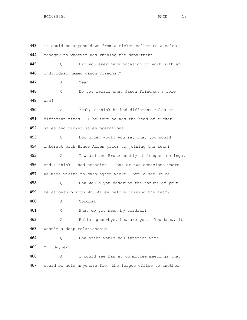443 it could be anyone down from a ticket seller to a sales 444 manager to whoever was running the department. Q Did you ever have occasion to work with an individual named Jason Friedman? A Yeah. Q Do you recall what Jason Friedman's role was? A Yeah, I think he had different roles at different times. I believe he was the head of ticket 452 sales and ticket sales operations. Q How often would you say that you would interact with Bruce Allen prior to joining the team? A I would see Bruce mostly at league meetings. 456 And I think I had occasion -- one or two occasions where we made visits to Washington where I would see Bruce. 458 Q How would you describe the nature of your 459 relationship with Mr. Allen before joining the team? A Cordial. Q What do you mean by cordial? A Hello, good-bye, how are you. You know, it wasn't a deep relationship. Q How often would you interact with Mr. Snyder? A I would see Dan at committee meetings that could be held anywhere from the league office to another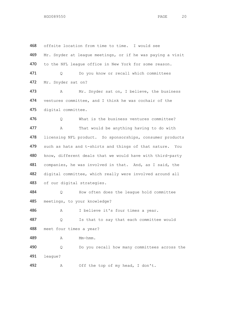offsite location from time to time. I would see Mr. Snyder at league meetings, or if he was paying a visit 470 to the NFL league office in New York for some reason. 471 Q Do you know or recall which committees Mr. Snyder sat on? 473 A Mr. Snyder sat on, I believe, the business ventures committee, and I think he was cochair of the digital committee. Q What is the business ventures committee? 477 A That would be anything having to do with licensing NFL product. So sponsorships, consumer products 479 such as hats and t-shirts and things of that nature. You 480 know, different deals that we would have with third-party companies, he was involved in that. And, as I said, the digital committee, which really were involved around all of our digital strategies. Q How often does the league hold committee meetings, to your knowledge? A I believe it's four times a year. 487 Q Is that to say that each committee would meet four times a year? **A** Mm-hmm. Q Do you recall how many committees across the league? A Off the top of my head, I don't.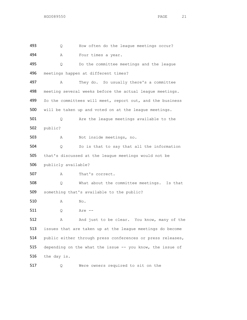Q How often do the league meetings occur? A Four times a year. Q Do the committee meetings and the league meetings happen at different times? A They do. So usually there's a committee meeting several weeks before the actual league meetings. 499 So the committees will meet, report out, and the business will be taken up and voted on at the league meetings. Q Are the league meetings available to the public? A Not inside meetings, no. Q So is that to say that all the information that's discussed at the league meetings would not be publicly available? A That's correct. Q What about the committee meetings. Is that something that's available to the public? A No. Q Are -- 512 A And just to be clear. You know, many of the issues that are taken up at the league meetings do become public either through press conferences or press releases, 515 depending on the what the issue -- you know, the issue of the day is.

Q Were owners required to sit on the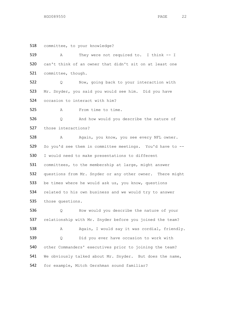committee, to your knowledge? A They were not required to. I think -- I can't think of an owner that didn't sit on at least one committee, though. Q Now, going back to your interaction with Mr. Snyder, you said you would see him. Did you have occasion to interact with him? A From time to time. Q And how would you describe the nature of those interactions? A Again, you know, you see every NFL owner. So you'd see them in committee meetings. You'd have to -- I would need to make presentations to different committees, to the membership at large, might answer questions from Mr. Snyder or any other owner. There might 533 be times where he would ask us, you know, questions 534 related to his own business and we would try to answer those questions. Q How would you describe the nature of your relationship with Mr. Snyder before you joined the team? 538 A Again, I would say it was cordial, friendly. Q Did you ever have occasion to work with other Commanders' executives prior to joining the team? We obviously talked about Mr. Snyder. But does the name, for example, Mitch Gershman sound familiar?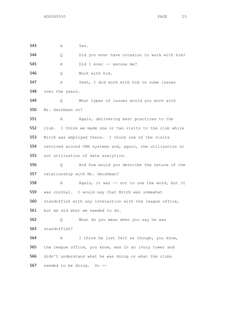A Yes. Q Did you ever have occasion to work with him? A Did I ever -- excuse me? Q Work with him. A Yeah, I did work with him on some issues 548 over the years. Q What types of issues would you work with Mr. Gershman on? 551 A Again, delivering best practices to the club. I think we made one or two visits to the club while Mitch was employed there. I think one of the visits revolved around CMR systems and, again, the utilization or not utilization of data analytics. Q And how would you describe the nature of the relationship with Mr. Gershman? 558 A Again, it was -- not to use the word, but it was cordial. I would say that Mitch was somewhat standoffish with any interaction with the league office, but we did what we needed to do. Q What do you mean when you say he was standoffish? A I think he just felt as though, you know, the league office, you know, was in an ivory tower and didn't understand what he was doing or what the clubs needed to be doing. So --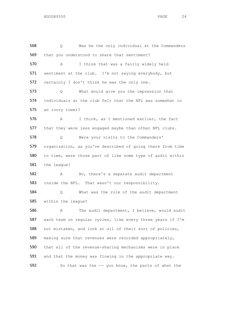Q Was he the only individual at the Commanders that you understood to share that sentiment? A I think that was a fairly widely held sentiment at the club. I'm not saying everybody, but certainly I don't think he was the only one. Q What would give you the impression that individuals at the club felt that the NFL was somewhat in an ivory tower? A I think, as I mentioned earlier, the fact that they were less engaged maybe than other NFL clubs. Q Were your visits to the Commanders' organization, as you've described of going there from time to time, were those part of like some type of audit within the league? A No, there's a separate audit department inside the NFL. That wasn't our responsibility. Q What was the role of the audit department within the league? A The audit department, I believe, would audit each team on regular cycles, like every three years if I'm not mistaken, and look at all of their sort of policies, making sure that revenues were recorded appropriately, that all of the revenue-sharing mechanisms were in place 591 and that the money was flowing in the appropriate way. 592 So that was the -- you know, the parts of what the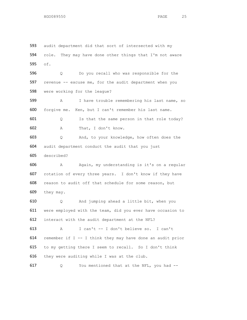593 audit department did that sort of intersected with my role. They may have done other things that I'm not aware of. Q Do you recall who was responsible for the 597 revenue -- excuse me, for the audit department when you were working for the league? A I have trouble remembering his last name, so forgive me. Ken, but I can't remember his last name. Q Is that the same person in that role today? A That, I don't know. Q And, to your knowledge, how often does the audit department conduct the audit that you just described? A Again, my understanding is it's on a regular rotation of every three years. I don't know if they have reason to audit off that schedule for some reason, but they may. Q And jumping ahead a little bit, when you were employed with the team, did you ever have occasion to interact with the audit department at the NFL? A I can't -- I don't believe so. I can't remember if I -- I think they may have done an audit prior to my getting there I seem to recall. So I don't think they were auditing while I was at the club.

Q You mentioned that at the NFL, you had --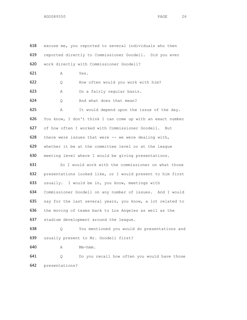| 618 | excuse me, you reported to several individuals who then    |  |  |
|-----|------------------------------------------------------------|--|--|
| 619 | reported directly to Commissioner Goodell. Did you ever    |  |  |
| 620 | work directly with Commissioner Goodell?                   |  |  |
| 621 | Yes.<br>Α                                                  |  |  |
| 622 | How often would you work with him?<br>Q                    |  |  |
| 623 | On a fairly regular basis.<br>Α                            |  |  |
| 624 | And what does that mean?<br>Q                              |  |  |
| 625 | It would depend upon the issue of the day.<br>Α            |  |  |
| 626 | You know, I don't think I can come up with an exact number |  |  |
| 627 | of how often I worked with Commissioner Goodell. But       |  |  |
| 628 | there were issues that were -- we were dealing with,       |  |  |
| 629 | whether it be at the committee level or at the league      |  |  |
| 630 | meeting level where I would be giving presentations.       |  |  |
| 631 | So I would work with the commissioner on what those        |  |  |
| 632 | presentations looked like, or I would present to him first |  |  |
| 633 | usually. I would be in, you know, meetings with            |  |  |
| 634 | Commissioner Goodell on any number of issues. And I would  |  |  |
| 635 | say for the last several years, you know, a lot related to |  |  |
| 636 | the moving of teams back to Los Angeles as well as the     |  |  |
| 637 | stadium development around the league.                     |  |  |
| 638 | You mentioned you would do presentations and<br>Q          |  |  |
| 639 | usually present to Mr. Goodell first?                      |  |  |
| 640 | Mm-hmm.<br>Α                                               |  |  |
| 641 | Do you recall how often you would have those<br>Q          |  |  |
| 642 | presentations?                                             |  |  |
|     |                                                            |  |  |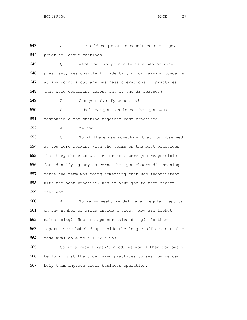A It would be prior to committee meetings, prior to league meetings. Q Were you, in your role as a senior vice president, responsible for identifying or raising concerns at any point about any business operations or practices that were occurring across any of the 32 leagues? A Can you clarify concerns? Q I believe you mentioned that you were responsible for putting together best practices. A Mm-hmm. Q So if there was something that you observed as you were working with the teams on the best practices that they chose to utilize or not, were you responsible for identifying any concerns that you observed? Meaning maybe the team was doing something that was inconsistent with the best practice, was it your job to then report that up? A So we -- yeah, we delivered regular reports on any number of areas inside a club. How are ticket sales doing? How are sponsor sales doing? So these reports were bubbled up inside the league office, but also made available to all 32 clubs. 665 So if a result wasn't good, we would then obviously be looking at the underlying practices to see how we can

help them improve their business operation.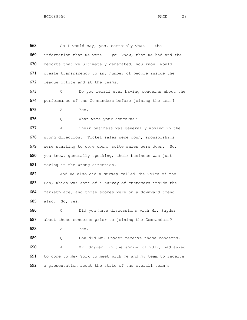So I would say, yes, certainly what -- the information that we were -- you know, that we had and the 670 reports that we ultimately generated, you know, would create transparency to any number of people inside the league office and at the teams. Q Do you recall ever having concerns about the performance of the Commanders before joining the team? A Yes. Q What were your concerns? A Their business was generally moving in the wrong direction. Ticket sales were down, sponsorships were starting to come down, suite sales were down. So, you know, generally speaking, their business was just moving in the wrong direction. 682 And we also did a survey called The Voice of the Fan, which was sort of a survey of customers inside the marketplace, and those scores were on a downward trend also. So, yes. Q Did you have discussions with Mr. Snyder 687 about those concerns prior to joining the Commanders? A Yes. Q How did Mr. Snyder receive those concerns? A Mr. Snyder, in the spring of 2017, had asked to come to New York to meet with me and my team to receive a presentation about the state of the overall team's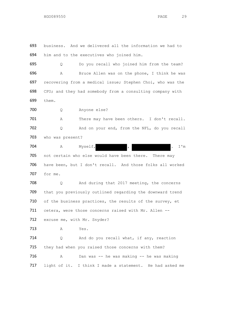693 business. And we delivered all the information we had to 694 him and to the executives who joined him.

 Q Do you recall who joined him from the team? A Bruce Allen was on the phone, I think he was recovering from a medical issue; Stephen Choi, who was the CFO; and they had somebody from a consulting company with 699 them.

700 Q Anyone else?

701 A There may have been others. I don't recall. 702 Q And on your end, from the NFL, do you recall 703 who was present?

704 A Myself, , , , I'm 705 not certain who else would have been there. There may 706 have been, but I don't recall. And those folks all worked 707 for me.

708 Q And during that 2017 meeting, the concerns 709 that you previously outlined regarding the downward trend 710 of the business practices, the results of the survey, et 711 cetera, were those concerns raised with Mr. Allen --712 excuse me, with Mr. Snyder?

713 A Yes.

714 Q And do you recall what, if any, reaction 715 they had when you raised those concerns with them? 716 A Dan was -- he was making -- he was making 717 light of it. I think I made a statement. He had asked me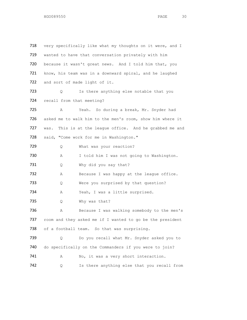718 very specifically like what my thoughts on it were, and I 719 wanted to have that conversation privately with him 720 because it wasn't great news. And I told him that, you 721 know, his team was in a downward spiral, and he laughed 722 and sort of made light of it. 723 Q Is there anything else notable that you 724 recall from that meeting? 725 A Yeah. So during a break, Mr. Snyder had 726 asked me to walk him to the men's room, show him where it 727 was. This is at the league office. And he grabbed me and 728 said, "Come work for me in Washington." 729 Q What was your reaction? 730 A I told him I was not going to Washington. 731 Q Why did you say that? 732 A Because I was happy at the league office. 733 Q Were you surprised by that question? 734 A Yeah, I was a little surprised. 735 Q Why was that? 736 A Because I was walking somebody to the men's 737 room and they asked me if I wanted to go be the president 738 of a football team. So that was surprising. 739 Q Do you recall what Mr. Snyder asked you to 740 do specifically on the Commanders if you were to join? 741 A No, it was a very short interaction. 742 Q Is there anything else that you recall from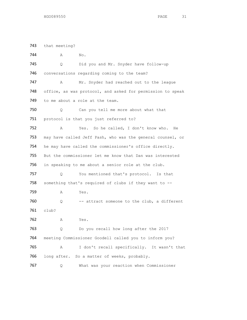743 that meeting? 744 A No. 745 Q Did you and Mr. Snyder have follow-up 746 conversations regarding coming to the team? 747 A Mr. Snyder had reached out to the league 748 office, as was protocol, and asked for permission to speak 749 to me about a role at the team. 750 Q Can you tell me more about what that 751 protocol is that you just referred to? 752 A Yes. So he called, I don't know who. He 753 may have called Jeff Pash, who was the general counsel, or 754 he may have called the commissioner's office directly. 755 But the commissioner let me know that Dan was interested 756 in speaking to me about a senior role at the club. 757 Q You mentioned that's protocol. Is that 758 something that's required of clubs if they want to -- 759 A Yes. 760  $Q$  -- attract someone to the club, a different 761 club? 762 A Yes. 763 Q Do you recall how long after the 2017 764 meeting Commissioner Goodell called you to inform you? 765 A I don't recall specifically. It wasn't that 766 long after. So a matter of weeks, probably. 767 Q What was your reaction when Commissioner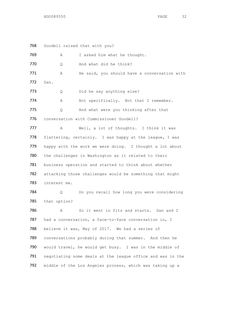768 Goodell raised that with you? 769 A I asked him what he thought. 770 Q And what did he think? 771 A He said, you should have a conversation with 772 Dan. 773 Q Did he say anything else? 774 A Not specifically. Not that I remember. 775 Q And what were you thinking after that 776 conversation with Commissioner Goodell? 777 A Well, a lot of thoughts. I think it was 778 flattering, certainly. I was happy at the league, I was 779 happy with the work we were doing. I thought a lot about 780 the challenges in Washington as it related to their 781 business operation and started to think about whether 782 attacking those challenges would be something that might 783 interest me. 784 Q Do you recall how long you were considering 785 that option? 786 A So it went in fits and starts. Dan and I 787 had a conversation, a face-to-face conversation in, I 788 believe it was, May of 2017. We had a series of 789 conversations probably during that summer. And then he 790 would travel, he would get busy. I was in the middle of 791 negotiating some deals at the league office and was in the 792 middle of the Los Angeles process, which was taking up a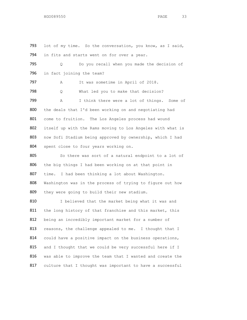793 lot of my time. So the conversation, you know, as I said, 794 in fits and starts went on for over a year. 795 Q Do you recall when you made the decision of 796 in fact joining the team? 797 A It was sometime in April of 2018. 798 Q What led you to make that decision? 799 A I think there were a lot of things. Some of 800 the deals that I'd been working on and negotiating had 801 come to fruition. The Los Angeles process had wound 802 itself up with the Rams moving to Los Angeles with what is 803 now Sofi Stadium being approved by ownership, which I had 804 spent close to four years working on. 805 So there was sort of a natural endpoint to a lot of 806 the big things I had been working on at that point in 807 time. I had been thinking a lot about Washington. 808 Washington was in the process of trying to figure out how 809 they were going to build their new stadium. 810 I believed that the market being what it was and 811 the long history of that franchise and this market, this 812 being an incredibly important market for a number of 813 reasons, the challenge appealed to me. I thought that I 814 could have a positive impact on the business operations, 815 and I thought that we could be very successful here if I

816 was able to improve the team that I wanted and create the 817 culture that I thought was important to have a successful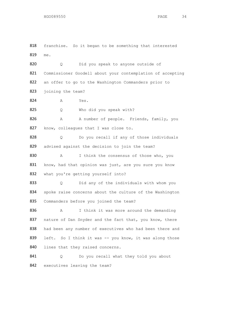818 franchise. So it began to be something that interested 819 me.

820 Q Did you speak to anyone outside of 821 Commissioner Goodell about your contemplation of accepting 822 an offer to go to the Washington Commanders prior to 823 joining the team? 824 A Yes. 825 Q Who did you speak with? 826 A A number of people. Friends, family, you 827 know, colleagues that I was close to. 828 Q Do you recall if any of those individuals 829 advised against the decision to join the team? 830 A I think the consensus of those who, you 831 know, had that opinion was just, are you sure you know

832 what you're getting yourself into?

833 Q Did any of the individuals with whom you 834 spoke raise concerns about the culture of the Washington 835 Commanders before you joined the team?

836 A I think it was more around the demanding 837 nature of Dan Snyder and the fact that, you know, there 838 had been any number of executives who had been there and 839 left. So I think it was -- you know, it was along those 840 lines that they raised concerns.

841 Q Do you recall what they told you about 842 executives leaving the team?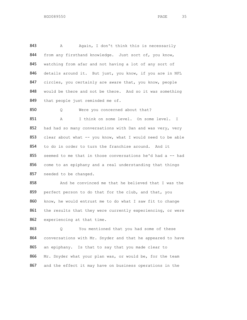843 A Again, I don't think this is necessarily 844 from any firsthand knowledge. Just sort of, you know, 845 watching from afar and not having a lot of any sort of 846 details around it. But just, you know, if you are in NFL 847 circles, you certainly are aware that, you know, people 848 would be there and not be there. And so it was something 849 that people just reminded me of.

850 Q Were you concerned about that?

851 A I think on some level. On some level. I 852 had had so many conversations with Dan and was very, very 853 clear about what -- you know, what I would need to be able 854 to do in order to turn the franchise around. And it 855 seemed to me that in those conversations he'd had a -- had 856 come to an epiphany and a real understanding that things 857 needed to be changed.

858 And he convinced me that he believed that I was the 859 perfect person to do that for the club, and that, you 860 know, he would entrust me to do what I saw fit to change 861 the results that they were currently experiencing, or were 862 experiencing at that time.

863 Q You mentioned that you had some of these 864 conversations with Mr. Snyder and that he appeared to have 865 an epiphany. Is that to say that you made clear to 866 Mr. Snyder what your plan was, or would be, for the team 867 and the effect it may have on business operations in the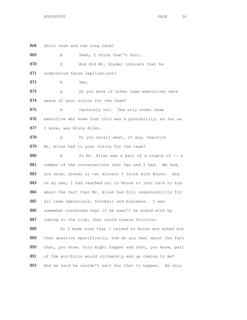868 short term and the long term? 869 A Yeah, I think that's fair. 870 Q And did Mr. Snyder indicate that he 871 understood those implications? 872 A Yes. 873 Q Do you know if other team executives were 874 aware of your vision for the team? 875 A Certainly not. The only other team 876 executive who knew that this was a possibility, as far as 877 I know, was Bruce Allen. 878 Q Do you recall what, if any, reaction 879 Mr. Allen had to your vision for the team? 880 A So Mr. Allen was a part of a couple of -- a 881 number of the conversations that Dan and I had. We had, 882 you know, dinner or two dinners I think with Bruce. And 883 on my own, I had reached out to Bruce to just talk to him 884 about the fact that Mr. Allen had full responsibility for 885 all team operations, football and business. I was 886 somewhat concerned that if he wasn't on board with my 887 coming to the club, that could create friction. 888 So I made sure that I talked to Bruce and asked him 889 that question specifically, how do you feel about the fact 890 that, you know, this might happen and that, you know, part 891 of the portfolio would ultimately end up coming to me?

892 And he said he couldn't wait for that to happen. He only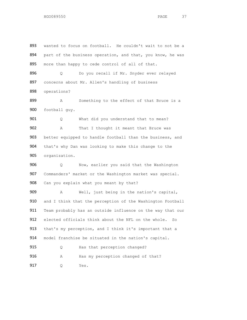893 wanted to focus on football. He couldn't wait to not be a 894 part of the business operation, and that, you know, he was 895 more than happy to cede control of all of that. 896 Q Do you recall if Mr. Snyder ever relayed 897 concerns about Mr. Allen's handling of business 898 operations? 899 A Something to the effect of that Bruce is a 900 football guy. 901 Q What did you understand that to mean? 902 A That I thought it meant that Bruce was 903 better equipped to handle football than the business, and 904 that's why Dan was looking to make this change to the 905 organization. 906 Q Now, earlier you said that the Washington 907 Commanders' market or the Washington market was special. 908 Can you explain what you meant by that? 909 A Well, just being in the nation's capital, 910 and I think that the perception of the Washington Football 911 Team probably has an outside influence on the way that our 912 elected officials think about the NFL on the whole. So 913 that's my perception, and I think it's important that a 914 model franchise be situated in the nation's capital. 915 Q Has that perception changed? 916 A Has my perception changed of that? 917 Q Yes.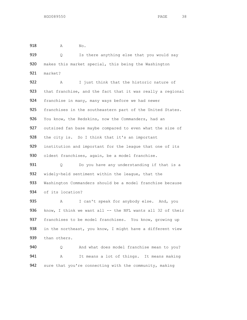918 A No.

919 Q Is there anything else that you would say 920 makes this market special, this being the Washington 921 market?

922 A I just think that the historic nature of 923 that franchise, and the fact that it was really a regional 924 franchise in many, many ways before we had newer 925 franchises in the southeastern part of the United States. 926 You know, the Redskins, now the Commanders, had an 927 outsized fan base maybe compared to even what the size of 928 the city is. So I think that it's an important 929 institution and important for the league that one of its 930 oldest franchises, again, be a model franchise.

931 Q Do you have any understanding if that is a 932 widely-held sentiment within the league, that the 933 Washington Commanders should be a model franchise because 934 of its location?

935 A I can't speak for anybody else. And, you 936 know, I think we want all -- the NFL wants all 32 of their 937 franchises to be model franchises. You know, growing up 938 in the northeast, you know, I might have a different view 939 than others.

940 Q And what does model franchise mean to you? 941 A It means a lot of things. It means making 942 sure that you're connecting with the community, making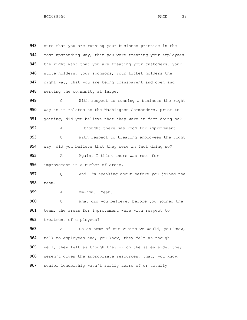943 sure that you are running your business practice in the 944 most upstanding way; that you were treating your employees 945 the right way; that you are treating your customers, your 946 suite holders, your sponsors, your ticket holders the 947 right way; that you are being transparent and open and 948 serving the community at large. 949 Q With respect to running a business the right 950 way as it relates to the Washington Commanders, prior to 951 joining, did you believe that they were in fact doing so? 952 A I thought there was room for improvement. 953 Q With respect to treating employees the right 954 way, did you believe that they were in fact doing so? 955 A Again, I think there was room for 956 improvement in a number of areas. 957 Q And I'm speaking about before you joined the 958 team. 959 A Mm-hmm. Yeah. 960 Q What did you believe, before you joined the 961 team, the areas for improvement were with respect to 962 treatment of employees? 963 A So on some of our visits we would, you know, 964 talk to employees and, you know, they felt as though --965 well, they felt as though they -- on the sales side, they 966 weren't given the appropriate resources, that, you know, 967 senior leadership wasn't really aware of or totally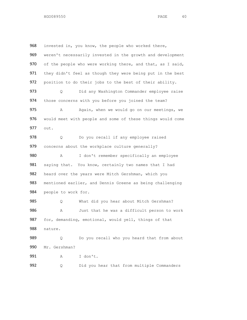968 invested in, you know, the people who worked there, 969 weren't necessarily invested in the growth and development 970 of the people who were working there, and that, as I said, 971 they didn't feel as though they were being put in the best 972 position to do their jobs to the best of their ability. 973 Q Did any Washington Commander employee raise 974 those concerns with you before you joined the team? 975 A Again, when we would go on our meetings, we 976 would meet with people and some of these things would come 977 out. 978 Q Do you recall if any employee raised 979 concerns about the workplace culture generally? 980 A I don't remember specifically an employee 981 saying that. You know, certainly two names that I had 982 heard over the years were Mitch Gershman, which you 983 mentioned earlier, and Dennis Greene as being challenging 984 people to work for. 985 Q What did you hear about Mitch Gershman? 986 A Just that he was a difficult person to work 987 for, demanding, emotional, would yell, things of that 988 nature. 989 989 Q Do you recall who you heard that from about 990 Mr. Gershman? 991 A I don't. 992 Q Did you hear that from multiple Commanders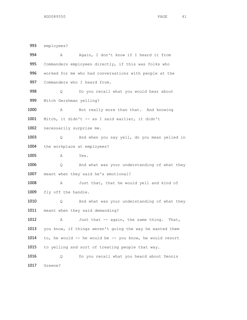993 employees? 994 A Again, I don't know if I heard it from 995 Commanders employees directly, if this was folks who 996 worked for me who had conversations with people at the 997 Commanders who I heard from. 998 Q Do you recall what you would hear about 999 Mitch Gershman yelling? 1000 A Not really more than that. And knowing 1001 Mitch, it didn't -- as I said earlier, it didn't 1002 necessarily surprise me. 1003 Q And when you say yell, do you mean yelled in 1004 the workplace at employees? 1005 A Yes. 1006 Q And what was your understanding of what they 1007 meant when they said he's emotional? 1008 A Just that, that he would yell and kind of 1009 fly off the handle. 1010 Q And what was your understanding of what they 1011 meant when they said demanding? 1012 A Just that -- again, the same thing. That, 1013 you know, if things weren't going the way he wanted them 1014 to, he would -- he would be -- you know, he would resort 1015 to yelling and sort of treating people that way. 1016 Q Do you recall what you heard about Dennis 1017 Greene?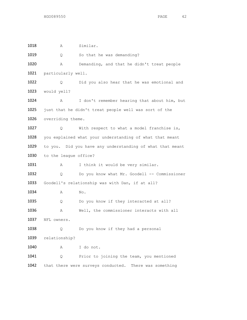1018 A Similar. 1019 Q So that he was demanding? 1020 A Demanding, and that he didn't treat people 1021 particularly well. 1022 Q Did you also hear that he was emotional and 1023 would yell? 1024 A I don't remember hearing that about him, but 1025 just that he didn't treat people well was sort of the 1026 overriding theme. 1027 Q With respect to what a model franchise is, 1028 you explained what your understanding of what that meant 1029 to you. Did you have any understanding of what that meant 1030 to the league office? 1031 A I think it would be very similar. 1032 Q Do you know what Mr. Goodell -- Commissioner 1033 Goodell's relationship was with Dan, if at all? 1034 A No. 1035 Q Do you know if they interacted at all? 1036 A Well, the commissioner interacts with all 1037 NFL owners. 1038 Q Do you know if they had a personal 1039 relationship? 1040 A I do not. 1041 Q Prior to joining the team, you mentioned 1042 that there were surveys conducted. There was something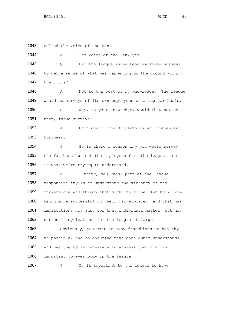1043 called the Voice of the Fan?

HGO089550 PAGE 43

1044 A The Voice of the Fan, yes. 1045 Q Did the league issue team employee surveys 1046 to get a sense of what was happening on the ground within 1047 the clubs? 1048 A Not to the best of my knowledge. The league 1049 would do surveys of its own employees on a regular basis. 1050 Q Why, to your knowledge, would they not do 1051 that, issue surveys? 1052 A Each one of the 32 clubs is an independent 1053 business. 1054 Q So is there a reason why you would survey 1055 the fan base but not the employees from the league side, 1056 is what we're trying to understand. 1057 A I think, you know, part of the league 1058 responsibility is to understand the vibrancy of the 1059 marketplace and things that might hold the club back from 1060 being more successful in their marketplace. And that has 1061 implications not just for that individual market, but has 1062 national implications for the league at large. 1063 Obviously, you want as many franchises as healthy 1064 as possible, and so ensuring that each owner understands 1065 and has the tools necessary to achieve that goal is 1066 important to everybody in the league.

1067 Q Is it important to the league to have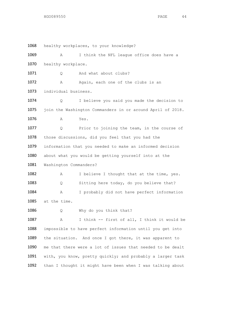1068 healthy workplaces, to your knowledge? 1069 A I think the NFL league office does have a 1070 healthy workplace. 1071 Q And what about clubs? 1072 A Again, each one of the clubs is an 1073 individual business. 1074 Q I believe you said you made the decision to 1075 join the Washington Commanders in or around April of 2018. 1076 A Yes. 1077 Q Prior to joining the team, in the course of 1078 those discussions, did you feel that you had the 1079 information that you needed to make an informed decision 1080 about what you would be getting yourself into at the 1081 Washington Commanders? 1082 A I believe I thought that at the time, yes. 1083 Q Sitting here today, do you believe that? 1084 A I probably did not have perfect information 1085 at the time. 1086 Q Why do you think that? 1087 A I think -- first of all, I think it would be 1088 impossible to have perfect information until you get into 1089 the situation. And once I got there, it was apparent to 1090 me that there were a lot of issues that needed to be dealt 1091 with, you know, pretty quickly; and probably a larger task 1092 than I thought it might have been when I was talking about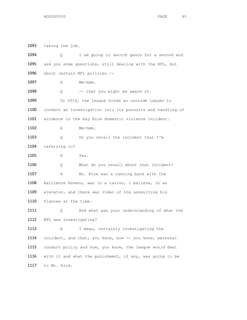taking the job. Q I am going to switch gears for a second and ask you some questions, still dealing with the NFL, but about certain NFL policies -- **A** Mm-hmm. 1098 Q -- that you might be aware of. 1099 In 2014, the league hired an outside lawyer to conduct an investigation into its pursuits and handling of evidence in the Ray Rice domestic violence incident. A Mm-hmm. 1103 Q Do you recall the incident that I'm referring to? A Yes. Q What do you recall about that incident? A Mr. Rice was a running back with the Baltimore Ravens, was in a casino, I believe, in an elevator, and there was video of him assaulting his fiancee at the time. Q And what was your understanding of what the NFL was investigating? 1113 A I mean, certainly investigating the incident, and that, you know, how -- you know, personal conduct policy and how, you know, the league would deal with it and what the punishment, if any, was going to be to Mr. Rice.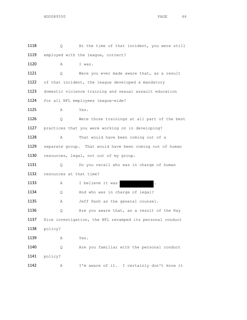| 1118 | Q.                                                        | At the time of that incident, you were still             |
|------|-----------------------------------------------------------|----------------------------------------------------------|
| 1119 |                                                           | employed with the league, correct?                       |
| 1120 | Α                                                         | I was.                                                   |
| 1121 | Q.                                                        | Were you ever made aware that, as a result               |
| 1122 |                                                           | of that incident, the league developed a mandatory       |
| 1123 |                                                           | domestic violence training and sexual assault education  |
| 1124 | for all NFL employees league-wide?                        |                                                          |
| 1125 | Α                                                         | Yes.                                                     |
| 1126 | Q.                                                        | Were those trainings at all part of the best             |
| 1127 | practices that you were working on in developing?         |                                                          |
| 1128 | Α                                                         | That would have been coming out of a                     |
| 1129 |                                                           | separate group. That would have been coming out of human |
| 1130 |                                                           | resources, legal, not out of my group.                   |
| 1131 | Q.                                                        | Do you recall who was in charge of human                 |
| 1132 | resources at that time?                                   |                                                          |
| 1133 | Α                                                         | I believe it was                                         |
| 1134 | Q                                                         | And who was in charge of legal?                          |
| 1135 | Α                                                         | Jeff Pash as the general counsel.                        |
| 1136 | Q                                                         | Are you aware that, as a result of the Ray               |
| 1137 | Rice investigation, the NFL revamped its personal conduct |                                                          |
| 1138 | policy?                                                   |                                                          |
| 1139 | Α                                                         | Yes.                                                     |
| 1140 | Q                                                         | Are you familiar with the personal conduct               |
| 1141 | policy?                                                   |                                                          |
| 1142 | Α                                                         | I'm aware of it. I certainly don't know it               |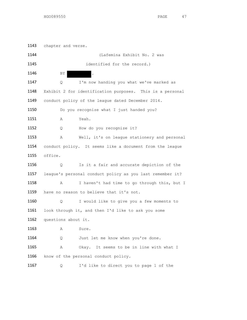1143 chapter and verse. (Lafemina Exhibit No. 2 was identified for the record.) 1146 BY Q I'm now handing you what we've marked as Exhibit 2 for identification purposes. This is a personal 1149 conduct policy of the league dated December 2014. 1150 Do you recognize what I just handed you? A Yeah. 1152 Q How do you recognize it? A Well, it's on league stationery and personal conduct policy. It seems like a document from the league office. Q Is it a fair and accurate depiction of the league's personal conduct policy as you last remember it? A I haven't had time to go through this, but I 1159 have no reason to believe that it's not. Q I would like to give you a few moments to 1161 look through it, and then I'd like to ask you some questions about it. **A** Sure. 1164 Q Just let me know when you're done. A Okay. It seems to be in line with what I 1166 know of the personal conduct policy. Q I'd like to direct you to page 1 of the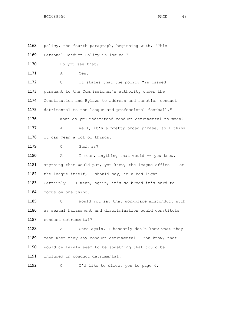1168 policy, the fourth paragraph, beginning with, "This 1169 Personal Conduct Policy is issued." 1170 Do you see that? 1171 A Yes. 1172 Q It states that the policy "is issued 1173 pursuant to the Commissioner's authority under the 1174 Constitution and Bylaws to address and sanction conduct 1175 detrimental to the league and professional football." 1176 What do you understand conduct detrimental to mean? 1177 A Well, it's a pretty broad phrase, so I think 1178 it can mean a lot of things. 1179 0 Such as? 1180 A I mean, anything that would -- you know, 1181 anything that would put, you know, the league office -- or 1182 the league itself, I should say, in a bad light. 1183 Certainly -- I mean, again, it's so broad it's hard to 1184 focus on one thing. 1185 Q Would you say that workplace misconduct such 1186 as sexual harassment and discrimination would constitute 1187 conduct detrimental? 1188 A Once again, I honestly don't know what they 1189 mean when they say conduct detrimental. You know, that 1190 would certainly seem to be something that could be 1191 included in conduct detrimental. 1192 Q I'd like to direct you to page 6.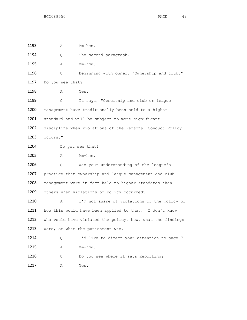| 1193 | Α                                                   | Mm-hmm.                                                    |
|------|-----------------------------------------------------|------------------------------------------------------------|
| 1194 | Q                                                   | The second paragraph.                                      |
| 1195 | Α                                                   | $Mm-hmm$ .                                                 |
| 1196 | Q.                                                  | Beginning with owner, "Ownership and club."                |
| 1197 | Do you see that?                                    |                                                            |
| 1198 | Α                                                   | Yes.                                                       |
| 1199 | Q                                                   | It says, "Ownership and club or league                     |
| 1200 | management have traditionally been held to a higher |                                                            |
| 1201 | standard and will be subject to more significant    |                                                            |
| 1202 |                                                     | discipline when violations of the Personal Conduct Policy  |
| 1203 | occurs."                                            |                                                            |
| 1204 |                                                     | Do you see that?                                           |
| 1205 | Α                                                   | Mm-hmm.                                                    |
| 1206 | Q.                                                  | Was your understanding of the league's                     |
| 1207 |                                                     | practice that ownership and league management and club     |
| 1208 |                                                     | management were in fact held to higher standards than      |
| 1209 |                                                     | others when violations of policy occurred?                 |
| 1210 | Α                                                   | I'm not aware of violations of the policy or               |
| 1211 |                                                     | how this would have been applied to that. I don't know     |
| 1212 |                                                     | who would have violated the policy, how, what the findings |
| 1213 |                                                     | were, or what the punishment was.                          |
| 1214 | Q                                                   | I'd like to direct your attention to page 7.               |
| 1215 | Α                                                   | Mm-hmm.                                                    |
| 1216 | Q                                                   | Do you see where it says Reporting?                        |
| 1217 | Α                                                   | Yes.                                                       |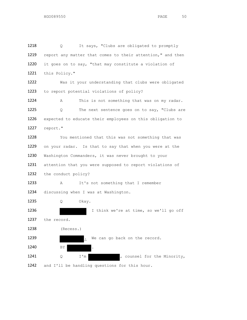1218 Q It says, "Clubs are obligated to promptly 1219 report any matter that comes to their attention," and then 1220 it goes on to say, "that may constitute a violation of 1221 this Policy." 1222 Was it your understanding that clubs were obligated 1223 to report potential violations of policy? 1224 A This is not something that was on my radar. 1225 Q The next sentence goes on to say, "Clubs are 1226 expected to educate their employees on this obligation to 1227 report." 1228 You mentioned that this was not something that was 1229 on your radar. Is that to say that when you were at the 1230 Washington Commanders, it was never brought to your 1231 attention that you were supposed to report violations of 1232 the conduct policy? 1233 A It's not something that I remember 1234 discussing when I was at Washington. 1235 Q Okay. 1236 I think we're at time, so we'll go off 1237 the record. 1238 (Recess.) 1239 . We can go back on the record. 1240 BY 1241 Q I'm , counsel for the Minority, 1242 and I'll be handling questions for this hour.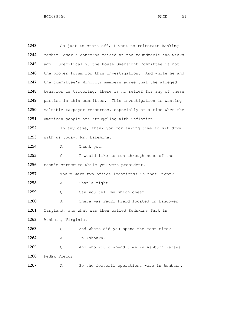1243 So just to start off, I want to reiterate Ranking Member Comer's concerns raised at the roundtable two weeks ago. Specifically, the House Oversight Committee is not the proper forum for this investigation. And while he and the committee's Minority members agree that the alleged 1248 behavior is troubling, there is no relief for any of these parties in this committee. This investigation is wasting valuable taxpayer resources, especially at a time when the American people are struggling with inflation. 1252 In any case, thank you for taking time to sit down with us today, Mr. Lafemina. 1254 A Thank you. Q I would like to run through some of the team's structure while you were president. 1257 There were two office locations; is that right? 1258 A That's right. 1259 0 Can you tell me which ones? A There was FedEx Field located in Landover, Maryland, and what was then called Redskins Park in Ashburn, Virginia. Q And where did you spend the most time? A In Ashburn. Q And who would spend time in Ashburn versus FedEx Field? A So the football operations were in Ashburn,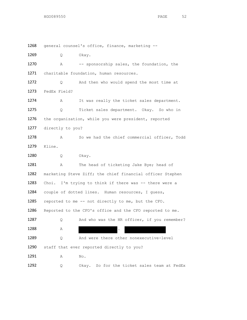1268 general counsel's office, finance, marketing -- 1269 Q Okay. 1270 A -- sponsorship sales, the foundation, the 1271 charitable foundation, human resources. 1272 Q And then who would spend the most time at 1273 FedEx Field? 1274 A It was really the ticket sales department. 1275 Q Ticket sales department. Okay. So who in 1276 the organization, while you were president, reported 1277 directly to you? 1278 A So we had the chief commercial officer, Todd 1279 Kline. 1280 Q Okay. 1281 A The head of ticketing Jake Bye; head of 1282 marketing Steve Ziff; the chief financial officer Stephen 1283 Choi. I'm trying to think if there was -- there were a 1284 couple of dotted lines. Human resources, I guess, 1285 reported to me -- not directly to me, but the CFO. 1286 Reported to the CFO's office and the CFO reported to me. 1287 Q And who was the HR officer, if you remember?  $1288$  A  $\qquad \qquad$  A  $\qquad \qquad$ 1289 Q And were there other nonexecutive-level 1290 staff that ever reported directly to you? 1291 A No.

1292 0 Okay. So for the ticket sales team at FedEx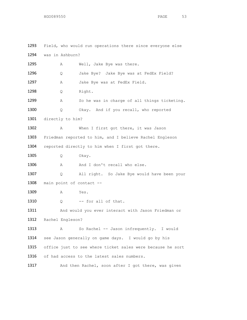1293 Field, who would run operations there since everyone else 1294 was in Ashburn? 1295 A Well, Jake Bye was there. 1296 Q Jake Bye? Jake Bye was at FedEx Field? 1297 A Jake Bye was at FedEx Field. 1298 Q Right. 1299 A So he was in charge of all things ticketing. 1300 Q Okay. And if you recall, who reported 1301 directly to him? 1302 A When I first got there, it was Jason 1303 Friedman reported to him, and I believe Rachel Engleson 1304 reported directly to him when I first got there. 1305 Q Okay. 1306 A And I don't recall who else. 1307 Q All right. So Jake Bye would have been your 1308 main point of contact --1309 A Yes. 1310  $Q$  -- for all of that. 1311 And would you ever interact with Jason Friedman or 1312 Rachel Engleson? 1313 A So Rachel -- Jason infrequently. I would 1314 see Jason generally on game days. I would go by his 1315 office just to see where ticket sales were because he sort 1316 of had access to the latest sales numbers. 1317 And then Rachel, soon after I got there, was given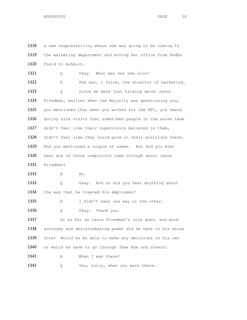1318 a new responsibility where she was going to be coming to 1319 the marketing department and moving her office from FedEx 1320 Field to Ashburn. 1321 Q Okay. What was her new role? 1322 A She was, I think, the director of marketing. 1323 Q Since we were just talking about Jason 1324 Friedman, earlier when the Majority was questioning you, 1325 you mentioned that when you worked for the NFL, you heard 1326 during site visits that sometimes people in the sales team 1327 didn't feel like their supervisors believed in them, 1328 didn't feel like they could grow in their positions there. 1329 And you mentioned a couple of names. But did you ever 1330 hear any of those complaints come through about Jason 1331 Friedman? 1332 A No. 1333 Q Okay. And so did you hear anything about 1334 the way that he treated his employees? 1335 A I didn't hear one way or the other. 1336 Q Okay. Thank you. 1337 So as far as Jason Friedman's role goes, how much 1338 autonomy and decisionmaking power did he have in his sales 1339 role? Would he be able to make any decisions on his own 1340 or would he have to go through Jake Bye and others? 1341 A When I was there? 1342 Q Yes, sorry, when you were there.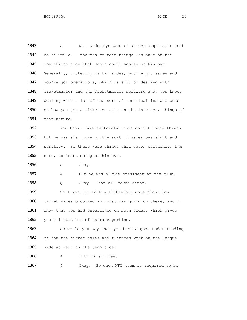1343 A No. Jake Bye was his direct supervisor and 1344 so he would -- there's certain things I'm sure on the 1345 operations side that Jason could handle on his own. 1346 Generally, ticketing is two sides, you've got sales and 1347 you've got operations, which is sort of dealing with 1348 Ticketmaster and the Ticketmaster software and, you know, 1349 dealing with a lot of the sort of technical ins and outs 1350 on how you get a ticket on sale on the internet, things of 1351 that nature. 1352 You know, Jake certainly could do all those things, 1353 but he was also more on the sort of sales oversight and 1354 strategy. So there were things that Jason certainly, I'm 1355 sure, could be doing on his own. 1356 Q Okay. 1357 A But he was a vice president at the club. 1358 Q Okay. That all makes sense. 1359 So I want to talk a little bit more about how 1360 ticket sales occurred and what was going on there, and I 1361 know that you had experience on both sides, which gives 1362 you a little bit of extra expertise. 1363 So would you say that you have a good understanding 1364 of how the ticket sales and finances work on the league 1365 side as well as the team side? 1366 A I think so, yes. 1367 Q Okay. So each NFL team is required to be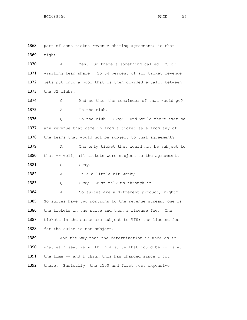1369 right? 1370 A Yes. So there's something called VTS or 1371 visiting team share. So 34 percent of all ticket revenue 1372 gets put into a pool that is then divided equally between 1373 the 32 clubs. 1374 Q And so then the remainder of that would go? 1375 A To the club. 1376 Q To the club. Okay. And would there ever be 1377 any revenue that came in from a ticket sale from any of 1378 the teams that would not be subject to that agreement? 1379 A The only ticket that would not be subject to 1380 that -- well, all tickets were subject to the agreement. 1381 Q Okay. 1382 A It's a little bit wonky. 1383 Q Okay. Just talk us through it. 1384 A So suites are a different product, right? 1385 So suites have two portions to the revenue stream; one is 1386 the tickets in the suite and then a license fee. The 1387 tickets in the suite are subject to VTS; the license fee 1388 for the suite is not subject. 1389 And the way that the determination is made as to 1390 what each seat is worth in a suite that could be -- is at 1391 the time -- and I think this has changed since I got 1392 there. Basically, the 2500 and first most expensive

1368 part of some ticket revenue-sharing agreement; is that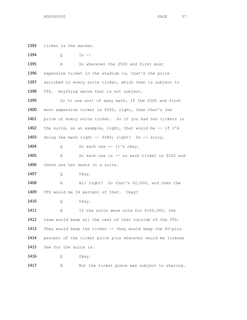1393 ticket is the marker.

1394 Q Is --1395 A So wherever the 2500 and first most 1396 expensive ticket in the stadium is, that's the price 1397 ascribed to every suite ticket, which then is subject to 1398 VTS. Anything above that is not subject. 1399 So to use sort of easy math, if the 2500 and first 1400 most expensive ticket is \$200, right, then that's the 1401 price of every suite ticket. So if you had ten tickets in 1402 the suite, as an example, right, that would be  $-$ - if I'm 1403 doing the math right -- \$680; right? So -- sorry. 1404 Q So each one -- it's okay. 1405 A So each one is -- so each ticket is \$200 and 1406 there are ten seats in a suite. 1407 Q Okay. 1408 A All right? So that's \$2,000, and then the 1409 VTS would be 34 percent of that. Okay? 1410 Q Okay. 1411 A If the suite were sold for \$100,000, the 1412 team would keep all the rest of that outside of the VTS. 1413 They would keep the ticket -- they would keep the 60-plus 1414 percent of the ticket price plus whatever would be license 1415 fee for the suite is. 1416 Q Okay.

1417 A But the ticket piece was subject to sharing.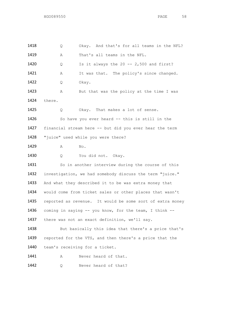| 1418 | Q                                                         | Okay. And that's for all teams in the NFL?               |
|------|-----------------------------------------------------------|----------------------------------------------------------|
| 1419 | Α                                                         | That's all teams in the NFL.                             |
| 1420 | Q                                                         | Is it always the 20 -- $2,500$ and first?                |
| 1421 | Α                                                         | It was that. The policy's since changed.                 |
| 1422 | Q                                                         | Okay.                                                    |
| 1423 | Α                                                         | But that was the policy at the time I was                |
| 1424 | there.                                                    |                                                          |
| 1425 | Q                                                         | Okay. That makes a lot of sense.                         |
| 1426 |                                                           | So have you ever heard -- this is still in the           |
| 1427 |                                                           | financial stream here -- but did you ever hear the term  |
| 1428 |                                                           | "juice" used while you were there?                       |
| 1429 | Α                                                         | No.                                                      |
| 1430 | Q                                                         | You did not. Okay.                                       |
| 1431 |                                                           | So in another interview during the course of this        |
| 1432 |                                                           | investigation, we had somebody discuss the term "juice." |
| 1433 | And what they described it to be was extra money that     |                                                          |
| 1434 | would come from ticket sales or other places that wasn't  |                                                          |
| 1435 | reported as revenue. It would be some sort of extra money |                                                          |
| 1436 | coming in saying -- you know, for the team, I think --    |                                                          |
| 1437 | there was not an exact definition, we'll say.             |                                                          |
| 1438 |                                                           | But basically this idea that there's a price that's      |
| 1439 |                                                           | reported for the VTS, and then there's a price that the  |
| 1440 |                                                           | team's receiving for a ticket.                           |
| 1441 | Α                                                         | Never heard of that.                                     |
| 1442 | Q                                                         | Never heard of that?                                     |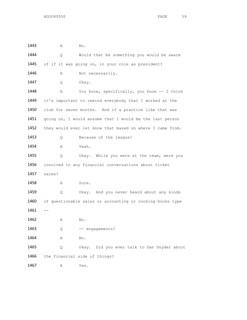| 1443 | Α      | No.                                                       |
|------|--------|-----------------------------------------------------------|
| 1444 | Q      | Would that be something you would be aware                |
| 1445 |        | of if it was going on, in your role as president?         |
| 1446 | Α      | Not necessarily.                                          |
| 1447 | Q.     | Okay.                                                     |
| 1448 | Α      | You know, specifically, you know -- I think               |
| 1449 |        | it's important to remind everybody that I worked at the   |
| 1450 |        | club for seven months. And if a practice like that was    |
| 1451 |        | going on, I would assume that I would be the last person  |
| 1452 |        | they would ever let know that based on where I came from. |
| 1453 | Q      | Because of the league?                                    |
| 1454 | Α      | Yeah.                                                     |
| 1455 | Q.     | Okay. While you were at the team, were you                |
| 1456 |        | involved in any financial conversations about ticket      |
| 1457 | sales? |                                                           |
| 1458 | Α      | Sure.                                                     |
| 1459 | Q      | Okay. And you never heard about any kinds                 |
| 1460 |        | of questionable sales or accounting or cooking books type |
| 1461 |        |                                                           |
| 1462 | Α      | No.                                                       |
| 1463 | Q      | -- engagements?                                           |
| 1464 | Α      | No.                                                       |
| 1465 | Q      | Did you ever talk to Dan Snyder about<br>Okay.            |
| 1466 |        | the financial side of things?                             |
| 1467 | Α      | Yes.                                                      |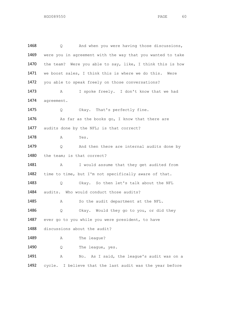1468 Q And when you were having those discussions, 1469 were you in agreement with the way that you wanted to take 1470 the team? Were you able to say, like, I think this is how 1471 we boost sales, I think this is where we do this. Were 1472 you able to speak freely on those conversations? 1473 A I spoke freely. I don't know that we had 1474 agreement. 1475 Q Okay. That's perfectly fine. 1476 As far as the books go, I know that there are 1477 audits done by the NFL; is that correct? 1478 **A** Yes. 1479 Q And then there are internal audits done by 1480 the team; is that correct? 1481 A I would assume that they get audited from 1482 time to time, but I'm not specifically aware of that. 1483 Q Okay. So then let's talk about the NFL 1484 audits. Who would conduct those audits? 1485 A So the audit department at the NFL. 1486 Q Okay. Would they go to you, or did they 1487 ever go to you while you were president, to have 1488 discussions about the audit? 1489 A The league? 1490 Q The league, yes. 1491 A No. As I said, the league's audit was on a 1492 cycle. I believe that the last audit was the year before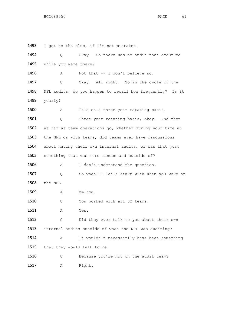I got to the club, if I'm not mistaken.

| 1494 | Q.                          | Okay. So there was no audit that occurred                    |
|------|-----------------------------|--------------------------------------------------------------|
| 1495 | while you were there?       |                                                              |
| 1496 | A                           | Not that -- I don't believe so.                              |
| 1497 | Q.                          | Okay. All right. So in the cycle of the                      |
| 1498 |                             | NFL audits, do you happen to recall how frequently?<br>Is it |
| 1499 | yearly?                     |                                                              |
| 1500 | Α                           | It's on a three-year rotating basis.                         |
| 1501 | Q.                          | Three-year rotating basis, okay. And then                    |
| 1502 |                             | as far as team operations go, whether during your time at    |
| 1503 |                             | the NFL or with teams, did teams ever have discussions       |
| 1504 |                             | about having their own internal audits, or was that just     |
| 1505 |                             | something that was more random and outside of?               |
| 1506 | Α                           | I don't understand the question.                             |
| 1507 | Q.                          | So when -- let's start with when you were at                 |
| 1508 | the NFL.                    |                                                              |
| 1509 | Α                           | Mm-hmm.                                                      |
| 1510 | Q.                          | You worked with all 32 teams.                                |
| 1511 | Α                           | Yes.                                                         |
| 1512 | Q.                          | Did they ever talk to you about their own                    |
| 1513 |                             | internal audits outside of what the NFL was auditing?        |
| 1514 | Α                           | It wouldn't necessarily have been something                  |
| 1515 | that they would talk to me. |                                                              |
| 1516 | Q                           | Because you're not on the audit team?                        |
| 1517 | Α                           | Right.                                                       |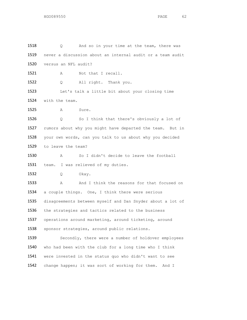Q And so in your time at the team, there was never a discussion about an internal audit or a team audit versus an NFL audit? 1521 A Not that I recall. 1522 Q All right. Thank you. Let's talk a little bit about your closing time with the team. A Sure. Q So I think that there's obviously a lot of rumors about why you might have departed the team. But in your own words, can you talk to us about why you decided to leave the team? A So I didn't decide to leave the football 1531 team. I was relieved of my duties. Q Okay. A And I think the reasons for that focused on a couple things. One, I think there were serious disagreements between myself and Dan Snyder about a lot of 1536 the strategies and tactics related to the business operations around marketing, around ticketing, around sponsor strategies, around public relations. 1539 Secondly, there were a number of holdover employees who had been with the club for a long time who I think were invested in the status quo who didn't want to see 1542 change happen; it was sort of working for them. And I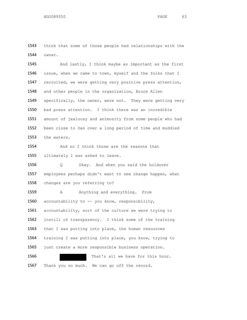think that some of those people had relationships with the owner.

 And lastly, I think maybe as important as the first 1546 issue, when we came to town, myself and the folks that I recruited, we were getting very positive press attention, and other people in the organization, Bruce Allen 1549 specifically, the owner, were not. They were getting very bad press attention. I think there was an incredible amount of jealousy and animosity from some people who had been close to Dan over a long period of time and muddied the waters.

 And so I think those are the reasons that 1555 ultimately I was asked to leave.

 Q Okay. And when you said the holdover employees perhaps didn't want to see change happen, what changes are you referring to?

1559 A Anything and everything. From 1560 accountability to -- you know, responsibility, accountability, sort of the culture we were trying to instill of transparency. I think some of the training 1563 that I was putting into place, the human resources training I was putting into place, you know, trying to 1565 just create a more responsible business operation. That's all we have for this hour.

1567 Thank you so much. We can go off the record.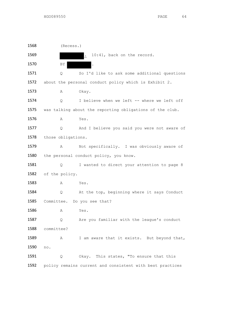(Recess.) 1569 . 10:41, back on the record. 1570 BY Q So I'd like to ask some additional questions about the personal conduct policy which is Exhibit 2. A Okay. Q I believe when we left -- where we left off was talking about the reporting obligations of the club. A Yes. Q And I believe you said you were not aware of 1578 those obligations. A Not specifically. I was obviously aware of 1580 the personal conduct policy, you know. 1581 Q I wanted to direct your attention to page 8 of the policy. A Yes. Q At the top, beginning where it says Conduct Committee. Do you see that? **A** Yes. Q Are you familiar with the league's conduct committee? 1589 A I am aware that it exists. But beyond that, no. 1591 Q Okay. This states, "To ensure that this policy remains current and consistent with best practices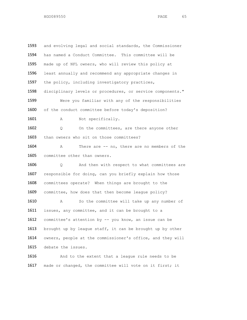1593 and evolving legal and social standards, the Commissioner 1594 has named a Conduct Committee. This committee will be 1595 made up of NFL owners, who will review this policy at 1596 least annually and recommend any appropriate changes in 1597 the policy, including investigatory practices, 1598 disciplinary levels or procedures, or service components." 1599 Were you familiar with any of the responsibilities 1600 of the conduct committee before today's deposition? 1601 A Not specifically. 1602 Q On the committees, are there anyone other 1603 than owners who sit on those committees? 1604 A There are -- no, there are no members of the 1605 committee other than owners. 1606 Q And then with respect to what committees are 1607 responsible for doing, can you briefly explain how those 1608 committees operate? When things are brought to the 1609 committee, how does that then become league policy? 1610 A So the committee will take up any number of 1611 issues, any committee, and it can be brought to a 1612 committee's attention by -- you know, an issue can be 1613 brought up by league staff, it can be brought up by other 1614 owners, people at the commissioner's office, and they will 1615 debate the issues. 1616 And to the extent that a league rule needs to be

1617 made or changed, the committee will vote on it first; it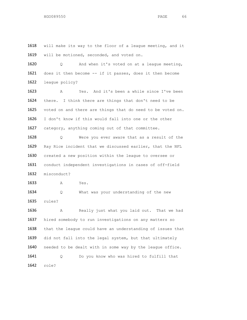will make its way to the floor of a league meeting, and it 1619 will be motioned, seconded, and voted on.

 Q And when it's voted on at a league meeting, does it then become -- if it passes, does it then become league policy?

 A Yes. And it's been a while since I've been there. I think there are things that don't need to be voted on and there are things that do need to be voted on. I don't know if this would fall into one or the other category, anything coming out of that committee.

 Q Were you ever aware that as a result of the Ray Rice incident that we discussed earlier, that the NFL created a new position within the league to oversee or conduct independent investigations in cases of off-field misconduct?

A Yes.

 Q What was your understanding of the new rules?

 A Really just what you laid out. That we had hired somebody to run investigations on any matters so that the league could have an understanding of issues that did not fall into the legal system, but that ultimately 1640 needed to be dealt with in some way by the league office. Q Do you know who was hired to fulfill that role?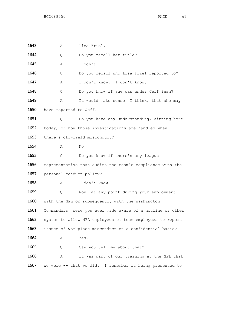A Lisa Friel. 1644 Q Do you recall her title? A I don't. Q Do you recall who Lisa Friel reported to? A I don't know. I don't know. Q Do you know if she was under Jeff Pash? 1649 A It would make sense, I think, that she may 1650 have reported to Jeff. 1651 Q Do you have any understanding, sitting here today, of how those investigations are handled when there's off-field misconduct? **A** No. Q Do you know if there's any league representative that audits the team's compliance with the personal conduct policy? A I don't know. Q Now, at any point during your employment with the NFL or subsequently with the Washington Commanders, were you ever made aware of a hotline or other system to allow NFL employees or team employees to report issues of workplace misconduct on a confidential basis? **A** Yes. 1665 Q Can you tell me about that? A It was part of our training at the NFL that we were -- that we did. I remember it being presented to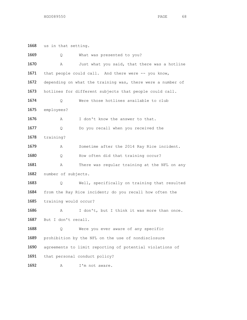us in that setting.

| 1669 | Q                     | What was presented to you?                                 |
|------|-----------------------|------------------------------------------------------------|
| 1670 | Α                     | Just what you said, that there was a hotline               |
| 1671 |                       | that people could call. And there were -- you know,        |
| 1672 |                       | depending on what the training was, there were a number of |
| 1673 |                       | hotlines for different subjects that people could call.    |
| 1674 | Q.                    | Were those hotlines available to club                      |
| 1675 | employees?            |                                                            |
| 1676 | Α                     | I don't know the answer to that.                           |
| 1677 | Q.                    | Do you recall when you received the                        |
| 1678 | training?             |                                                            |
| 1679 | Α                     | Sometime after the 2014 Ray Rice incident.                 |
| 1680 | Q.                    | How often did that training occur?                         |
| 1681 | Α                     | There was regular training at the NFL on any               |
| 1682 | number of subjects.   |                                                            |
| 1683 | Q.                    | Well, specifically on training that resulted               |
| 1684 |                       | from the Ray Rice incident; do you recall how often the    |
| 1685 | training would occur? |                                                            |
| 1686 | Α                     | I don't, but I think it was more than once.                |
| 1687 | But I don't recall.   |                                                            |
| 1688 | Q.                    | Were you ever aware of any specific                        |
| 1689 |                       | prohibition by the NFL on the use of nondisclosure         |
| 1690 |                       | agreements to limit reporting of potential violations of   |
| 1691 |                       | that personal conduct policy?                              |
| 1692 | Α                     | I'm not aware.                                             |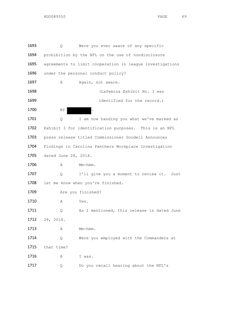1693 Q Were you ever aware of any specific 1694 prohibition by the NFL on the use of nondisclosure 1695 agreements to limit cooperation in league investigations 1696 under the personal conduct policy? 1697 A Again, not aware. 1698 (Lafemina Exhibit No. 3 was 1699 identified for the record.) 1700 BY 1701 Q I am now handing you what we've marked as 1702 Exhibit 3 for identification purposes. This is an NFL 1703 press release titled Commissioner Goodell Announces 1704 Findings in Carolina Panthers Workplace Investigation 1705 dated June 28, 2018. 1706 **A** Mm-hmm. 1707 Q I'll give you a moment to review it. Just 1708 let me know when you're finished. 1709 Are you finished? 1710 A Yes. 1711 Q As I mentioned, this release is dated June 1712 28, 2018. 1713 **A** Mm-hmm. 1714 Q Were you employed with the Commanders at 1715 that time? 1716 A I was. 1717 O Do you recall hearing about the NFL's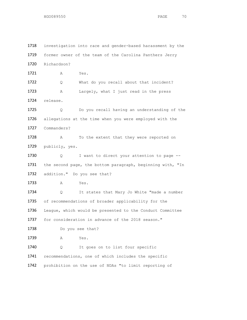1718 investigation into race and gender-based harassment by the 1719 former owner of the team of the Carolina Panthers Jerry 1720 Richardson? 1721 A Yes. 1722 Q What do you recall about that incident? 1723 A Largely, what I just read in the press 1724 release. 1725 Q Do you recall having an understanding of the 1726 allegations at the time when you were employed with the 1727 Commanders? 1728 A To the extent that they were reported on 1729 publicly, yes. 1730 Q I want to direct your attention to page --1731 the second page, the bottom paragraph, beginning with, "In 1732 addition." Do you see that? 1733 A Yes. 1734 O It states that Mary Jo White "made a number 1735 of recommendations of broader applicability for the 1736 League, which would be presented to the Conduct Committee 1737 for consideration in advance of the 2018 season." 1738 Do you see that? 1739 A Yes. 1740 Q It goes on to list four specific 1741 recommendations, one of which includes the specific 1742 prohibition on the use of NDAs "to limit reporting of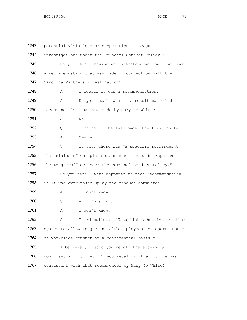1743 potential violations or cooperation in League 1744 investigations under the Personal Conduct Policy." 1745 Do you recall having an understanding that that was 1746 a recommendation that was made in connection with the 1747 Carolina Panthers investigation? 1748 A I recall it was a recommendation. 1749 O Do you recall what the result was of the 1750 recommendation that was made by Mary Jo White? 1751 A No. 1752 Q Turning to the last page, the first bullet. 1753 A Mm-hmm. 1754 Q It says there was "A specific requirement 1755 that claims of workplace misconduct issues be reported to 1756 the League Office under the Personal Conduct Policy." 1757 Do you recall what happened to that recommendation, 1758 if it was ever taken up by the conduct committee? 1759 A I don't know. 1760 Q And I'm sorry. 1761 A I don't know. 1762 Q Third bullet. "Establish a hotline or other 1763 system to allow League and club employees to report issues 1764 of workplace conduct on a confidential basis." 1765 I believe you said you recall there being a 1766 confidential hotline. Do you recall if the hotline was 1767 consistent with that recommended by Mary Jo White?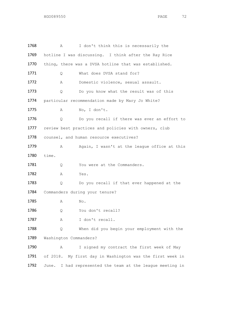| 1768 | Α                      | I don't think this is necessarily the                     |
|------|------------------------|-----------------------------------------------------------|
| 1769 |                        | hotline I was discussing. I think after the Ray Rice      |
| 1770 |                        | thing, there was a DVSA hotline that was established.     |
| 1771 | Q.                     | What does DVSA stand for?                                 |
| 1772 | Α                      | Domestic violence, sexual assault.                        |
| 1773 | Q                      | Do you know what the result was of this                   |
| 1774 |                        | particular recommendation made by Mary Jo White?          |
| 1775 | Α                      | No, I don't.                                              |
| 1776 | Q.                     | Do you recall if there was ever an effort to              |
| 1777 |                        | review best practices and policies with owners, club      |
| 1778 |                        | counsel, and human resource executives?                   |
| 1779 | Α                      | Again, I wasn't at the league office at this              |
| 1780 | time.                  |                                                           |
| 1781 | Q.                     | You were at the Commanders.                               |
| 1782 | Α                      | Yes.                                                      |
| 1783 | Q                      | Do you recall if that ever happened at the                |
| 1784 |                        | Commanders during your tenure?                            |
| 1785 | Α                      | No.                                                       |
| 1786 | Q                      | You don't recall?                                         |
| 1787 | Α                      | I don't recall.                                           |
| 1788 | Q                      | When did you begin your employment with the               |
| 1789 | Washington Commanders? |                                                           |
| 1790 | Α                      | I signed my contract the first week of May                |
| 1791 |                        | of 2018. My first day in Washington was the first week in |
| 1792 | June.                  | I had represented the team at the league meeting in       |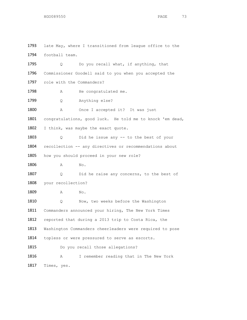1793 late May, where I transitioned from league office to the 1794 football team. 1795 Q Do you recall what, if anything, that 1796 Commissioner Goodell said to you when you accepted the 1797 role with the Commanders? 1798 A He congratulated me. 1799 Q Anything else? 1800 A Once I accepted it? It was just 1801 congratulations, good luck. He told me to knock 'em dead, 1802 I think, was maybe the exact quote. 1803 Q Did he issue any -- to the best of your 1804 recollection -- any directives or recommendations about 1805 how you should proceed in your new role? 1806 A No. 1807 Q Did he raise any concerns, to the best of 1808 your recollection? 1809 A No. 1810 Q Now, two weeks before the Washington 1811 Commanders announced your hiring, The New York Times 1812 reported that during a 2013 trip to Costa Rica, the 1813 Washington Commanders cheerleaders were required to pose 1814 topless or were pressured to serve as escorts. 1815 Do you recall those allegations? 1816 A I remember reading that in The New York 1817 Times, yes.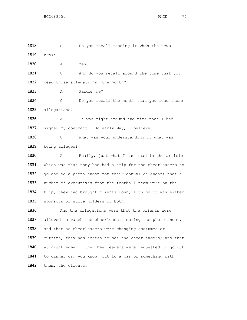1818 O Do you recall reading it when the news 1819 broke? 1820 A Yes. 1821 Q And do you recall around the time that you 1822 read those allegations, the month? 1823 A Pardon me? 1824 Q Do you recall the month that you read those 1825 allegations? 1826 A It was right around the time that I had 1827 signed my contract. So early May, I believe. 1828 Q What was your understanding of what was 1829 being alleged? 1830 A Really, just what I had read in the article, 1831 which was that they had had a trip for the cheerleaders to 1832 go and do a photo shoot for their annual calendar; that a 1833 number of executives from the football team were on the 1834 trip, they had brought clients down, I think it was either 1835 sponsors or suite holders or both. 1836 And the allegations were that the clients were 1837 allowed to watch the cheerleaders during the photo shoot, 1838 and that as cheerleaders were changing costumes or 1839 outfits, they had access to see the cheerleaders; and that 1840 at night some of the cheerleaders were requested to go out 1841 to dinner or, you know, out to a bar or something with 1842 them, the clients.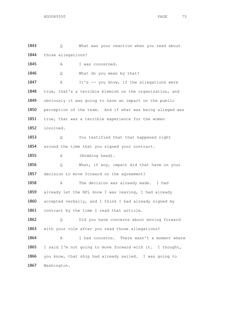1843 Q What was your reaction when you read about 1844 those allegations? 1845 A I was concerned. 1846 Q What do you mean by that? 1847 A It's -- you know, if the allegations were 1848 true, that's a terrible blemish on the organization, and 1849 obviously it was going to have an impact on the public 1850 perception of the team. And if what was being alleged was 1851 true, that was a terrible experience for the women 1852 involved. 1853 Q You testified that that happened right 1854 around the time that you signed your contract. 1855 A (Nodding head). 1856 Q What, if any, impact did that have on your 1857 decision to move forward on the agreement? 1858 A The decision was already made. I had 1859 already let the NFL know I was leaving, I had already 1860 accepted verbally, and I think I had already signed my 1861 contract by the time I read that article. 1862 Q Did you have concerns about moving forward 1863 with your role after you read those allegations? 1864 A I had concerns. There wasn't a moment where 1865 I said I'm not going to move forward with it. I thought, 1866 you know, that ship had already sailed. I was going to 1867 Washington.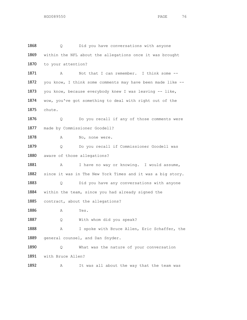1868 Q Did you have conversations with anyone 1869 within the NFL about the allegations once it was brought 1870 to your attention? 1871 A Not that I can remember. I think some --1872 you know, I think some comments may have been made like --1873 you know, because everybody knew I was leaving -- like, 1874 wow, you've got something to deal with right out of the 1875 chute. 1876 Q Do you recall if any of those comments were 1877 made by Commissioner Goodell? 1878 A No, none were. 1879 Q Do you recall if Commissioner Goodell was 1880 aware of those allegations? 1881 A I have no way or knowing. I would assume, 1882 since it was in The New York Times and it was a big story. 1883 Q Did you have any conversations with anyone 1884 within the team, since you had already signed the 1885 contract, about the allegations? 1886 A Yes. 1887 Q With whom did you speak? 1888 A I spoke with Bruce Allen, Eric Schaffer, the 1889 general counsel, and Dan Snyder. 1890 Q What was the nature of your conversation 1891 with Bruce Allen? 1892 A It was all about the way that the team was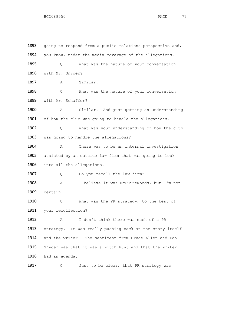1893 going to respond from a public relations perspective and, 1894 you know, under the media coverage of the allegations. 1895 Q What was the nature of your conversation 1896 with Mr. Snyder? 1897 A Similar. 1898 Q What was the nature of your conversation 1899 with Mr. Schaffer? 1900 A Similar. And just getting an understanding 1901 of how the club was going to handle the allegations. 1902 Q What was your understanding of how the club 1903 was going to handle the allegations? 1904 A There was to be an internal investigation 1905 assisted by an outside law firm that was going to look 1906 into all the allegations. 1907 Q Do you recall the law firm? 1908 A I believe it was McGuireWoods, but I'm not 1909 certain. 1910 Q What was the PR strategy, to the best of 1911 your recollection? 1912 A I don't think there was much of a PR 1913 strategy. It was really pushing back at the story itself 1914 and the writer. The sentiment from Bruce Allen and Dan 1915 Snyder was that it was a witch hunt and that the writer 1916 had an agenda.

1917 Q Just to be clear, that PR strategy was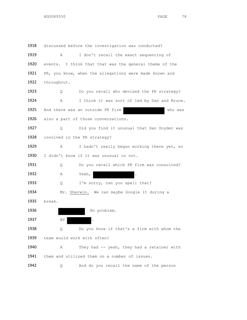1918 discussed before the investigation was conducted? 1919 A I don't recall the exact sequencing of 1920 events. I think that that was the general theme of the 1921 PR, you know, when the allegations were made known and 1922 throughout. 1923 Q Do you recall who devised the PR strategy? 1924 A I think it was sort of led by Dan and Bruce. 1925 And there was an outside PR firm and who was 1926 also a part of those conversations. 1927 Q Did you find it unusual that Dan Snyder was 1928 involved in the PR strategy? 1929 A I hadn't really begun working there yet, so 1930 I didn't know if it was unusual or not. 1931 Q Do you recall which PR firm was consulted? 1932 **A** Yeah, 1933 Q I'm sorry, can you spell that? 1934 Mr. Sherwin. We can maybe Google it during a 1935 break. 1936 No problem. 1937 BY 1938 Q Do you know if that's a firm with whom the 1939 team would work with often? 1940 A They had -- yeah, they had a retainer with 1941 them and utilized them on a number of issues. 1942 Q And do you recall the name of the person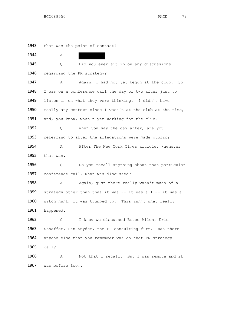1943 that was the point of contact? 1944 A 1945 Q Did you ever sit in on any discussions 1946 regarding the PR strategy? 1947 A Again, I had not yet begun at the club. So 1948 I was on a conference call the day or two after just to 1949 listen in on what they were thinking. I didn't have 1950 really any context since I wasn't at the club at the time, 1951 and, you know, wasn't yet working for the club. 1952 Q When you say the day after, are you 1953 referring to after the allegations were made public? 1954 A After The New York Times article, whenever 1955 that was. 1956 Q Do you recall anything about that particular 1957 conference call, what was discussed? 1958 A Again, just there really wasn't much of a 1959 strategy other than that it was -- it was all -- it was a 1960 witch hunt, it was trumped up. This isn't what really 1961 happened. 1962 Q I know we discussed Bruce Allen, Eric 1963 Schaffer, Dan Snyder, the PR consulting firm. Was there 1964 anyone else that you remember was on that PR strategy 1965 call? 1966 A Not that I recall. But I was remote and it 1967 was before Zoom.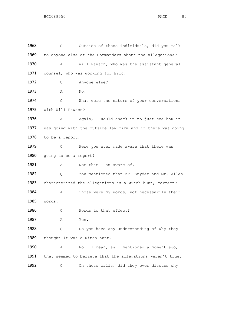1968 Q Outside of those individuals, did you talk 1969 to anyone else at the Commanders about the allegations? 1970 A Will Rawson, who was the assistant general 1971 counsel, who was working for Eric. 1972 Q Anyone else? 1973 **A** No. 1974 Q What were the nature of your conversations 1975 with Will Rawson? 1976 A Again, I would check in to just see how it 1977 was going with the outside law firm and if there was going 1978 to be a report. 1979 1979 Q Were you ever made aware that there was 1980 going to be a report? 1981 A Not that I am aware of. 1982 Q You mentioned that Mr. Snyder and Mr. Allen 1983 characterized the allegations as a witch hunt, correct? 1984 A Those were my words, not necessarily their 1985 words. 1986 Q Words to that effect? 1987 A Yes. 1988 Q Do you have any understanding of why they 1989 thought it was a witch hunt? 1990 A No. I mean, as I mentioned a moment ago, 1991 they seemed to believe that the allegations weren't true. 1992 Q On those calls, did they ever discuss why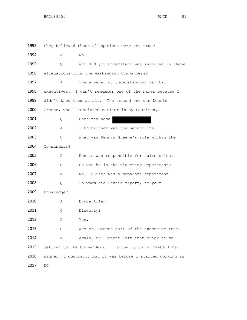1993 they believed those allegations were not true? 1994 **A** No. 1995 Q Who did you understand was involved in those 1996 allegations from the Washington Commanders? 1997 A There were, my understanding is, two 1998 executives. I can't remember one of the names because I 1999 didn't know them at all. The second one was Dennis 2000 Greene, who I mentioned earlier in my testimony.  $2001$  Q Does the name 2002 A I think that was the second one. 2003 Q What was Dennis Greene's role within the 2004 Commanders? 2005 A Dennis was responsible for suite sales. 2006 Q So was he in the ticketing department? 2007 A No. Suites was a separate department. 2008 Q To whom did Dennis report, to your 2009 knowledge? 2010 A Bruce Allen. 2011 Q Directly? 2012 A Yes. 2013 Q Was Mr. Greene part of the executive team? 2014 A Again, Mr. Greene left just prior to me 2015 getting to the Commanders. I actually think maybe I had 2016 signed my contract, but it was before I started working in 2017 DC.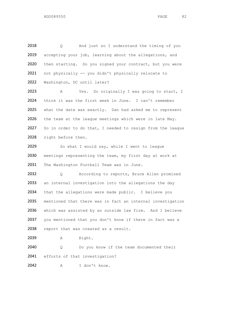2018 Q And just so I understand the timing of you 2019 accepting your job, learning about the allegations, and 2020 then starting. So you signed your contract, but you were 2021 not physically -- you didn't physically relocate to 2022 Washington, DC until later?

2023 A Yes. So originally I was going to start, I 2024 think it was the first week in June. I can't remember 2025 what the date was exactly. Dan had asked me to represent 2026 the team at the league meetings which were in late May. 2027 So in order to do that, I needed to resign from the league 2028 right before then.

2029 So what I would say, while I went to league 2030 meetings representing the team, my first day at work at 2031 The Washington Football Team was in June.

2032 Q According to reports, Bruce Allen promised 2033 an internal investigation into the allegations the day 2034 that the allegations were made public. I believe you 2035 mentioned that there was in fact an internal investigation 2036 which was assisted by an outside law firm. And I believe 2037 you mentioned that you don't know if there in fact was a 2038 report that was created as a result.

2039 A Right.

2040 Q Do you know if the team documented their 2041 efforts of that investigation?

2042 A I don't know.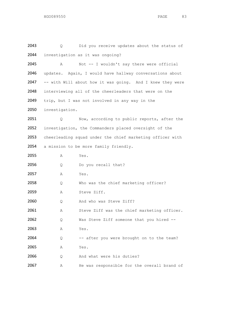| 2043 | Q.             | Did you receive updates about the status of               |
|------|----------------|-----------------------------------------------------------|
| 2044 |                | investigation as it was ongoing?                          |
| 2045 | Α              | Not -- I wouldn't say there were official                 |
| 2046 |                | updates. Again, I would have hallway conversations about  |
| 2047 |                | -- with Will about how it was going. And I knew they were |
| 2048 |                | interviewing all of the cheerleaders that were on the     |
| 2049 |                | trip, but I was not involved in any way in the            |
| 2050 | investigation. |                                                           |
| 2051 | Q.             | Now, according to public reports, after the               |
| 2052 |                | investigation, the Commanders placed oversight of the     |
| 2053 |                | cheerleading squad under the chief marketing officer with |
| 2054 |                | a mission to be more family friendly.                     |
| 2055 | Α              | Yes.                                                      |
| 2056 | Q              | Do you recall that?                                       |
| 2057 | Α              | Yes.                                                      |
| 2058 | Q              | Who was the chief marketing officer?                      |
| 2059 | Α              | Steve Ziff.                                               |
| 2060 | Q.             | And who was Steve Ziff?                                   |
| 2061 | Α              | Steve Ziff was the chief marketing officer.               |
| 2062 | Q.             | Was Steve Ziff someone that you hired --                  |
| 2063 | Α              | Yes.                                                      |
| 2064 | Q              | -- after you were brought on to the team?                 |
| 2065 | Α              | Yes.                                                      |
| 2066 | Q              | And what were his duties?                                 |
| 2067 | Α              | He was responsible for the overall brand of               |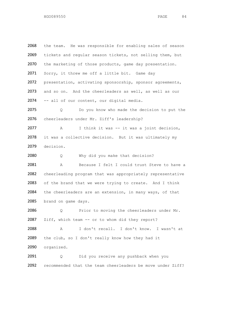2068 the team. He was responsible for enabling sales of season 2069 tickets and regular season tickets, not selling them, but 2070 the marketing of those products, game day presentation. 2071 Sorry, it threw me off a little bit. Game day 2072 presentation, activating sponsorship, sponsor agreements, 2073 and so on. And the cheerleaders as well, as well as our 2074 -- all of our content, our digital media. 2075 Q Do you know who made the decision to put the 2076 cheerleaders under Mr. Ziff's leadership? 2077 A I think it was -- it was a joint decision, 2078 it was a collective decision. But it was ultimately my 2079 decision. 2080 Q Why did you make that decision? 2081 A Because I felt I could trust Steve to have a 2082 cheerleading program that was appropriately representative 2083 of the brand that we were trying to create. And I think 2084 the cheerleaders are an extension, in many ways, of that 2085 brand on game days. 2086 Q Prior to moving the cheerleaders under Mr. 2087 Ziff, which team -- or to whom did they report? 2088 A I don't recall. I don't know. I wasn't at 2089 the club, so I don't really know how they had it 2090 organized. 2091 Q Did you receive any pushback when you 2092 recommended that the team cheerleaders be move under Ziff?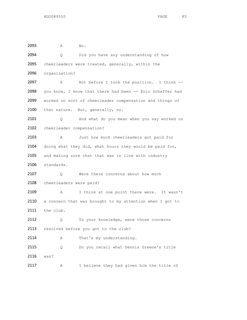2093 A No. 2094 Q Did you have any understanding of how 2095 cheerleaders were treated, generally, within the 2096 organization? 2097 A Not before I took the position. I think -- 2098 you know, I know that there had been -- Eric Schaffer had 2099 worked on sort of cheerleader compensation and things of 2100 that nature. But, generally, no. 2101 Q And what do you mean when you say worked on 2102 cheerleader compensation? 2103 A Just how much cheerleaders got paid for 2104 doing what they did, what hours they would be paid for, 2105 and making sure that that was in line with industry 2106 standards. 2107 Q Were there concerns about how much 2108 cheerleaders were paid? 2109 A I think at one point there were. It wasn't 2110 a concern that was brought to my attention when I got to 2111 the club. 2112 Q To your knowledge, were those concerns 2113 resolved before you got to the club? 2114 A That's my understanding. 2115 Q Do you recall what Dennis Greene's title 2116 was? 2117 A I believe they had given him the title of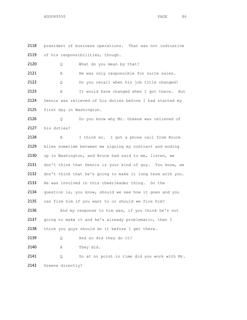2118 president of business operations. That was not indicative 2119 of his responsibilities, though.

2120 Q What do you mean by that? 2121 A He was only responsible for suite sales. 2122 Q Do you recall when his job title changed? 2123 A It would have changed when I got there. But 2124 Dennis was relieved of his duties before I had started my 2125 first day in Washington.

2126 Q Do you know why Mr. Greene was relieved of 2127 his duties?

2128 A I think so. I got a phone call from Bruce 2129 Allen sometime between me signing my contract and ending 2130 up in Washington, and Bruce had said to me, listen, we 2131 don't think that Dennis is your kind of guy. You know, we 2132 don't think that he's going to make it long term with you. 2133 He was involved in this cheerleader thing. So the 2134 question is, you know, should we see how it goes and you 2135 can fire him if you want to or should we fire him? 2136 And my response to him was, if you think he's not 2137 going to make it and he's already problematic, then I 2138 think you guys should do it before I get there. 2139 Q And so did they do it? 2140 A They did. 2141 Q So at no point in time did you work with Mr.

2142 Greene directly?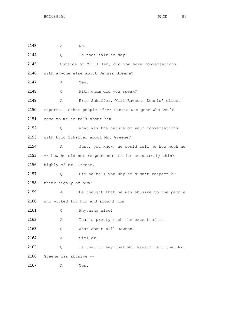| 2143 | Α                     | No.                                                    |
|------|-----------------------|--------------------------------------------------------|
| 2144 | $\circ$               | Is that fair to say?                                   |
| 2145 |                       | Outside of Mr. Allen, did you have conversations       |
| 2146 |                       | with anyone else about Dennis Greene?                  |
| 2147 | Α                     | Yes.                                                   |
| 2148 | Q.                    | With whom did you speak?                               |
| 2149 | Α                     | Eric Schaffer, Will Rawson, Dennis' direct             |
| 2150 |                       | reports. Other people after Dennis was gone who would  |
| 2151 |                       | come to me to talk about him.                          |
| 2152 | Q.                    | What was the nature of your conversations              |
| 2153 |                       | with Eric Schaffer about Mr. Greene?                   |
| 2154 | Α                     | Just, you know, he would tell me how much he           |
| 2155 |                       | -- how he did not respect nor did he necessarily think |
| 2156 | highly of Mr. Greene. |                                                        |
| 2157 | Q.                    | Did he tell you why he didn't respect or               |
| 2158 | think highly of him?  |                                                        |
| 2159 | Α                     | He thought that he was abusive to the people           |
| 2160 |                       | who worked for him and around him.                     |
| 2161 | Q.                    | Anything else?                                         |
| 2162 | Α                     | That's pretty much the extent of it.                   |
| 2163 | Q                     | What about Will Rawson?                                |
| 2164 | Α                     | Similar.                                               |
| 2165 | Q                     | Is that to say that Mr. Rawson felt that Mr.           |
| 2166 | Greene was abusive -- |                                                        |
| 2167 | Α                     | Yes.                                                   |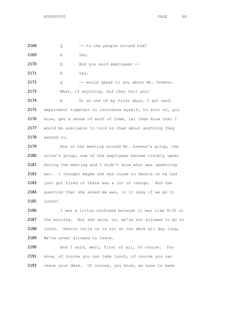$2168$  Q -- to the people around him?

2169 A Yes.

2170 Q And you said employees --

2171 A Yes.

2172 Q -- would speak to you about Mr. Greene. 2173 What, if anything, did they tell you?

2174 A So on one of my first days, I got each 2175 department together to introduce myself, to sort of, you 2176 know, get a sense of each of them, let them know that I 2177 would be available to talk to them about anything they 2178 wanted to.

2179 And in the meeting around Mr. Greene's group, the 2180 suite's group, one of the employees became visibly upset 2181 during the meeting and I didn't know what was upsetting 2182 her. I thought maybe she was close to Dennis or he had 2183 just got fired or there was a lot of change. And the 2184 question that she asked me was, is it okay if we go to 2185 lunch?

 I was a little confused because it was like 9:30 in the morning. But she said, no, we're not allowed to go to lunch. Dennis tells us to sit at our desk all day long. 2189 We're never allowed to leave.

2190 And I said, well, first of all, of course. You 2191 know, of course you can take lunch, of course you can 2192 leave your desk. Of course, you know, we have to make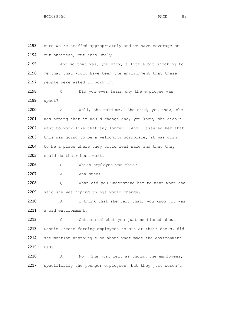2193 sure we're staffed appropriately and we have coverage on 2194 our business, but absolutely.

2195 And so that was, you know, a little bit shocking to 2196 me that that would have been the environment that these 2197 people were asked to work in.

2198 Q Did you ever learn why the employee was 2199 upset?

 A Well, she told me. She said, you know, she 2201 was hoping that it would change and, you know, she didn't want to work like that any longer. And I assured her that this was going to be a welcoming workplace, it was going 2204 to be a place where they could feel safe and that they could do their best work.

2206 Q Which employee was this?

2207 A Ana Nunez.

2208 Q What did you understand her to mean when she 2209 said she was hoping things would change?

2210 A I think that she felt that, you know, it was 2211 a bad environment.

2212 Q Outside of what you just mentioned about 2213 Dennis Greene forcing employees to sit at their desks, did 2214 she mention anything else about what made the environment 2215 bad?

2216 A No. She just felt as though the employees, 2217 specifically the younger employees, but they just weren't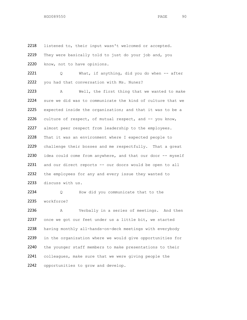2218 listened to, their input wasn't welcomed or accepted. 2219 They were basically told to just do your job and, you 2220 know, not to have opinions. 2221 Q What, if anything, did you do when -- after 2222 you had that conversation with Ms. Nunez? 2223 A Well, the first thing that we wanted to make 2224 sure we did was to communicate the kind of culture that we 2225 expected inside the organization; and that it was to be a 2226 culture of respect, of mutual respect, and -- you know, 2227 almost peer respect from leadership to the employees. 2228 That it was an environment where I expected people to 2229 challenge their bosses and me respectfully. That a great 2230 idea could come from anywhere, and that our door -- myself 2231 and our direct reports -- our doors would be open to all 2232 the employees for any and every issue they wanted to 2233 discuss with us. 2234 0 How did you communicate that to the 2235 workforce? 2236 A Verbally in a series of meetings. And then 2237 once we got our feet under us a little bit, we started 2238 having monthly all-hands-on-deck meetings with everybody

2239 in the organization where we would give opportunities for 2240 the younger staff members to make presentations to their 2241 colleagues, make sure that we were giving people the 2242 opportunities to grow and develop.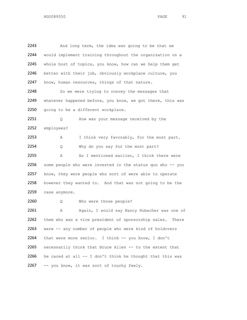2243 And long term, the idea was going to be that we 2244 would implement training throughout the organization on a 2245 whole host of topics, you know, how can we help them get 2246 better with their job, obviously workplace culture, you 2247 know, human resources, things of that nature. 2248 So we were trying to convey the messages that 2249 whatever happened before, you know, we got there, this was 2250 going to be a different workplace. 2251 Q How was your message received by the 2252 employees? 2253 A I think very favorably, for the most part. 2254 Q Why do you say for the most part? 2255 A As I mentioned earlier, I think there were 2256 some people who were invested in the status quo who -- you 2257 know, they were people who sort of were able to operate 2258 however they wanted to. And that was not going to be the 2259 case anymore. 2260 Q Who were those people? 2261 A Again, I would say Nancy Hubacher was one of 2262 them who was a vice president of sponsorship sales. There 2263 were -- any number of people who were kind of holdovers 2264 that were more senior. I think -- you know, I don't 2265 necessarily think that Bruce Allen -- to the extent that 2266 he cared at all  $--$  I don't think he thought that this was 2267 -- you know, it was sort of touchy feely.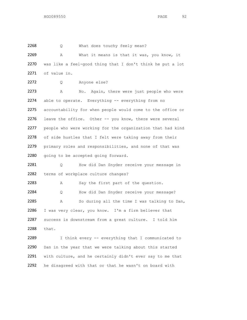2268 Q What does touchy feely mean? 2269 A What it means is that it was, you know, it 2270 was like a feel-good thing that I don't think he put a lot 2271 of value in. 2272 Q Anyone else? 2273 A No. Again, there were just people who were 2274 able to operate. Everything -- everything from no 2275 accountability for when people would come to the office or 2276 leave the office. Other -- you know, there were several 2277 people who were working for the organization that had kind 2278 of side hustles that I felt were taking away from their 2279 primary roles and responsibilities, and none of that was 2280 going to be accepted going forward. 2281 Q How did Dan Snyder receive your message in 2282 terms of workplace culture changes? 2283 A Say the first part of the question. 2284 Q How did Dan Snyder receive your message? 2285 A So during all the time I was talking to Dan, 2286 I was very clear, you know. I'm a firm believer that 2287 success is downstream from a great culture. I told him 2288 that. 2289 I think every -- everything that I communicated to 2290 Dan in the year that we were talking about this started 2291 with culture, and he certainly didn't ever say to me that 2292 he disagreed with that or that he wasn't on board with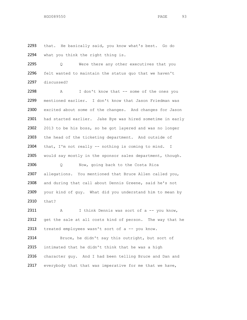2293 that. He basically said, you know what's best. Go do 2294 what you think the right thing is.

2295 Q Were there any other executives that you 2296 felt wanted to maintain the status quo that we haven't 2297 discussed?

2298 A I don't know that -- some of the ones you 2299 mentioned earlier. I don't know that Jason Friedman was 2300 excited about some of the changes. And changes for Jason 2301 had started earlier. Jake Bye was hired sometime in early 2302 2013 to be his boss, so he got layered and was no longer 2303 the head of the ticketing department. And outside of 2304 that, I'm not really -- nothing is coming to mind. I 2305 would say mostly in the sponsor sales department, though.

2306 Q Now, going back to the Costa Rica 2307 allegations. You mentioned that Bruce Allen called you, 2308 and during that call about Dennis Greene, said he's not 2309 your kind of guy. What did you understand him to mean by 2310 that?

2311 A I think Dennis was sort of a -- you know, 2312 get the sale at all costs kind of person. The way that he 2313 treated employees wasn't sort of a -- you know.

2314 Bruce, he didn't say this outright, but sort of 2315 intimated that he didn't think that he was a high 2316 character guy. And I had been telling Bruce and Dan and 2317 everybody that that was imperative for me that we have,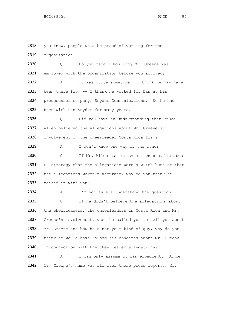2318 you know, people we'd be proud of working for the 2319 organization.

2320 Q Do you recall how long Mr. Greene was 2321 employed with the organization before you arrived? 2322 A It was quite sometime. I think he may have 2323 been there from -- I think he worked for Dan at his 2324 predecessor company, Snyder Communications. So he had 2325 been with Dan Snyder for many years. 2326 Q Did you have an understanding that Bruce 2327 Allen believed the allegations about Mr. Greene's 2328 involvement in the cheerleader Costa Rica trip? 2329 A I don't know one way or the other. 2330 Q If Mr. Allen had raised on these calls about 2331 PR strategy that the allegations were a witch hunt or that 2332 the allegations weren't accurate, why do you think he 2333 raised it with you? 2334 A I'm not sure I understand the question. 2335 Q If he didn't believe the allegations about 2336 the cheerleaders, the cheerleaders in Costa Rica and Mr. 2337 Greene's involvement, when he called you to tell you about 2338 Mr. Greene and how he's not your kind of guy, why do you 2339 think he would have raised his concerns about Mr. Greene 2340 in connection with the cheerleader allegations? 2341 A I can only assume it was expedient. Since 2342 Mr. Greene's name was all over those press reports, Mr.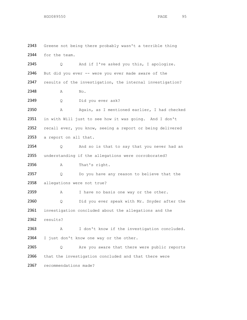2343 Greene not being there probably wasn't a terrible thing 2344 for the team. 2345 Q And if I've asked you this, I apologize. 2346 But did you ever -- were you ever made aware of the 2347 results of the investigation, the internal investigation? 2348 A No. 2349 Q Did you ever ask? 2350 A Again, as I mentioned earlier, I had checked 2351 in with Will just to see how it was going. And I don't 2352 recall ever, you know, seeing a report or being delivered 2353 a report on all that. 2354 Q And so is that to say that you never had an 2355 understanding if the allegations were corroborated? 2356 A That's right. 2357 Q Do you have any reason to believe that the 2358 allegations were not true? 2359 A I have no basis one way or the other. 2360 Q Did you ever speak with Mr. Snyder after the 2361 investigation concluded about the allegations and the 2362 results? 2363 A I don't know if the investigation concluded. 2364 I just don't know one way or the other. 2365 Q Are you aware that there were public reports 2366 that the investigation concluded and that there were 2367 recommendations made?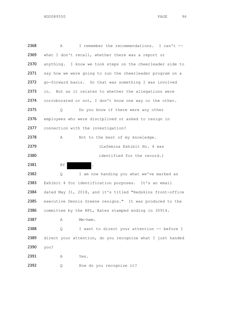| 2368 | Α    | I remember the recommendations. I can't --                 |
|------|------|------------------------------------------------------------|
| 2369 |      | what I don't recall, whether there was a report or         |
| 2370 |      | anything. I know we took steps on the cheerleader side to  |
| 2371 |      | say how we were going to run the cheerleader program on a  |
| 2372 |      | go-forward basis. So that was something I was involved     |
| 2373 | in.  | But as it relates to whether the allegations were          |
| 2374 |      | corroborated or not, I don't know one way or the other.    |
| 2375 | Q    | Do you know if there were any other                        |
| 2376 |      | employees who were disciplined or asked to resign in       |
| 2377 |      | connection with the investigation?                         |
| 2378 | Α    | Not to the best of my knowledge.                           |
| 2379 |      | (Lafemina Exhibit No. 4 was                                |
| 2380 |      | identified for the record.)                                |
| 2381 | BY   | $\ddot{\phantom{a}}$                                       |
| 2382 | Q    | I am now handing you what we've marked as                  |
| 2383 |      | Exhibit 4 for identification purposes. It's an email       |
| 2384 |      | dated May 31, 2018, and it's titled "Redskins front-office |
| 2385 |      | executive Dennis Greene resigns." It was produced to the   |
| 2386 |      | committee by the NFL, Bates stamped ending in 30914.       |
| 2387 | Α    | Mm-hmm.                                                    |
| 2388 | Q    | I want to direct your attention -- before I                |
| 2389 |      | direct your attention, do you recognize what I just handed |
| 2390 | you? |                                                            |
| 2391 | Α    | Yes.                                                       |
| 2392 | Q    | How do you recognize it?                                   |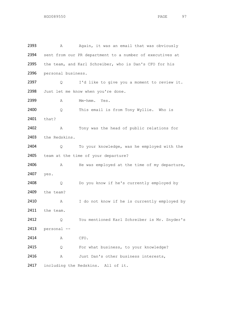| 2393 | Α                  | Again, it was an email that was obviously                |
|------|--------------------|----------------------------------------------------------|
| 2394 |                    | sent from our PR department to a number of executives at |
| 2395 |                    | the team, and Karl Schreiber, who is Dan's CFO for his   |
| 2396 | personal business. |                                                          |
| 2397 | Q.                 | I'd like to give you a moment to review it.              |
| 2398 |                    | Just let me know when you're done.                       |
| 2399 | Α                  | Mm-hmm. Yes.                                             |
| 2400 | Q.                 | This email is from Tony Wyllie. Who is                   |
| 2401 | that?              |                                                          |
| 2402 | Α                  | Tony was the head of public relations for                |
| 2403 | the Redskins.      |                                                          |
| 2404 | Q                  | To your knowledge, was he employed with the              |
| 2405 |                    | team at the time of your departure?                      |
| 2406 | А                  | He was employed at the time of my departure,             |
| 2407 | yes.               |                                                          |
| 2408 | Q                  | Do you know if he's currently employed by                |
| 2409 | the team?          |                                                          |
| 2410 | Α                  | I do not know if he is currently employed by             |
| 2411 | the team.          |                                                          |
| 2412 | Q                  | You mentioned Karl Schreiber is Mr. Snyder's             |
| 2413 | personal --        |                                                          |
| 2414 | A                  | CFO.                                                     |
| 2415 | Q                  | For what business, to your knowledge?                    |
| 2416 | Α                  | Just Dan's other business interests,                     |
| 2417 |                    | including the Redskins. All of it.                       |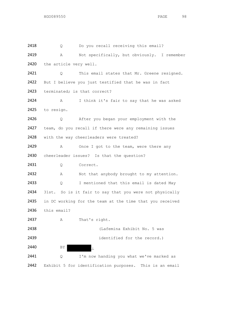2418 Q Do you recall receiving this email? 2419 A Not specifically, but obviously. I remember 2420 the article very well. 2421 Q This email states that Mr. Greene resigned. 2422 But I believe you just testified that he was in fact 2423 terminated; is that correct? 2424 A I think it's fair to say that he was asked 2425 to resign. 2426 Q After you began your employment with the 2427 team, do you recall if there were any remaining issues 2428 with the way cheerleaders were treated? 2429 A Once I got to the team, were there any 2430 cheerleader issues? Is that the question? 2431 Q Correct. 2432 A Not that anybody brought to my attention. 2433 Q I mentioned that this email is dated May 2434 31st. So is it fair to say that you were not physically 2435 in DC working for the team at the time that you received 2436 this email? 2437 A That's right. 2438 (Lafemina Exhibit No. 5 was 2439 identified for the record.) 2440 BY  $BY$ 2441 Q I'm now handing you what we've marked as 2442 Exhibit 5 for identification purposes. This is an email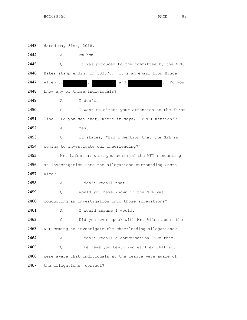2443 dated May 31st, 2018. 2444 A Mm-hmm. 2445 Q It was produced to the committee by the NFL, 2446 Bates stamp ending in 133370. It's an email from Bruce 2447 Allen to , and and . Do you 2448 know any of those individuals? 2449 A I don't. 2450 Q I want to direct your attention to the first 2451 line. Do you see that, where it says, "Did I mention"? 2452 A Yes. 2453 Q It states, "Did I mention that the NFL is 2454 coming to investigate our cheerleading?" 2455 Mr. Lafemina, were you aware of the NFL conducting 2456 an investigation into the allegations surrounding Costa 2457 Rica? 2458 A I don't recall that. 2459 0 Would you have known if the NFL was 2460 conducting an investigation into those allegations? 2461 A I would assume I would. 2462 Q Did you ever speak with Mr. Allen about the 2463 NFL coming to investigate the cheerleading allegations? 2464 A I don't recall a conversation like that. 2465 Q I believe you testified earlier that you 2466 were aware that individuals at the league were aware of 2467 the allegations, correct?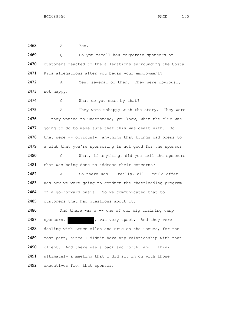2468 A Yes. 2469 Q Do you recall how corporate sponsors or 2470 customers reacted to the allegations surrounding the Costa 2471 Rica allegations after you began your employment? 2472 A Yes, several of them. They were obviously 2473 not happy. 2474 0 What do you mean by that? 2475 A They were unhappy with the story. They were 2476 -- they wanted to understand, you know, what the club was 2477 going to do to make sure that this was dealt with. So 2478 they were -- obviously, anything that brings bad press to 2479 a club that you're sponsoring is not good for the sponsor. 2480 Q What, if anything, did you tell the sponsors 2481 that was being done to address their concerns? 2482 A So there was -- really, all I could offer 2483 was how we were going to conduct the cheerleading program 2484 on a go-forward basis. So we communicated that to 2485 customers that had questions about it. 2486 And there was a -- one of our big training camp 2487 sponsors, was very upset. And they were 2488 dealing with Bruce Allen and Eric on the issues, for the 2489 most part, since I didn't have any relationship with that 2490 client. And there was a back and forth, and I think 2491 ultimately a meeting that I did sit in on with those 2492 executives from that sponsor.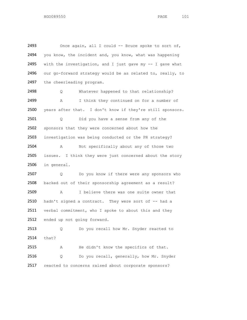2493 Once again, all I could -- Bruce spoke to sort of, 2494 you know, the incident and, you know, what was happening 2495 with the investigation, and I just gave my  $-$  I gave what 2496 our go-forward strategy would be as related to, really, to 2497 the cheerleading program. 2498 Q Whatever happened to that relationship? 2499 A I think they continued on for a number of 2500 years after that. I don't know if they're still sponsors. 2501 Q Did you have a sense from any of the 2502 sponsors that they were concerned about how the 2503 investigation was being conducted or the PR strategy? 2504 A Not specifically about any of those two 2505 issues. I think they were just concerned about the story 2506 in general. 2507 Q Do you know if there were any sponsors who 2508 backed out of their sponsorship agreement as a result? 2509 A I believe there was one suite owner that 2510 hadn't signed a contract. They were sort of -- had a 2511 verbal commitment, who I spoke to about this and they 2512 ended up not going forward. 2513 Q Do you recall how Mr. Snyder reacted to 2514 that? 2515 A He didn't know the specifics of that. 2516 Q Do you recall, generally, how Mr. Snyder 2517 reacted to concerns raised about corporate sponsors?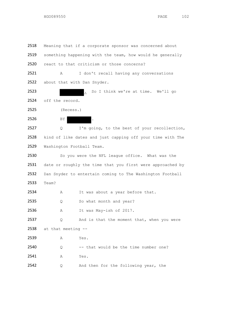2518 Meaning that if a corporate sponsor was concerned about 2519 something happening with the team, how would he generally 2520 react to that criticism or those concerns? 2521 A I don't recall having any conversations 2522 about that with Dan Snyder. 2523 . So I think we're at time. We'll go 2524 off the record. 2525 (Recess.) 2526 BY 2527 Q I'm going, to the best of your recollection, 2528 kind of like dates and just capping off your time with The 2529 Washington Football Team. 2530 So you were the NFL league office. What was the 2531 date or roughly the time that you first were approached by 2532 Dan Snyder to entertain coming to The Washington Football 2533 Team? 2534 A It was about a year before that. 2535 Q So what month and year? 2536 A It was May-ish of 2017. 2537 Q And is that the moment that, when you were 2538 at that meeting -- 2539 A Yes.  $2540$  Q -- that would be the time number one? 2541 A Yes. 2542 Q And then for the following year, the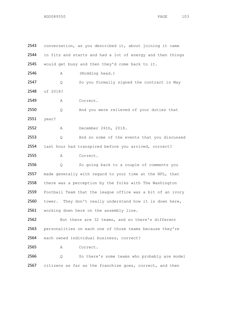| 2543 | conversation, as you described it, about joining it came    |
|------|-------------------------------------------------------------|
| 2544 | in fits and starts and had a lot of energy and then things  |
| 2545 | would get busy and then they'd come back to it.             |
| 2546 | (Nodding head.)<br>Α                                        |
| 2547 | So you formally signed the contract in May<br>Q             |
| 2548 | of 2018?                                                    |
| 2549 | Correct.<br>Α                                               |
| 2550 | And you were relieved of your duties that<br>Q              |
| 2551 | year?                                                       |
| 2552 | December 26th, 2018.<br>Α                                   |
| 2553 | And so some of the events that you discussed<br>Q           |
| 2554 | last hour had transpired before you arrived, correct?       |
| 2555 | Α<br>Correct.                                               |
| 2556 | So going back to a couple of comments you<br>Q              |
| 2557 | made generally with regard to your time at the NFL, that    |
| 2558 | there was a perception by the folks with The Washington     |
| 2559 | Football Team that the league office was a bit of an ivory  |
| 2560 | They don't really understand how it is down here,<br>tower. |
| 2561 | working down here on the assembly line.                     |
| 2562 | But there are 32 teams, and so there's different            |
| 2563 | personalities on each one of those teams because they're    |
| 2564 | each owned individual business, correct?                    |
| 2565 | Correct.<br>Α                                               |
| 2566 | So there's some teams who probably are model<br>Q.          |
| 2567 | citizens as far as the franchise goes, correct, and then    |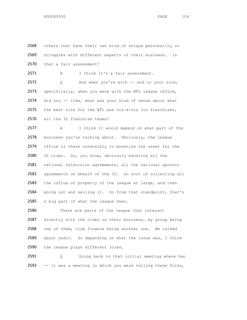2568 others that have their own kind of unique personality or 2569 struggles with different aspects of their business. Is 2570 that a fair assessment?

2571 A I think it's a fair assessment.

 Q And when you're with -- and in your role, 2573 specifically, when you were with the NFL league office, did you -- like, what was your kind of sense about what the best role for the NFL was vis-à-vis its franchises, all the 32 franchise teams?

2577 A I think it would depend on what part of the 2578 business you're talking about. Obviously, the league 2579 office is there ostensibly to monetize the asset for the 2580 32 clubs. So, you know, obviously handling all the 2581 national television agreements, all the national sponsor 2582 agreements on behalf of the 32. So sort of collecting all 2583 the influx of property of the league at large, and then 2584 going out and selling it. So from that standpoint, that's 2585 a big part of what the league does.

2586 There are parts of the league that interact 2587 directly with the clubs on their business, my group being 2588 one of them, club finance being another one. We talked 2589 about audit. So depending on what the issue was, I think 2590 the league plays different roles.

2591 Q Going back to that initial meeting where Dan 2592 -- it was a meeting in which you were telling these folks,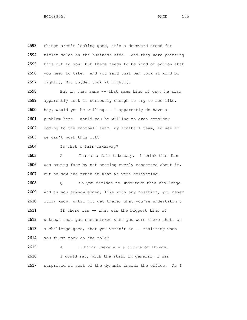things aren't looking good, it's a downward trend for ticket sales on the business side. And they were pointing this out to you, but there needs to be kind of action that you need to take. And you said that Dan took it kind of lightly, Mr. Snyder took it lightly.

2598 But in that same  $-$  that same kind of day, he also 2599 apparently took it seriously enough to try to see like, 2600 hey, would you be willing -- I apparently do have a 2601 problem here. Would you be willing to even consider 2602 coming to the football team, my football team, to see if 2603 we can't work this out?

2604 Is that a fair takeaway?

2605 A That's a fair takeaway. I think that Dan 2606 was saving face by not seeming overly concerned about it, 2607 but he saw the truth in what we were delivering.

2608 Q So you decided to undertake this challenge. 2609 And as you acknowledged, like with any position, you never 2610 fully know, until you get there, what you're undertaking.

2611 If there was -- what was the biggest kind of 2612 unknown that you encountered when you were there that, as  $2613$  a challenge goes, that you weren't as  $-$ - realizing when

2614 you first took on the role?

2615 A I think there are a couple of things. 2616 I would say, with the staff in general, I was 2617 surprised at sort of the dynamic inside the office. As I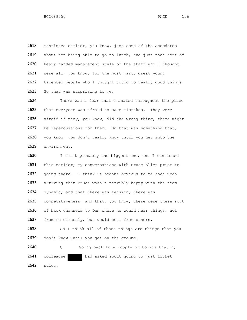2618 mentioned earlier, you know, just some of the anecdotes 2619 about not being able to go to lunch, and just that sort of 2620 heavy-handed management style of the staff who I thought 2621 were all, you know, for the most part, great young 2622 talented people who I thought could do really good things. 2623 So that was surprising to me.

2624 There was a fear that emanated throughout the place 2625 that everyone was afraid to make mistakes. They were 2626 afraid if they, you know, did the wrong thing, there might 2627 be repercussions for them. So that was something that, 2628 you know, you don't really know until you get into the 2629 environment.

2630 I think probably the biggest one, and I mentioned 2631 this earlier, my conversations with Bruce Allen prior to 2632 going there. I think it became obvious to me soon upon 2633 arriving that Bruce wasn't terribly happy with the team 2634 dynamic, and that there was tension, there was 2635 competitiveness, and that, you know, there were these sort 2636 of back channels to Dan where he would hear things, not 2637 from me directly, but would hear from others.

2638 So I think all of those things are things that you 2639 don't know until you get on the ground.

2640 Q Going back to a couple of topics that my 2641 colleague had asked about going to just ticket 2642 sales.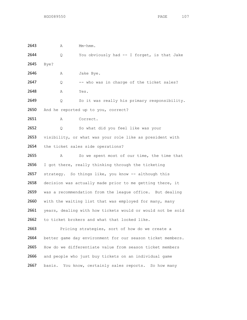2643 A Mm-hmm. 2644 Q You obviously had -- I forget, is that Jake 2645 Bye? 2646 A Jake Bye. 2647 Q -- who was in charge of the ticket sales? 2648 A Yes. 2649 Q So it was really his primary responsibility. 2650 And he reported up to you, correct? 2651 A Correct. 2652 Q So what did you feel like was your 2653 visibility, or what was your role like as president with 2654 the ticket sales side operations? 2655 A So we spent most of our time, the time that 2656 I got there, really thinking through the ticketing 2657 strategy. So things like, you know -- although this 2658 decision was actually made prior to me getting there, it 2659 was a recommendation from the league office. But dealing 2660 with the waiting list that was employed for many, many 2661 years, dealing with how tickets would or would not be sold 2662 to ticket brokers and what that looked like. 2663 Pricing strategies, sort of how do we create a 2664 better game day environment for our season ticket members. 2665 How do we differentiate value from season ticket members 2666 and people who just buy tickets on an individual game 2667 basis. You know, certainly sales reports. So how many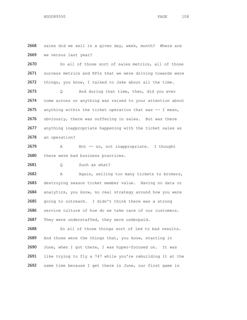2668 sales did we sell in a given day, week, month? Where are 2669 we versus last year?

2670 So all of those sort of sales metrics, all of those 2671 success metrics and KPIs that we were driving towards were 2672 things, you know, I talked to Jake about all the time. 2673 Q And during that time, then, did you ever 2674 come across or anything was raised to your attention about 2675 anything within the ticket operation that was -- I mean, 2676 obviously, there was suffering in sales. But was there 2677 anything inappropriate happening with the ticket sales as 2678 an operation?

2679 A Not -- no, not inappropriate. I thought 2680 there were bad business practices.

2681 Q Such as what?

2682 A Again, selling too many tickets to brokers, 2683 destroying season ticket member value. Having no data or 2684 analytics, you know, no real strategy around how you were 2685 going to outreach. I didn't think there was a strong 2686 service culture of how do we take care of our customers. 2687 They were understaffed, they were underpaid.

2688 So all of those things sort of led to bad results. 2689 And those were the things that, you know, starting in 2690 June, when I got there, I was hyper-focused on. It was 2691 like trying to fly a 747 while you're rebuilding it at the 2692 same time because I get there in June, our first game is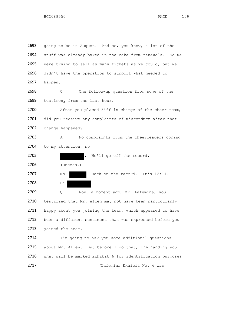| 2693 | going to be in August. And so, you know, a lot of the      |
|------|------------------------------------------------------------|
| 2694 | stuff was already baked in the cake from renewals. So we   |
| 2695 | were trying to sell as many tickets as we could, but we    |
| 2696 | didn't have the operation to support what needed to        |
| 2697 | happen.                                                    |
| 2698 | One follow-up question from some of the<br>Q.              |
| 2699 | testimony from the last hour.                              |
| 2700 | After you placed Ziff in charge of the cheer team,         |
| 2701 | did you receive any complaints of misconduct after that    |
| 2702 | change happened?                                           |
| 2703 | No complaints from the cheerleaders coming<br>Α            |
| 2704 | to my attention, no.                                       |
| 2705 | We'll go off the record.<br>$\overline{a}$                 |
| 2706 | (Recess.)                                                  |
| 2707 | Back on the record. It's 12:11.<br>Ms.                     |
| 2708 | ΒY<br>$\ddot{\phantom{a}}$                                 |
| 2709 | Now, a moment ago, Mr. Lafemina, you<br>Q                  |
| 2710 | testified that Mr. Allen may not have been particularly    |
| 2711 | happy about you joining the team, which appeared to have   |
| 2712 | been a different sentiment than was expressed before you   |
| 2713 | joined the team.                                           |
| 2714 | I'm going to ask you some additional questions             |
| 2715 | about Mr. Allen. But before I do that, I'm handing you     |
| 2716 | what will be marked Exhibit 6 for identification purposes. |
| 2717 | (Lafemina Exhibit No. 6 was                                |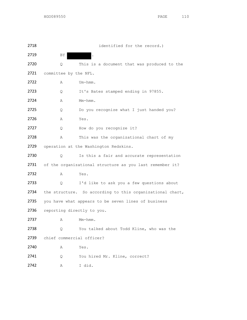| 2718 |                            | identified for the record.)                               |
|------|----------------------------|-----------------------------------------------------------|
| 2719 | BY.                        |                                                           |
| 2720 | Q                          | This is a document that was produced to the               |
| 2721 | committee by the NFL.      |                                                           |
| 2722 | A                          | $Um - hmm$ .                                              |
| 2723 | Q.                         | It's Bates stamped ending in 97855.                       |
| 2724 | Α                          | Mm-hmm.                                                   |
| 2725 | Q.                         | Do you recognize what I just handed you?                  |
| 2726 | Α                          | Yes.                                                      |
| 2727 | Q.                         | How do you recognize it?                                  |
| 2728 | Α                          | This was the organizational chart of my                   |
| 2729 |                            | operation at the Washington Redskins.                     |
| 2730 | O                          | Is this a fair and accurate representation                |
| 2731 |                            | of the organizational structure as you last remember it?  |
| 2732 | A                          | Yes.                                                      |
| 2733 | Q.                         | I'd like to ask you a few questions about                 |
| 2734 |                            | the structure. So according to this organizational chart, |
| 2735 |                            | you have what appears to be seven lines of business       |
| 2736 | reporting directly to you. |                                                           |
| 2737 | Α                          | $Mm-hmm$ .                                                |
| 2738 | Q                          | You talked about Todd Kline, who was the                  |
| 2739 | chief commercial officer?  |                                                           |
| 2740 | Α                          | Yes.                                                      |
| 2741 | Q                          | You hired Mr. Kline, correct?                             |
| 2742 | Α                          | I did.                                                    |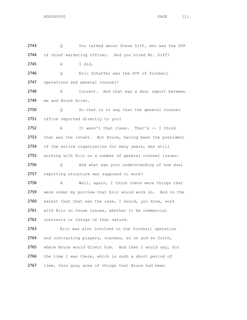2743 Q You talked about Steve Ziff, who was the SVP 2744 of chief marketing officer. And you hired Mr. Ziff? 2745 A I did. 2746 Q Eric Schaffer was the SVP of football 2747 operations and general counsel? 2748 A Correct. And that was a dual report between 2749 me and Bruce Allen. 2750 Q So that is to say that the general counsel 2751 office reported directly to you? 2752 A It wasn't that clean. That's -- I think 2753 that was the intent. But Bruce, having been the president 2754 of the entire organization for many years, was still 2755 working with Eric on a number of general counsel issues. 2756 Q And what was your understanding of how dual 2757 reporting structure was supposed to work? 2758 A Well, again, I think there were things that 2759 were under my purview that Eric would work on. And to the 2760 extent that that was the case, I would, you know, work 2761 with Eric on those issues, whether it be commercial 2762 contracts or things of that nature. 2763 Eric was also involved in the football operation 2764 and contracting players, coaches, so on and so forth, 2765 where Bruce would direct him. And then I would say, for 2766 the time I was there, which is such a short period of 2767 time, this gray area of things that Bruce had been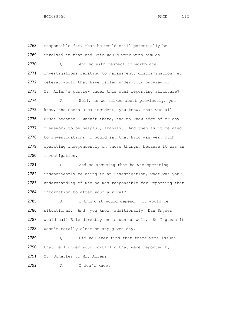2768 responsible for, that he would still potentially be 2769 involved in that and Eric would work with him on. 2770 Q And so with respect to workplace 2771 investigations relating to harassment, discrimination, et 2772 cetera, would that have fallen under your purview or 2773 Mr. Allen's purview under this dual reporting structure? 2774 A Well, as we talked about previously, you 2775 know, the Costa Rica incident, you know, that was all 2776 Bruce because I wasn't there, had no knowledge of or any 2777 framework to be helpful, frankly. And then as it related 2778 to investigations, I would say that Eric was very much 2779 operating independently on those things, because it was an 2780 investigation.

2781 Q And so assuming that he was operating 2782 independently relating to an investigation, what was your 2783 understanding of who he was responsible for reporting that 2784 information to after your arrival?

2785 A I think it would depend. It would be 2786 situational. And, you know, additionally, Dan Snyder 2787 would call Eric directly on issues as well. So I guess it 2788 wasn't totally clear on any given day.

2789 Q Did you ever find that there were issues 2790 that fell under your portfolio that were reported by 2791 Mr. Schaffer to Mr. Allen?

2792 A I don't know.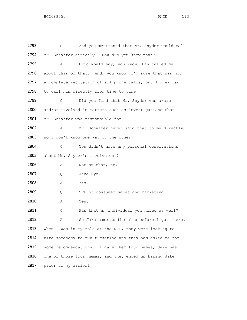2793 Q And you mentioned that Mr. Snyder would call 2794 Mr. Schaffer directly. How did you know that? 2795 A Eric would say, you know, Dan called me 2796 about this or that. And, you know, I'm sure that was not 2797 a complete recitation of all phone calls, but I knew Dan 2798 to call him directly from time to time. 2799 0 Did you find that Mr. Snyder was aware 2800 and/or involved in matters such as investigations that 2801 Mr. Schaffer was responsible for? 2802 A Mr. Schaffer never said that to me directly, 2803 so I don't know one way or the other. 2804 Q You didn't have any personal observations 2805 about Mr. Snyder's involvement? 2806 A Not on that, no. 2807 Q Jake Bye? 2808 A Yes. 2809 0 SVP of consumer sales and marketing. 2810 A Yes. 2811 Q Was that an individual you hired as well? 2812 A So Jake came to the club before I got there. 2813 When I was in my role at the NFL, they were looking to 2814 hire somebody to run ticketing and they had asked me for 2815 some recommendations. I gave them four names, Jake was 2816 one of those four names, and they ended up hiring Jake 2817 prior to my arrival.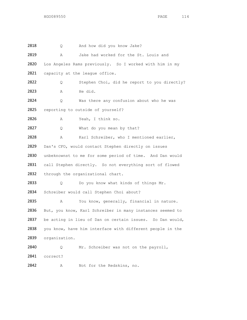2818 Q And how did you know Jake? 2819 A Jake had worked for the St. Louis and 2820 Los Angeles Rams previously. So I worked with him in my 2821 capacity at the league office. 2822 Q Stephen Choi, did he report to you directly? 2823 A He did. 2824 Q Was there any confusion about who he was 2825 reporting to outside of yourself? 2826 A Yeah, I think so. 2827 Q What do you mean by that? 2828 A Karl Schreiber, who I mentioned earlier, 2829 Dan's CFO, would contact Stephen directly on issues 2830 unbeknownst to me for some period of time. And Dan would 2831 call Stephen directly. So not everything sort of flowed 2832 through the organizational chart. 2833 Q Do you know what kinds of things Mr. 2834 Schreiber would call Stephen Choi about? 2835 A You know, generally, financial in nature. 2836 But, you know, Karl Schreiber in many instances seemed to 2837 be acting in lieu of Dan on certain issues. So Dan would, 2838 you know, have him interface with different people in the 2839 organization. 2840 Q Mr. Schreiber was not on the payroll, 2841 correct? 2842 A Not for the Redskins, no.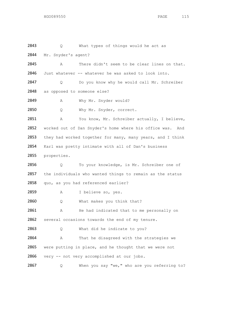2843 Q What types of things would he act as 2844 Mr. Snyder's agent? 2845 A There didn't seem to be clear lines on that. 2846 Just whatever -- whatever he was asked to look into. 2847 Q Do you know why he would call Mr. Schreiber 2848 as opposed to someone else? 2849 A Why Mr. Snyder would? 2850 Q Why Mr. Snyder, correct. 2851 A You know, Mr. Schreiber actually, I believe, 2852 worked out of Dan Snyder's home where his office was. And 2853 they had worked together for many, many years, and I think 2854 Karl was pretty intimate with all of Dan's business 2855 properties. 2856 Q To your knowledge, is Mr. Schreiber one of 2857 the individuals who wanted things to remain as the status 2858 quo, as you had referenced earlier? 2859 A I believe so, yes. 2860 Q What makes you think that? 2861 A He had indicated that to me personally on 2862 several occasions towards the end of my tenure. 2863 Q What did he indicate to you? 2864 A That he disagreed with the strategies we 2865 were putting in place, and he thought that we were not 2866 very -- not very accomplished at our jobs. 2867 Q When you say "we," who are you referring to?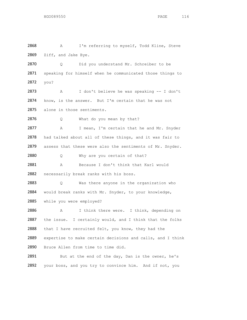2868 A I'm referring to myself, Todd Kline, Steve 2869 Ziff, and Jake Bye. 2870 Q Did you understand Mr. Schreiber to be 2871 speaking for himself when he communicated those things to 2872 you? 2873 A I don't believe he was speaking -- I don't 2874 know, is the answer. But I'm certain that he was not 2875 alone in those sentiments. 2876 Q What do you mean by that? 2877 A I mean, I'm certain that he and Mr. Snyder 2878 had talked about all of these things, and it was fair to 2879 assess that these were also the sentiments of Mr. Snyder. 2880 Q Why are you certain of that? 2881 A Because I don't think that Karl would 2882 necessarily break ranks with his boss. 2883 Q Was there anyone in the organization who 2884 would break ranks with Mr. Snyder, to your knowledge, 2885 while you were employed? 2886 A I think there were. I think, depending on 2887 the issue. I certainly would, and I think that the folks 2888 that I have recruited felt, you know, they had the 2889 expertise to make certain decisions and calls, and I think 2890 Bruce Allen from time to time did. 2891 But at the end of the day, Dan is the owner, he's 2892 your boss, and you try to convince him. And if not, you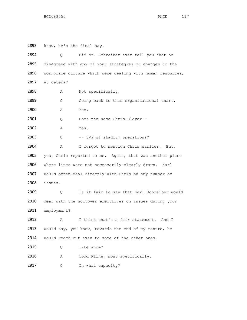2893 know, he's the final say. 2894 Q Did Mr. Schreiber ever tell you that he 2895 disagreed with any of your strategies or changes to the 2896 workplace culture which were dealing with human resources, 2897 et cetera? 2898 A Not specifically. 2899 Q Going back to this organizational chart. 2900 A Yes. 2901 Q Does the name Chris Bloyar --2902 A Yes. 2903 Q -- SVP of stadium operations? 2904 A I forgot to mention Chris earlier. But, 2905 yes, Chris reported to me. Again, that was another place 2906 where lines were not necessarily clearly drawn. Karl 2907 would often deal directly with Chris on any number of 2908 issues. 2909 0 Is it fair to say that Karl Schreiber would 2910 deal with the holdover executives on issues during your 2911 employment? 2912 A I think that's a fair statement. And I 2913 would say, you know, towards the end of my tenure, he 2914 would reach out even to some of the other ones. 2915 Q Like whom? 2916 A Todd Kline, most specifically. 2917 Q In what capacity?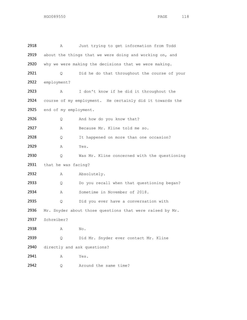| 2918 | Α                           | Just trying to get information from Todd                 |
|------|-----------------------------|----------------------------------------------------------|
| 2919 |                             | about the things that we were doing and working on, and  |
| 2920 |                             | why we were making the decisions that we were making.    |
| 2921 | Q.                          | Did he do that throughout the course of your             |
| 2922 | employment?                 |                                                          |
| 2923 | Α                           | I don't know if he did it throughout the                 |
| 2924 |                             | course of my employment. He certainly did it towards the |
| 2925 | end of my employment.       |                                                          |
| 2926 | Q.                          | And how do you know that?                                |
| 2927 | Α                           | Because Mr. Kline told me so.                            |
| 2928 | Q.                          | It happened on more than one occasion?                   |
| 2929 | Α                           | Yes.                                                     |
| 2930 | Q.                          | Was Mr. Kline concerned with the questioning             |
| 2931 | that he was facing?         |                                                          |
| 2932 | Α                           | Absolutely.                                              |
| 2933 | Q.                          | Do you recall when that questioning began?               |
| 2934 | Α                           | Sometime in November of 2018.                            |
| 2935 | Q                           | Did you ever have a conversation with                    |
| 2936 |                             | Mr. Snyder about those questions that were raised by Mr. |
| 2937 | Schreiber?                  |                                                          |
| 2938 | Α                           | No.                                                      |
| 2939 | Q                           | Did Mr. Snyder ever contact Mr. Kline                    |
| 2940 | directly and ask questions? |                                                          |
| 2941 | Α                           | Yes.                                                     |
| 2942 | Q                           | Around the same time?                                    |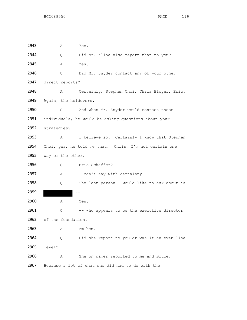| 2943 | Α                     | Yes.                                                   |
|------|-----------------------|--------------------------------------------------------|
| 2944 | Q.                    | Did Mr. Kline also report that to you?                 |
| 2945 | Α                     | Yes.                                                   |
| 2946 | Q.                    | Did Mr. Snyder contact any of your other               |
| 2947 | direct reports?       |                                                        |
| 2948 | Α                     | Certainly, Stephen Choi, Chris Bloyar, Eric.           |
| 2949 | Again, the holdovers. |                                                        |
| 2950 | Q.                    | And when Mr. Snyder would contact those                |
| 2951 |                       | individuals, he would be asking questions about your   |
| 2952 | strategies?           |                                                        |
| 2953 | Α                     | I believe so. Certainly I know that Stephen            |
| 2954 |                       | Choi, yes, he told me that. Chris, I'm not certain one |
| 2955 | way or the other.     |                                                        |
| 2956 | Q.                    | Eric Schaffer?                                         |
| 2957 | Α                     | I can't say with certainty.                            |
| 2958 | 0                     | The last person I would like to ask about is           |
| 2959 |                       |                                                        |
| 2960 | Α                     | Yes.                                                   |
| 2961 | Q                     | -- who appears to be the executive director            |
| 2962 | of the foundation.    |                                                        |
| 2963 | Α                     | $Mm-hmm$ .                                             |
| 2964 | Q.                    | Did she report to you or was it an even-line           |
| 2965 | level?                |                                                        |
| 2966 | Α                     | She on paper reported to me and Bruce.                 |
| 2967 |                       | Because a lot of what she did had to do with the       |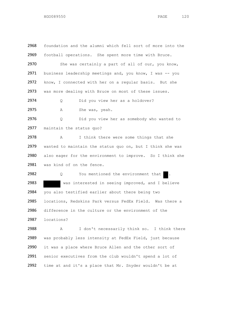2968 foundation and the alumni which fell sort of more into the 2969 football operations. She spent more time with Bruce. 2970 She was certainly a part of all of our, you know, 2971 business leadership meetings and, you know, I was -- you 2972 know, I connected with her on a regular basis. But she 2973 was more dealing with Bruce on most of these issues. 2974 O Did you view her as a holdover? 2975 A She was, yeah. 2976 Q Did you view her as somebody who wanted to 2977 maintain the status quo? 2978 A I think there were some things that she 2979 wanted to maintain the status quo on, but I think she was 2980 also eager for the environment to improve. So I think she 2981 was kind of on the fence. 2982 Q You mentioned the environment that . 2983 was interested in seeing improved, and I believe 2984 you also testified earlier about there being two 2985 locations, Redskins Park versus FedEx Field. Was there a 2986 difference in the culture or the environment of the 2987 locations? 2988 A I don't necessarily think so. I think there 2989 was probably less intensity at FedEx Field, just because 2990 it was a place where Bruce Allen and the other sort of 2991 senior executives from the club wouldn't spend a lot of 2992 time at and it's a place that Mr. Snyder wouldn't be at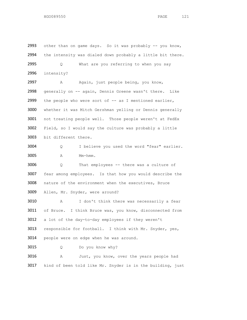2993 other than on game days. So it was probably  $-$ - you know, the intensity was dialed down probably a little bit there. Q What are you referring to when you say intensity? 2997 A Again, just people being, you know, generally on -- again, Dennis Greene wasn't there. Like 2999 the people who were sort of -- as I mentioned earlier, whether it was Mitch Gershman yelling or Dennis generally not treating people well. Those people weren't at FedEx Field, so I would say the culture was probably a little bit different there. Q I believe you used the word "fear" earlier. A Mm-hmm. Q That employees -- there was a culture of fear among employees. Is that how you would describe the nature of the environment when the executives, Bruce Allen, Mr. Snyder, were around? A I don't think there was necessarily a fear of Bruce. I think Bruce was, you know, disconnected from a lot of the day-to-day employees if they weren't responsible for football. I think with Mr. Snyder, yes, people were on edge when he was around. Q Do you know why? A Just, you know, over the years people had kind of been told like Mr. Snyder is in the building, just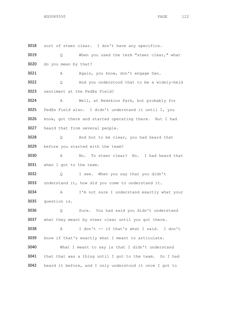sort of steer clear. I don't have any specifics. Q When you used the term "steer clear," what do you mean by that? A Again, you know, don't engage Dan. Q And you understood that to be a widely-held sentiment at the FedEx Field? A Well, at Redskins Park, but probably for FedEx Field also. I didn't understand it until I, you know, got there and started operating there. But I had heard that from several people. Q And but to be clear, you had heard that before you started with the team? A No. To steer clear? No. I had heard that when I got to the team. Q I see. When you say that you didn't understand it, how did you come to understand it. A I'm not sure I understand exactly what your question is. Q Sure. You had said you didn't understand 3037 what they meant by steer clear until you got there. A I don't -- if that's what I said. I don't know if that's exactly what I meant to articulate. What I meant to say is that I didn't understand that that was a thing until I got to the team. So I had heard it before, and I only understood it once I got to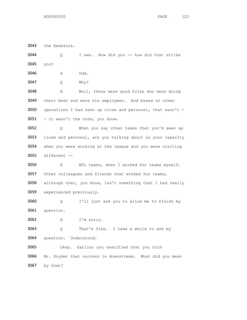the Redskins. Q I see. How did you -- how did that strike you? A Odd. Q Why? A Well, these were good folks who were doing their best and were his employees. And based on other operations I had seen up close and personal, that wasn't - 3051 - it wasn't the norm, you know. Q When you say other teams that you'd seen up close and personal, are you talking about in your capacity when you were working at the league and you were visiting different -- A NFL teams, when I worked for teams myself. 3057 Other colleagues and friends that worked for teams, although that, you know, isn't something that I had really experienced previously. Q I'll just ask you to allow me to finish my question. A I'm sorry. Q That's fine. I take a while to ask my question. Understood. Okay. Earlier you testified that you told Mr. Snyder that success is downstream. What did you mean by that?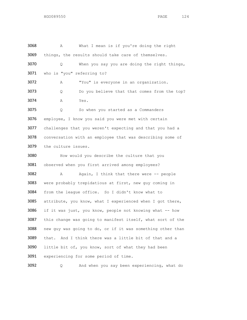| 3068 | What I mean is if you're doing the right<br>Α              |  |
|------|------------------------------------------------------------|--|
| 3069 | things, the results should take care of themselves.        |  |
| 3070 | When you say you are doing the right things,<br>Q          |  |
| 3071 | who is "you" referring to?                                 |  |
| 3072 | "You" is everyone in an organization.<br>Α                 |  |
| 3073 | Do you believe that that comes from the top?<br>Q          |  |
| 3074 | Yes.<br>Α                                                  |  |
| 3075 | So when you started as a Commanders<br>Q                   |  |
| 3076 | employee, I know you said you were met with certain        |  |
| 3077 | challenges that you weren't expecting and that you had a   |  |
| 3078 | conversation with an employee that was describing some of  |  |
| 3079 | the culture issues.                                        |  |
| 3080 | How would you describe the culture that you                |  |
| 3081 | observed when you first arrived among employees?           |  |
| 3082 | Again, I think that there were -- people<br>Α              |  |
| 3083 | were probably trepidatious at first, new guy coming in     |  |
| 3084 | from the league office. So I didn't know what to           |  |
| 3085 | attribute, you know, what I experienced when I got there,  |  |
| 3086 | if it was just, you know, people not knowing what -- how   |  |
| 3087 | this change was going to manifest itself, what sort of the |  |
| 3088 | new guy was going to do, or if it was something other than |  |
| 3089 | And I think there was a little bit of that and a<br>that.  |  |
| 3090 | little bit of, you know, sort of what they had been        |  |
| 3091 | experiencing for some period of time.                      |  |
|      |                                                            |  |

Q And when you say been experiencing, what do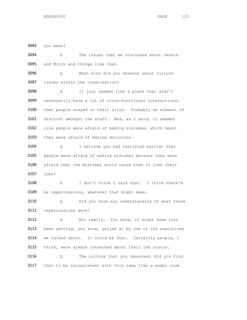you mean?

 A The issues that we discussed about Dennis and Mitch and things like that.

 Q What else did you observe about culture issues within the organization?

 A It just seemed like a place that didn't necessarily have a lot of cross-functional interactions; that people stayed in their silos. Probably an element of distrust amongst the staff. And, as I said, it seemed like people were afraid of making mistakes, which meant they were afraid of making decisions.

 Q I believe you had testified earlier that people were afraid of making mistakes because they were afraid that the mistakes would cause them to lose their jobs?

 A I don't think I said that. I think there'd 3109 be repercussions, whatever that might mean.

 Q Did you have any understanding of what those repercussions were?

 A Not really. You know, it might have just been getting, you know, yelled at by one of the executives 3114 we talked about. It could be that. Certainly people, I think, were always concerned about their job status. Q The culture that you observed, did you find that to be inconsistent with this idea like a model club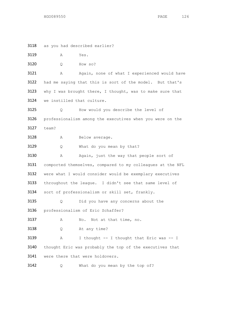as you had described earlier? A Yes. Q How so? 3121 A Again, none of what I experienced would have 3122 had me saying that this is sort of the model. But that's 3123 why I was brought there, I thought, was to make sure that we instilled that culture. Q How would you describe the level of professionalism among the executives when you were on the team? 3128 A Below average. 3129 Q What do you mean by that? 3130 A Again, just the way that people sort of comported themselves, compared to my colleagues at the NFL were what I would consider would be exemplary executives throughout the league. I didn't see that same level of sort of professionalism or skill set, frankly. Q Did you have any concerns about the professionalism of Eric Schaffer? A No. Not at that time, no. Q At any time? 3139 A I thought -- I thought that Eric was -- I thought Eric was probably the top of the executives that were there that were holdovers. 3142 Q What do you mean by the top of?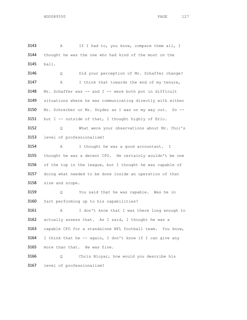3143 A If I had to, you know, compare them all, I thought he was the one who had kind of the most on the ball.

 Q Did your perception of Mr. Schaffer change? A I think that towards the end of my tenure, 3148 Mr. Schaffer was -- and I -- were both put in difficult situations where he was communicating directly with either Mr. Schreiber or Mr. Snyder as I was on my way out. So -- 3151 but I -- outside of that, I thought highly of Eric.

 Q What were your observations about Mr. Choi's level of professionalism?

 A I thought he was a good accountant. I 3155 thought he was a decent CFO. He certainly wouldn't be one 3156 of the top in the league, but I thought he was capable of 3157 doing what needed to be done inside an operation of that size and scope.

 Q You said that he was capable. Was he in fact performing up to his capabilities?

 A I don't know that I was there long enough to 3162 actually assess that. As I said, I thought he was a 3163 capable CFO for a standalone NFL football team. You know, I think that he -- again, I don't know if I can give any more than that. He was fine.

 Q Chris Bloyar, how would you describe his level of professionalism?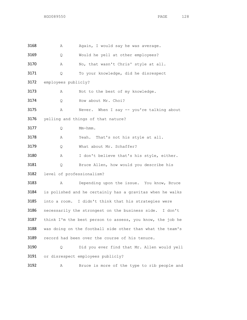| 3168 | Α                         | Again, I would say he was average.                        |
|------|---------------------------|-----------------------------------------------------------|
| 3169 | Q.                        | Would he yell at other employees?                         |
| 3170 | Α                         | No, that wasn't Chris' style at all.                      |
| 3171 | Q.                        | To your knowledge, did he disrespect                      |
| 3172 | employees publicly?       |                                                           |
| 3173 | Α                         | Not to the best of my knowledge.                          |
| 3174 | Q.                        | How about Mr. Choi?                                       |
| 3175 | Α                         | Never. When I say -- you're talking about                 |
| 3176 |                           | yelling and things of that nature?                        |
| 3177 | Q.                        | $Mm-hmm$ .                                                |
| 3178 | Α                         | Yeah. That's not his style at all.                        |
| 3179 | Q.                        | What about Mr. Schaffer?                                  |
| 3180 | Α                         | I don't believe that's his style, either.                 |
| 3181 | Q.                        | Bruce Allen, how would you describe his                   |
| 3182 | level of professionalism? |                                                           |
| 3183 | Α                         | Depending upon the issue. You know, Bruce                 |
| 3184 |                           | is polished and he certainly has a gravitas when he walks |
| 3185 |                           | into a room. I didn't think that his strategies were      |
| 3186 |                           | necessarily the strongest on the business side. I don't   |
| 3187 |                           | think I'm the best person to assess, you know, the job he |
| 3188 |                           | was doing on the football side other than what the team's |
| 3189 |                           | record had been over the course of his tenure.            |
| 3190 | Q.                        | Did you ever find that Mr. Allen would yell               |
| 3191 |                           | or disrespect employees publicly?                         |
| 3192 | Α                         | Bruce is more of the type to rib people and               |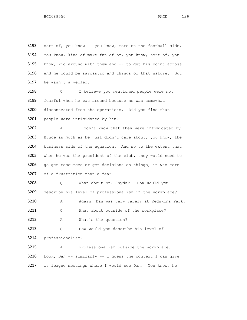3193 sort of, you know -- you know, more on the football side. You know, kind of make fun of or, you know, sort of, you know, kid around with them and -- to get his point across. And he could be sarcastic and things of that nature. But he wasn't a yeller.

 Q I believe you mentioned people were not fearful when he was around because he was somewhat disconnected from the operations. Did you find that people were intimidated by him?

 A I don't know that they were intimidated by Bruce as much as he just didn't care about, you know, the business side of the equation. And so to the extent that 3205 when he was the president of the club, they would need to 3206 go get resources or get decisions on things, it was more of a frustration than a fear.

 Q What about Mr. Snyder. How would you describe his level of professionalism in the workplace?

A Again, Dan was very rarely at Redskins Park.

3211 Q What about outside of the workplace?

A What's the question?

Q How would you describe his level of

professionalism?

 A Professionalism outside the workplace. 3216 Look, Dan  $-$ - similarly  $-$ - I guess the context I can give is league meetings where I would see Dan. You know, he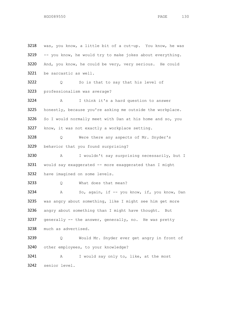was, you know, a little bit of a cut-up. You know, he was -- you know, he would try to make jokes about everything. And, you know, he could be very, very serious. He could be sarcastic as well. 3222 Q So is that to say that his level of professionalism was average? A I think it's a hard question to answer 3225 honestly, because you're asking me outside the workplace. 3226 So I would normally meet with Dan at his home and so, you 3227 know, it was not exactly a workplace setting. Q Were there any aspects of Mr. Snyder's behavior that you found surprising? A I wouldn't say surprising necessarily, but I 3231 would say exaggerated -- more exaggerated than I might have imagined on some levels. Q What does that mean? A So, again, if -- you know, if, you know, Dan was angry about something, like I might see him get more angry about something than I might have thought. But generally -- the answer, generally, no. He was pretty much as advertised. Q Would Mr. Snyder ever get angry in front of other employees, to your knowledge? A I would say only to, like, at the most senior level.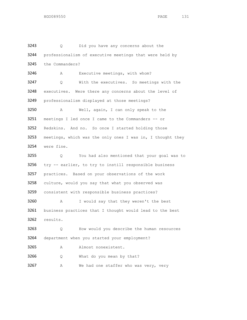Q Did you have any concerns about the professionalism of executive meetings that were held by the Commanders? A Executive meetings, with whom? Q With the executives. So meetings with the executives. Were there any concerns about the level of professionalism displayed at those meetings? A Well, again, I can only speak to the meetings I led once I came to the Commanders -- or Redskins. And no. So once I started holding those meetings, which was the only ones I was in, I thought they were fine. Q You had also mentioned that your goal was to try -- earlier, to try to instill responsible business practices. Based on your observations of the work culture, would you say that what you observed was consistent with responsible business practices? A I would say that they weren't the best business practices that I thought would lead to the best results. Q How would you describe the human resources department when you started your employment? 3265 A Almost nonexistent. Q What do you mean by that? 3267 A We had one staffer who was very, very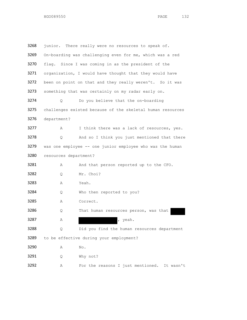| 3268 |                                                           | junior. There really were no resources to speak of.        |
|------|-----------------------------------------------------------|------------------------------------------------------------|
| 3269 |                                                           | On-boarding was challenging even for me, which was a red   |
| 3270 |                                                           | flag. Since I was coming in as the president of the        |
| 3271 | organization, I would have thought that they would have   |                                                            |
| 3272 | been on point on that and they really weren't. So it was  |                                                            |
| 3273 | something that was certainly on my radar early on.        |                                                            |
| 3274 | Q.                                                        | Do you believe that the on-boarding                        |
| 3275 |                                                           | challenges existed because of the skeletal human resources |
| 3276 | department?                                               |                                                            |
| 3277 | Α                                                         | I think there was a lack of resources, yes.                |
| 3278 | Q                                                         | And so I think you just mentioned that there               |
| 3279 | was one employee -- one junior employee who was the human |                                                            |
| 3280 | resources department?                                     |                                                            |
| 3281 | Α                                                         | And that person reported up to the CFO.                    |
| 3282 | Q.                                                        | Mr. Choi?                                                  |
| 3283 | Α                                                         | Yeah.                                                      |
| 3284 | Q                                                         | Who then reported to you?                                  |
| 3285 | Α                                                         | Correct.                                                   |
| 3286 | Q                                                         | That human resources person, was that                      |
| 3287 | Α                                                         | yeah.<br>$\mathbf{r}$                                      |
| 3288 | Q                                                         | Did you find the human resources department                |
| 3289 |                                                           | to be effective during your employment?                    |
| 3290 | Α                                                         | No.                                                        |
| 3291 | Q                                                         | Why not?                                                   |
| 3292 | Α                                                         | For the reasons I just mentioned. It wasn't                |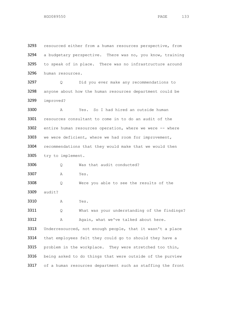3293 resourced either from a human resources perspective, from a budgetary perspective. There was no, you know, training to speak of in place. There was no infrastructure around human resources. Q Did you ever make any recommendations to anyone about how the human resources department could be improved? A Yes. So I had hired an outside human resources consultant to come in to do an audit of the 3302 entire human resources operation, where we were -- where we were deficient, where we had room for improvement, recommendations that they would make that we would then try to implement. Q Was that audit conducted? A Yes. Q Were you able to see the results of the audit? A Yes. Q What was your understanding of the findings? 3312 A Again, what we've talked about here. 3313 Underresourced, not enough people, that it wasn't a place 3314 that employees felt they could go to should they have a problem in the workplace. They were stretched too thin, 3316 being asked to do things that were outside of the purview 3317 of a human resources department such as staffing the front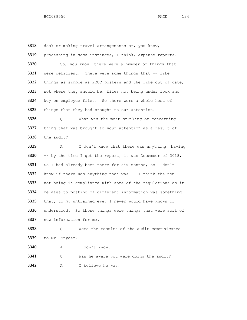3318 desk or making travel arrangements or, you know, 3319 processing in some instances, I think, expense reports. 3320 So, you know, there were a number of things that 3321 were deficient. There were some things that -- like 3322 things as simple as EEOC posters and the like out of date, 3323 not where they should be, files not being under lock and 3324 key on employee files. So there were a whole host of 3325 things that they had brought to our attention. 3326 Q What was the most striking or concerning 3327 thing that was brought to your attention as a result of 3328 the audit? 3329 A I don't know that there was anything, having 3330 -- by the time I got the report, it was December of 2018. 3331 So I had already been there for six months, so I don't 3332 know if there was anything that was  $--$  I think the non  $--$ 3333 not being in compliance with some of the regulations as it 3334 relates to posting of different information was something 3335 that, to my untrained eye, I never would have known or 3336 understood. So those things were things that were sort of 3337 new information for me.

3338 Q Were the results of the audit communicated 3339 to Mr. Snyder?

3340 A I don't know.

3341 Q Was he aware you were doing the audit? 3342 A I believe he was.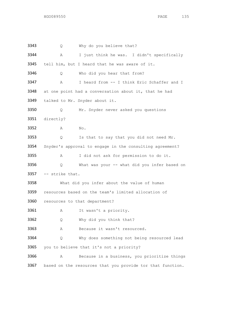Q Why do you believe that? A I just think he was. I didn't specifically tell him, but I heard that he was aware of it. Q Who did you hear that from? 3347 A I heard from -- I think Eric Schaffer and I 3348 at one point had a conversation about it, that he had talked to Mr. Snyder about it. Q Mr. Snyder never asked you questions directly? A No. Q Is that to say that you did not need Mr. Snyder's approval to engage in the consulting agreement? A I did not ask for permission to do it. Q What was your -- what did you infer based on -- strike that. What did you infer about the value of human resources based on the team's limited allocation of resources to that department? 3361 A It wasn't a priority. Q Why did you think that? A Because it wasn't resourced. Q Why does something not being resourced lead you to believe that it's not a priority? A Because in a business, you prioritize things 3367 based on the resources that you provide tor that function.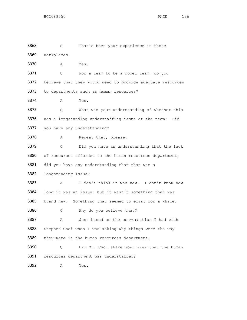3368 Q That's been your experience in those workplaces. A Yes. 3371 Q For a team to be a model team, do you 3372 believe that they would need to provide adequate resources 3373 to departments such as human resources? A Yes. Q What was your understanding of whether this was a longstanding understaffing issue at the team? Did you have any understanding? 3378 A Repeat that, please. Q Did you have an understanding that the lack 3380 of resources afforded to the human resources department, did you have any understanding that that was a longstanding issue? A I don't think it was new. I don't know how long it was an issue, but it wasn't something that was brand new. Something that seemed to exist for a while. Q Why do you believe that? A Just based on the conversation I had with 3388 Stephen Choi when I was asking why things were the way 3389 they were in the human resources department. Q Did Mr. Choi share your view that the human resources department was understaffed? A Yes.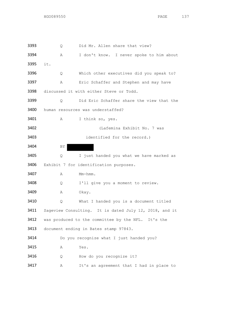| 3393 | Q   | Did Mr. Allen share that view?                         |
|------|-----|--------------------------------------------------------|
| 3394 | Α   | I don't know. I never spoke to him about               |
| 3395 | it. |                                                        |
| 3396 | Q.  | Which other executives did you speak to?               |
| 3397 | Α   | Eric Schaffer and Stephen and may have                 |
| 3398 |     | discussed it with either Steve or Todd.                |
| 3399 | Q   | Did Eric Schaffer share the view that the              |
| 3400 |     | human resources was understaffed?                      |
| 3401 | Α   | I think so, yes.                                       |
| 3402 |     | (Lafemina Exhibit No. 7 was                            |
| 3403 |     | identified for the record.)                            |
| 3404 | ΒY  |                                                        |
| 3405 | Q   | I just handed you what we have marked as               |
| 3406 |     | Exhibit 7 for identification purposes.                 |
| 3407 | Α   | Mm-hmm.                                                |
| 3408 | Q   | I'll give you a moment to review.                      |
| 3409 | Α   | Okay.                                                  |
| 3410 | Q   | What I handed you is a document titled                 |
| 3411 |     | Sageview Consulting. It is dated July 12, 2018, and it |
| 3412 |     | was produced to the committee by the NFL. It's the     |
| 3413 |     | document ending in Bates stamp 97843.                  |
| 3414 |     | Do you recognize what I just handed you?               |
| 3415 | Α   | Yes.                                                   |
| 3416 | Q   | How do you recognize it?                               |
| 3417 | Α   | It's an agreement that I had in place to               |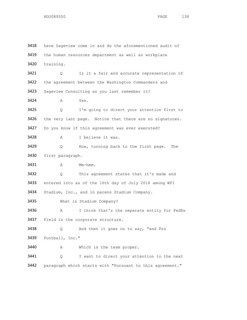have Sageview come in and do the aforementioned audit of 3419 the human resources department as well as workplace training. 3421 Q Is it a fair and accurate representation of 3422 the agreement between the Washington Commanders and Sageview Consulting as you last remember it? A Yes. Q I'm going to direct your attention first to 3426 the very last page. Notice that there are no signatures. Do you know if this agreement was ever executed? 3428 A I believe it was. Q Now, turning back to the first page. The first paragraph. 3431 A Mm-hmm. Q This agreement states that it's made and entered into as of the 16th day of July 2018 among WFI Stadium, Inc., and in parens Stadium Company. What is Stadium Company? 3436 A I think that's the separate entity for FedEx Field in the corporate structure. Q And then it goes on to say, "and Pro Football, Inc." A Which is the team proper. Q I want to direct your attention to the next paragraph which starts with "Pursuant to this agreement."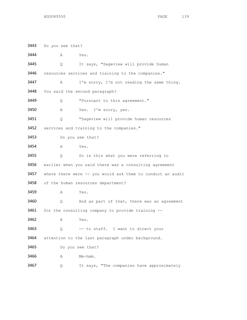Do you see that? A Yes. Q It says, "Sageview will provide human resources services and training to the companies." A I'm sorry, I'm not reading the same thing. You said the second paragraph? Q "Pursuant to this agreement." A Yes. I'm sorry, yes. Q "Sageview will provide human resources services and training to the companies." Do you see that? A Yes. Q So is this what you were referring to earlier when you said there was a consulting agreement 3457 where there were -- you would ask them to conduct an audit 3458 of the human resources department? A Yes. 3460 Q And as part of that, there was an agreement for the consulting company to provide training -- A Yes. Q -- to staff. I want to direct your 3464 attention to the last paragraph under background. Do you see that? 3466 A Mm-hmm. Q It says, "The companies have approximately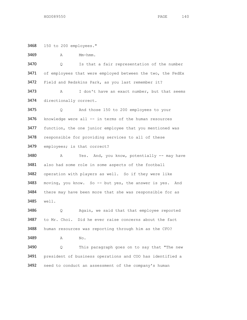150 to 200 employees."

3469 A Mm-hmm.

 Q Is that a fair representation of the number 3471 of employees that were employed between the two, the FedEx 3472 Field and Redskins Park, as you last remember it?

3473 A I don't have an exact number, but that seems directionally correct.

 Q And those 150 to 200 employees to your 3476 knowledge were all -- in terms of the human resources 3477 function, the one junior employee that you mentioned was responsible for providing services to all of these employees; is that correct?

3480 A Yes. And, you know, potentially -- may have also had some role in some aspects of the football operation with players as well. So if they were like 3483 moving, you know. So -- but yes, the answer is yes. And there may have been more that she was responsible for as well.

 Q Again, we said that that employee reported to Mr. Choi. Did he ever raise concerns about the fact human resources was reporting through him as the CFO?

3489 A No.

 Q This paragraph goes on to say that "The new president of business operations and COO has identified a need to conduct an assessment of the company's human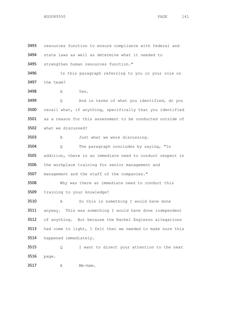resources function to ensure compliance with federal and state laws as well as determine what it needed to strengthen human resources function." 3496 Is this paragraph referring to you in your role on the team? A Yes. Q And in terms of what you identified, do you recall what, if anything, specifically that you identified as a reason for this assessment to be conducted outside of what we discussed? A Just what we were discussing. Q The paragraph concludes by saying, "In addition, there is an immediate need to conduct respect in the workplace training for senior management and management and the staff of the companies." Why was there an immediate need to conduct this training to your knowledge? A So this is something I would have done anyway. This was something I would have done independent of anything. But because the Rachel Engleson allegations had come to light, I felt that we needed to make sure this happened immediately. Q I want to direct your attention to the next page. A Mm-hmm.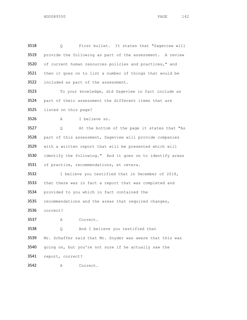Q First bullet. It states that "Sageview will provide the following as part of the assessment. A review of current human resources policies and practices," and 3521 then it goes on to list a number of things that would be included as part of the assessment.

 To your knowledge, did Sageview in fact include as part of their assessment the different items that are listed on this page?

A I believe so.

 Q At the bottom of the page it states that "As part of this assessment, Sageview will provide companies with a written report that will be presented which will identify the following." And it goes on to identify areas of practice, recommendations, et cetera.

3532 I believe you testified that in December of 2018, 3533 that there was in fact a report that was completed and provided to you which in fact contained the

recommendations and the areas that required changes,

correct?

A Correct.

 Q And I believe you testified that Mr. Schaffer said that Mr. Snyder was aware that this was going on, but you're not sure if he actually saw the report, correct?

A Correct.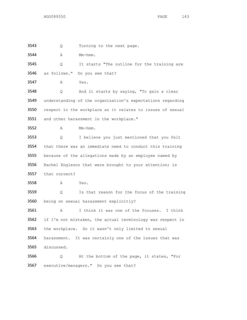Q Turning to the next page. 3544 A Mm-hmm. Q It starts "The outline for the training are as follows." Do you see that? A Yes. Q And it starts by saying, "To gain a clear understanding of the organization's expectations regarding respect in the workplace as it relates to issues of sexual 3551 and other harassment in the workplace." A Mm-hmm. Q I believe you just mentioned that you felt that there was an immediate need to conduct this training 3555 because of the allegations made by an employee named by 3556 Rachel Engleson that were brought to your attention; is that correct? A Yes. Q Is that reason for the focus of the training being on sexual harassment explicitly? A I think it was one of the focuses. I think 3562 if I'm not mistaken, the actual terminology was respect in the workplace. So it wasn't only limited to sexual harassment. It was certainly one of the issues that was discussed. Q At the bottom of the page, it states, "For executive/managers." Do you see that?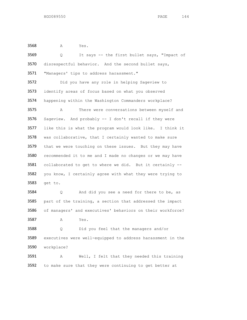A Yes.

 Q It says -- the first bullet says, "Impact of 3570 disrespectful behavior. And the second bullet says, 3571 "Managers' tips to address harassment." Did you have any role in helping Sageview to 3573 identify areas of focus based on what you observed happening within the Washington Commanders workplace? A There were conversations between myself and Sageview. And probably -- I don't recall if they were like this is what the program would look like. I think it was collaborative, that I certainly wanted to make sure 3579 that we were touching on these issues. But they may have 3580 recommended it to me and I made no changes or we may have collaborated to get to where we did. But it certainly -- you know, I certainly agree with what they were trying to get to. Q And did you see a need for there to be, as part of the training, a section that addressed the impact of managers' and executives' behaviors on their workforce? A Yes. Q Did you feel that the managers and/or executives were well-equipped to address harassment in the workplace? A Well, I felt that they needed this training to make sure that they were continuing to get better at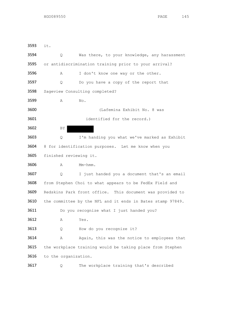it. Q Was there, to your knowledge, any harassment or antidiscrimination training prior to your arrival? A I don't know one way or the other. 3597 Q Do you have a copy of the report that Sageview Consulting completed? A No. (Lafemina Exhibit No. 8 was 3601 identified for the record.) 3602 BY Q I'm handing you what we've marked as Exhibit 8 for identification purposes. Let me know when you finished reviewing it. 3606 A Mm-hmm. Q I just handed you a document that's an email from Stephen Choi to what appears to be FedEx Field and Redskins Park front office. This document was provided to the committee by the NFL and it ends in Bates stamp 97849. 3611 Do you recognize what I just handed you? A Yes. 3613 Q How do you recognize it? 3614 A Again, this was the notice to employees that 3615 the workplace training would be taking place from Stephen to the organization. Q The workplace training that's described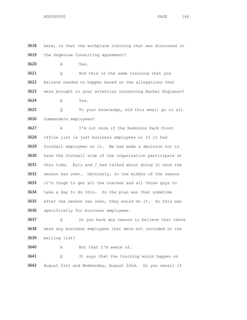here, is that the workplace training that was discussed in the Sageview Consulting agreement? A Yes. 3621 Q And this is the same training that you believe needed to happen based on the allegations that were brought to your attention concerning Rachel Engleson? A Yes. Q To your knowledge, did this email go to all Commanders employees? A I'm not sure if the Redskins Park front office list is just business employees or if it had football employees on it. We had made a decision not to have the football side of the organization participate at this time. Eric and I had talked about doing it once the season was over. Obviously, in the middle of the season

3633 it's tough to get all the coaches and all those guys to take a day to do this. So the plan was that sometime after the season was over, they would do it. So this was specifically for business employees.

 Q Do you have any reason to believe that there were any business employees that were not included on the mailing list?

A Not that I'm aware of.

 Q It says that the training would happen on August 21st and Wednesday, August 22nd. Do you recall if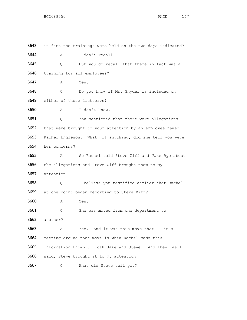in fact the trainings were held on the two days indicated? A I don't recall. Q But you do recall that there in fact was a training for all employees? A Yes. Q Do you know if Mr. Snyder is included on either of those listservs? A I don't know. Q You mentioned that there were allegations that were brought to your attention by an employee named Rachel Engleson. What, if anything, did she tell you were her concerns? A So Rachel told Steve Ziff and Jake Bye about the allegations and Steve Ziff brought them to my attention. Q I believe you testified earlier that Rachel at one point began reporting to Steve Ziff? A Yes. Q She was moved from one department to another? A Yes. And it was this move that -- in a meeting around that move is when Rachel made this information known to both Jake and Steve. And then, as I said, Steve brought it to my attention. Q What did Steve tell you?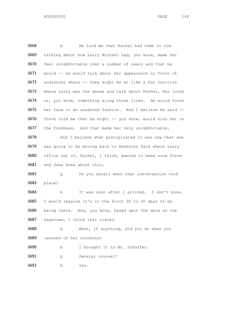A He told me that Rachel had come to him talking about how Larry Michael had, you know, made her feel uncomfortable over a number of years and that he 3671 would -- he would talk about her appearance in front of audiences where -- they might be at like a fan function 3673 where Larry was the emcee and talk about Rachel, her looks or, you know, something along those lines. He would touch her face in an unwanted fashion. And I believe he said -- Steve told me that he might -- you know, would kiss her on 3677 the forehead. And that made her very uncomfortable. 3678 And I believe what precipitated it was now that she was going to be moving back to Redskins Park where Larry office out of, Rachel, I think, wanted to make sure Steve 3681 and Jake knew about this. Q Do you recall when that conversation took place? A It was soon after I arrived. I don't know. I would imagine it's in the first 30 to 40 days of my being there. And, you know, based upon the date on the Sageview, I think that tracks. Q What, if anything, did you do when you learned of her concerns? A I brought it to Mr. Schaffer. Q General counsel?

A Yes.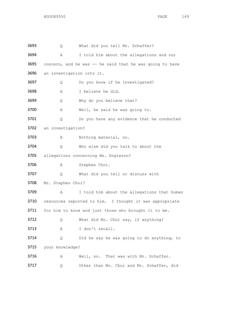Q What did you tell Mr. Schaffer? A I told him about the allegations and our 3695 concern, and he was -- he said that he was going to have an investigation into it. Q Do you know if he investigated? A I believe he did. Q Why do you believe that? A Well, he said he was going to. Q Do you have any evidence that he conducted an investigation? A Nothing material, no. Q Who else did you talk to about the allegations concerning Ms. Engleson? 3706 A Stephen Choi. Q What did you tell or discuss with Mr. Stephen Choi? A I told him about the allegations that human resources reported to him. I thought it was appropriate 3711 for him to know and just those who brought it to me. Q What did Mr. Choi say, if anything? 3713 A I don't recall. Q Did he say he was going to do anything, to your knowledge? A Well, no. That was with Mr. Schaffer. Q Other than Mr. Choi and Mr. Schaffer, did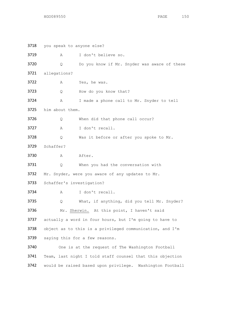you speak to anyone else? A I don't believe so. Q Do you know if Mr. Snyder was aware of these allegations? A Yes, he was. Q How do you know that? A I made a phone call to Mr. Snyder to tell him about them. Q When did that phone call occur? A I don't recall. Q Was it before or after you spoke to Mr. Schaffer? 3730 A After. Q When you had the conversation with 3732 Mr. Snyder, were you aware of any updates to Mr. Schaffer's investigation? A I don't recall. Q What, if anything, did you tell Mr. Snyder? Mr. Sherwin. At this point, I haven't said 3737 actually a word in four hours, but I'm going to have to 3738 object as to this is a privileged communication, and I'm saying this for a few reasons. One is at the request of The Washington Football Team, last night I told staff counsel that this objection would be raised based upon privilege. Washington Football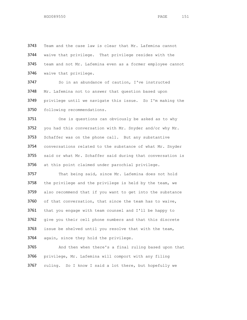Team and the case law is clear that Mr. Lafemina cannot waive that privilege. That privilege resides with the team and not Mr. Lafemina even as a former employee cannot waive that privilege.

3747 So in an abundance of caution, I've instructed Mr. Lafemina not to answer that question based upon privilege until we navigate this issue. So I'm making the following recommendations.

 One is questions can obviously be asked as to why 3752 you had this conversation with Mr. Snyder and/or why Mr. 3753 Schaffer was on the phone call. But any substantive conversations related to the substance of what Mr. Snyder said or what Mr. Schaffer said during that conversation is at this point claimed under parochial privilege.

 That being said, since Mr. Lafemina does not hold the privilege and the privilege is held by the team, we also recommend that if you want to get into the substance of that conversation, that since the team has to waive, that you engage with team counsel and I'll be happy to give you their cell phone numbers and that this discrete issue be shelved until you resolve that with the team, 3764 again, since they hold the privilege.

 And then when there's a final ruling based upon that privilege, Mr. Lafemina will comport with any filing ruling. So I know I said a lot there, but hopefully we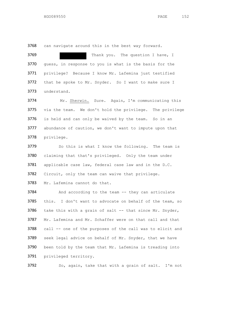3768 can navigate around this in the best way forward.

3769 Thank you. The question I have, I 3770 guess, in response to you is what is the basis for the 3771 privilege? Because I know Mr. Lafemina just testified 3772 that he spoke to Mr. Snyder. So I want to make sure I 3773 understand.

3774 Mr. Sherwin. Sure. Again, I'm communicating this 3775 via the team. We don't hold the privilege. The privilege 3776 is held and can only be waived by the team. So in an 3777 abundance of caution, we don't want to impute upon that 3778 privilege.

3779 So this is what I know the following. The team is claiming that that's privileged. Only the team under applicable case law, federal case law and in the D.C. Circuit, only the team can waive that privilege.

3783 Mr. Lafemina cannot do that.

3784 And according to the team -- they can articulate 3785 this. I don't want to advocate on behalf of the team, so 3786 take this with a grain of salt  $--$  that since Mr. Snyder, 3787 Mr. Lafemina and Mr. Schaffer were on that call and that 3788 call -- one of the purposes of the call was to elicit and 3789 seek legal advice on behalf of Mr. Snyder, that we have 3790 been told by the team that Mr. Lafemina is treading into 3791 privileged territory.

3792 So, again, take that with a grain of salt. I'm not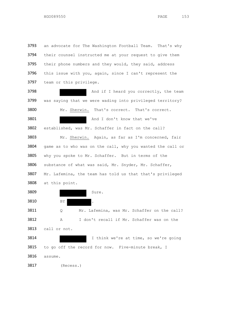3793 an advocate for The Washington Football Team. That's why 3794 their counsel instructed me at your request to give them 3795 their phone numbers and they would, they said, address this issue with you, again, since I can't represent the team or this privilege.

**And if I heard you correctly, the team**  was saying that we were wading into privileged territory? Mr. Sherwin. That's correct. That's correct. 3801 And I don't know that we've established, was Mr. Schaffer in fact on the call? Mr. Sherwin. Again, as far as I'm concerned, fair game as to who was on the call, why you wanted the call or why you spoke to Mr. Schaffer. But in terms of the substance of what was said, Mr. Snyder, Mr. Schaffer, 3807 Mr. Lafemina, the team has told us that that's privileged at this point.

Sure.

3810 BY

 Q Mr. Lafemina, was Mr. Schaffer on the call? A I don't recall if Mr. Schaffer was on the 3813 call or not. I think we're at time, so we're going

3815 to go off the record for now. Five-minute break, I

assume.

(Recess.)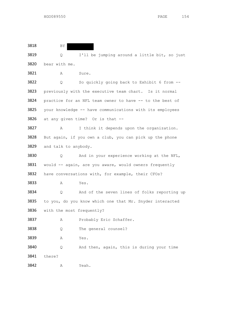3818 BY

 Q I'll be jumping around a little bit, so just bear with me.

A Sure.

 Q So quickly going back to Exhibit 6 from -- previously with the executive team chart. Is it normal 3824 practice for an NFL team owner to have -- to the best of your knowledge -- have communications with its employees at any given time? Or is that --

 A I think it depends upon the organization. But again, if you own a club, you can pick up the phone 3829 and talk to anybody.

 Q And in your experience working at the NFL, 3831 would -- again, are you aware, would owners frequently 3832 have conversations with, for example, their CFOs?

A Yes.

 Q And of the seven lines of folks reporting up to you, do you know which one that Mr. Snyder interacted with the most frequently?

A Probably Eric Schaffer.

Q The general counsel?

A Yes.

 Q And then, again, this is during your time there?

A Yeah.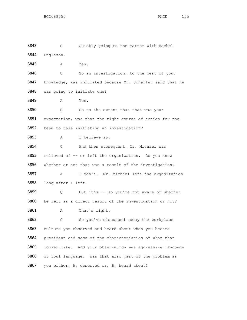Q Quickly going to the matter with Rachel Engleson. A Yes. Q So an investigation, to the best of your knowledge, was initiated because Mr. Schaffer said that he was going to initiate one? A Yes. 3850 Q So to the extent that that was your expectation, was that the right course of action for the team to take initiating an investigation? A I believe so. Q And then subsequent, Mr. Michael was 3855 relieved of -- or left the organization. Do you know whether or not that was a result of the investigation? A I don't. Mr. Michael left the organization long after I left. Q But it's -- so you're not aware of whether he left as a direct result of the investigation or not? 3861 A That's right. Q So you've discussed today the workplace 3863 culture you observed and heard about when you became president and some of the characteristics of what that looked like. And your observation was aggressive language or foul language. Was that also part of the problem as you either, A, observed or, B, heard about?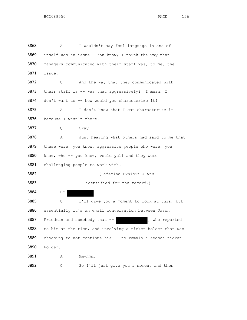| 3868 | I wouldn't say foul language in and of<br>Α                |  |  |
|------|------------------------------------------------------------|--|--|
| 3869 | itself was an issue. You know, I think the way that        |  |  |
| 3870 | managers communicated with their staff was, to me, the     |  |  |
| 3871 | issue.                                                     |  |  |
| 3872 | And the way that they communicated with<br>Q.              |  |  |
| 3873 | their staff is -- was that aggressively? I mean, I         |  |  |
| 3874 | don't want to -- how would you characterize it?            |  |  |
| 3875 | I don't know that I can characterize it<br>Α               |  |  |
| 3876 | because I wasn't there.                                    |  |  |
| 3877 | Okay.<br>Q                                                 |  |  |
| 3878 | Just hearing what others had said to me that<br>Α          |  |  |
| 3879 | these were, you know, aggressive people who were, you      |  |  |
| 3880 | know, who -- you know, would yell and they were            |  |  |
| 3881 | challenging people to work with.                           |  |  |
| 3882 | (Lafemina Exhibit A was                                    |  |  |
| 3883 | identified for the record.)                                |  |  |
| 3884 | BY                                                         |  |  |
| 3885 | I'll give you a moment to look at this, but<br>Q           |  |  |
| 3886 | essentially it's an email conversation between Jason       |  |  |
| 3887 | Friedman and somebody that --<br>, who reported            |  |  |
| 3888 | to him at the time, and involving a ticket holder that was |  |  |
| 3889 | choosing to not continue his -- to remain a season ticket  |  |  |
| 3890 | holder.                                                    |  |  |
| 3891 | Mm-hmm.<br>Α                                               |  |  |
| 3892 | So I'll just give you a moment and then<br>Q               |  |  |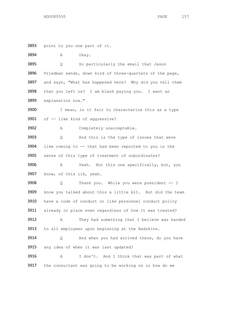point to you one part of it.

3894 A Okay.

 Q So particularly the email that Jason 3896 Friedman sends, down kind of three-quarters of the page, 3897 and says, "What has happened here? Why did you tell them that you left us? I am blank paying you. I want an explanation now."

3900 I mean, is it fair to characterize this as a type of -- like kind of aggressive?

A Completely unacceptable.

 Q And this is the type of issues that were like coming to -- that had been reported to you in the sense of this type of treatment of subordinates?

 A Yeah. Not this one specifically, but, you know, of this ilk, yeah.

 Q Thank you. While you were president -- I know you talked about this a little bit. But did the team have a code of conduct or like personnel conduct policy already in place even regardless of how it was treated? A They had something that I believe was handed

to all employees upon beginning at the Redskins.

 Q And when you had arrived there, do you have 3915 any idea of when it was last updated?

 A I don't. And I think that was part of what the consultant was going to be working on is how do we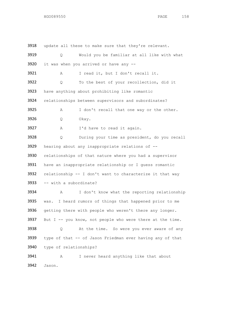3918 update all these to make sure that they're relevant. Q Would you be familiar at all like with what it was when you arrived or have any -- A I read it, but I don't recall it. Q To the best of your recollection, did it have anything about prohibiting like romantic relationships between supervisors and subordinates? A I don't recall that one way or the other. Q Okay. A I'd have to read it again. Q During your time as president, do you recall hearing about any inappropriate relations of -- relationships of that nature where you had a supervisor have an inappropriate relationship or I guess romantic relationship -- I don't want to characterize it that way -- with a subordinate? A I don't know what the reporting relationship was. I heard rumors of things that happened prior to me 3936 getting there with people who weren't there any longer. 3937 But  $I$  -- you know, not people who were there at the time. Q At the time. So were you ever aware of any type of that -- of Jason Friedman ever having any of that type of relationships? A I never heard anything like that about Jason.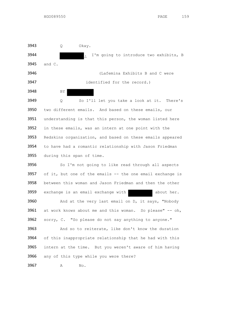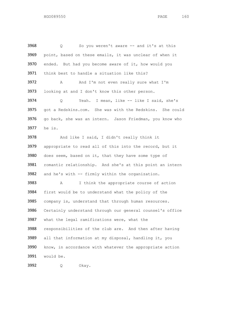Q So you weren't aware -- and it's at this point, based on these emails, it was unclear of when it 3970 ended. But had you become aware of it, how would you think best to handle a situation like this? 3972 A And I'm not even really sure what I'm looking at and I don't know this other person. Q Yeah. I mean, like -- like I said, she's got a Redskins.com. She was with the Redskins. She could 3976 go back, she was an intern. Jason Friedman, you know who he is. And like I said, I didn't really think it appropriate to read all of this into the record, but it 3980 does seem, based on it, that they have some type of romantic relationship. And she's at this point an intern and he's with -- firmly within the organization. A I think the appropriate course of action first would be to understand what the policy of the company is, understand that through human resources. Certainly understand through our general counsel's office what the legal ramifications were, what the responsibilities of the club are. And then after having all that information at my disposal, handling it, you know, in accordance with whatever the appropriate action would be.

Q Okay.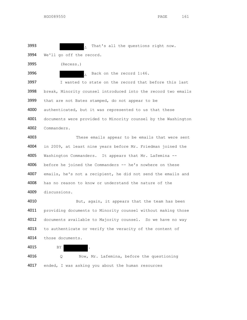3993 . That's all the questions right now.

3994 We'll go off the record.

3995 (Recess.)

3996 . Back on the record 1:46.

3997 I wanted to state on the record that before this last 3998 break, Minority counsel introduced into the record two emails that are not Bates stamped, do not appear to be authenticated, but it was represented to us that these documents were provided to Minority counsel by the Washington Commanders.

 These emails appear to be emails that were sent in 2009, at least nine years before Mr. Friedman joined the Washington Commanders. It appears that Mr. Lafemina -- 4006 before he joined the Commanders -- he's nowhere on these emails, he's not a recipient, he did not send the emails and has no reason to know or understand the nature of the discussions.

4010 But, again, it appears that the team has been 4011 providing documents to Minority counsel without making those 4012 documents available to Majority counsel. So we have no way 4013 to authenticate or verify the veracity of the content of 4014 those documents.

4015 BY

4016 Q Now, Mr. Lafemina, before the questioning 4017 ended, I was asking you about the human resources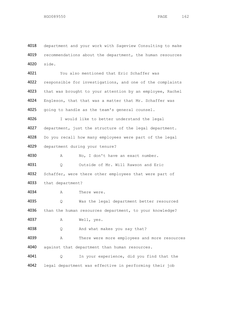department and your work with Sageview Consulting to make 4019 recommendations about the department, the human resources side.

 You also mentioned that Eric Schaffer was 4022 responsible for investigations, and one of the complaints 4023 that was brought to your attention by an employee, Rachel Engleson, that that was a matter that Mr. Schaffer was 4025 going to handle as the team's general counsel.

 I would like to better understand the legal 4027 department, just the structure of the legal department. Do you recall how many employees were part of the legal department during your tenure?

 A No, I don't have an exact number. Q Outside of Mr. Will Rawson and Eric 4032 Schaffer, were there other employees that were part of that department?

A There were.

 Q Was the legal department better resourced 4036 than the human resources department, to your knowledge? A Well, yes.

Q And what makes you say that?

 A There were more employees and more resources 4040 against that department than human resources.

 Q In your experience, did you find that the legal department was effective in performing their job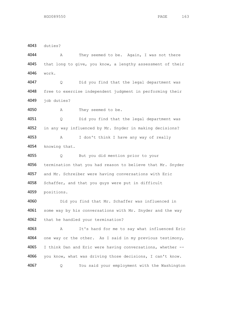duties?

 A They seemed to be. Again, I was not there that long to give, you know, a lengthy assessment of their work.

 Q Did you find that the legal department was free to exercise independent judgment in performing their 4049 job duties?

A They seemed to be.

 Q Did you find that the legal department was in any way influenced by Mr. Snyder in making decisions? A I don't think I have any way of really knowing that.

 Q But you did mention prior to your termination that you had reason to believe that Mr. Snyder and Mr. Schreiber were having conversations with Eric 4058 Schaffer, and that you guys were put in difficult positions.

 Did you find that Mr. Schaffer was influenced in 4061 some way by his conversations with Mr. Snyder and the way 4062 that he handled your termination?

 A It's hard for me to say what influenced Eric one way or the other. As I said in my previous testimony, I think Dan and Eric were having conversations, whether -- you know, what was driving those decisions, I can't know. Q You said your employment with the Washington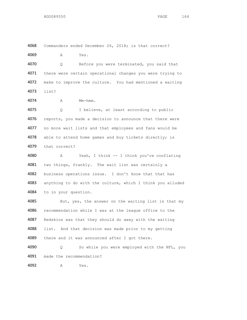Commanders ended December 26, 2018; is that correct? A Yes.

 Q Before you were terminated, you said that 4071 there were certain operational changes you were trying to make to improve the culture. You had mentioned a waiting list?

A Mm-hmm.

 Q I believe, at least according to public 4076 reports, you made a decision to announce that there were 4077 no more wait lists and that employees and fans would be 4078 able to attend home games and buy tickets directly; is that correct?

 A Yeah, I think -- I think you're conflating two things, frankly. The wait list was certainly a business operations issue. I don't know that that has anything to do with the culture, which I think you alluded to in your question.

4085 But, yes, the answer on the waiting list is that my recommendation while I was at the league office to the Redskins was that they should do away with the waiting list. And that decision was made prior to my getting 4089 there and it was announced after I got there. Q So while you were employed with the NFL, you

made the recommendation?

A Yes.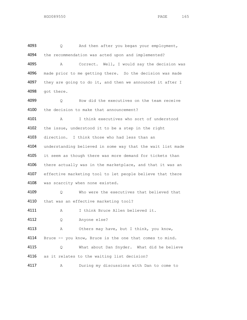4093 Q And then after you began your employment, 4094 the recommendation was acted upon and implemented? 4095 A Correct. Well, I would say the decision was 4096 made prior to me getting there. So the decision was made 4097 they are going to do it, and then we announced it after I 4098 got there. 4099 Q How did the executives on the team receive 4100 the decision to make that announcement? 4101 A I think executives who sort of understood 4102 the issue, understood it to be a step in the right 4103 direction. I think those who had less than an 4104 understanding believed in some way that the wait list made 4105 it seem as though there was more demand for tickets than 4106 there actually was in the marketplace, and that it was an 4107 effective marketing tool to let people believe that there 4108 was scarcity when none existed. 4109 Q Who were the executives that believed that 4110 that was an effective marketing tool? 4111 A I think Bruce Allen believed it. 4112 Q Anyone else? 4113 A Others may have, but I think, you know, 4114 Bruce -- you know, Bruce is the one that comes to mind. 4115 Q What about Dan Snyder. What did he believe 4116 as it relates to the waiting list decision? 4117 A During my discussions with Dan to come to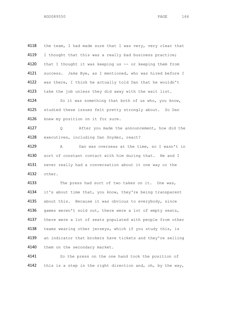4118 the team, I had made sure that I was very, very clear that 4119 I thought that this was a really bad business practice; 4120 that I thought it was keeping us -- or keeping them from 4121 success. Jake Bye, as I mentioned, who was hired before I 4122 was there, I think he actually told Dan that he wouldn't 4123 take the job unless they did away with the wait list. 4124 So it was something that both of us who, you know, 4125 studied these issues felt pretty strongly about. So Dan 4126 knew my position on it for sure. 4127 Q After you made the announcement, how did the 4128 executives, including Dan Snyder, react? 4129 A Dan was overseas at the time, so I wasn't in 4130 sort of constant contact with him during that. He and I 4131 never really had a conversation about it one way or the 4132 other. 4133 The press had sort of two takes on it. One was, 4134 it's about time that, you know, they're being transparent 4135 about this. Because it was obvious to everybody, since 4136 games weren't sold out, there were a lot of empty seats, 4137 there were a lot of seats populated with people from other 4138 teams wearing other jerseys, which if you study this, is

4139 an indicator that brokers have tickets and they're selling 4140 them on the secondary market.

4141 So the press on the one hand took the position of 4142 this is a step in the right direction and, oh, by the way,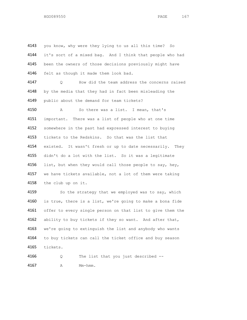4143 you know, why were they lying to us all this time? So 4144 it's sort of a mixed bag. And I think that people who had 4145 been the owners of those decisions previously might have 4146 felt as though it made them look bad. 4147 Q How did the team address the concerns raised 4148 by the media that they had in fact been misleading the 4149 public about the demand for team tickets? 4150 A So there was a list. I mean, that's 4151 important. There was a list of people who at one time 4152 somewhere in the past had expressed interest to buying 4153 tickets to the Redskins. So that was the list that 4154 existed. It wasn't fresh or up to date necessarily. They 4155 didn't do a lot with the list. So it was a legitimate 4156 list, but when they would call those people to say, hey, 4157 we have tickets available, not a lot of them were taking 4158 the club up on it. 4159 So the strategy that we employed was to say, which 4160 is true, there is a list, we're going to make a bona fide 4161 offer to every single person on that list to give them the 4162 ability to buy tickets if they so want. And after that, 4163 we're going to extinguish the list and anybody who wants 4164 to buy tickets can call the ticket office and buy season 4165 tickets. 4166 Q The list that you just described --

4167 A Mm-hmm.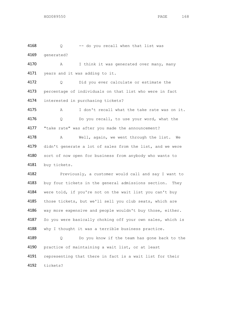4168 Q -- do you recall when that list was 4169 generated? 4170 A I think it was generated over many, many 4171 years and it was adding to it. 4172 Q Did you ever calculate or estimate the 4173 percentage of individuals on that list who were in fact 4174 interested in purchasing tickets? 4175 A I don't recall what the take rate was on it. 4176 Q Do you recall, to use your word, what the 4177 "take rate" was after you made the announcement? 4178 A Well, again, we went through the list. We 4179 didn't generate a lot of sales from the list, and we were 4180 sort of now open for business from anybody who wants to 4181 buy tickets. 4182 Previously, a customer would call and say I want to 4183 buy four tickets in the general admissions section. They 4184 were told, if you're not on the wait list you can't buy 4185 those tickets, but we'll sell you club seats, which are 4186 way more expensive and people wouldn't buy those, either. 4187 So you were basically choking off your own sales, which is 4188 why I thought it was a terrible business practice. 4189 Q Do you know if the team has gone back to the 4190 practice of maintaining a wait list, or at least 4191 representing that there in fact is a wait list for their

4192 tickets?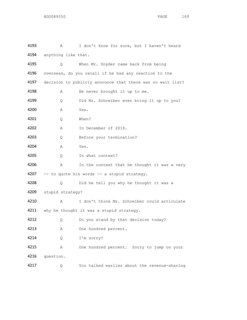| 4193 | Α                                                          | I don't know for sure, but I haven't heard            |  |
|------|------------------------------------------------------------|-------------------------------------------------------|--|
| 4194 | anything like that.                                        |                                                       |  |
| 4195 | Q                                                          | When Mr. Snyder came back from being                  |  |
| 4196 |                                                            | overseas, do you recall if he had any reaction to the |  |
| 4197 | decision to publicly announce that there was no wait list? |                                                       |  |
| 4198 | Α                                                          | He never brought it up to me.                         |  |
| 4199 | Q                                                          | Did Mr. Schreiber ever bring it up to you?            |  |
| 4200 | Α                                                          | Yes.                                                  |  |
| 4201 | Q.                                                         | When?                                                 |  |
| 4202 | Α                                                          | In December of 2018.                                  |  |
| 4203 | Q                                                          | Before your termination?                              |  |
| 4204 | Α                                                          | Yes.                                                  |  |
| 4205 | Q                                                          | In what context?                                      |  |
| 4206 | А                                                          | In the context that he thought it was a very          |  |
| 4207 | -- to quote his words -- a stupid strategy.                |                                                       |  |
| 4208 | Q.                                                         | Did he tell you why he thought it was a               |  |
| 4209 | stupid strategy?                                           |                                                       |  |
| 4210 | Α                                                          | I don't think Mr. Schreiber could articulate          |  |
| 4211 |                                                            | why he thought it was a stupid strategy.              |  |
| 4212 | Q                                                          | Do you stand by that decision today?                  |  |
| 4213 | Α                                                          | One hundred percent.                                  |  |
| 4214 | Q                                                          | I'm sorry?                                            |  |
| 4215 | Α                                                          | One hundred percent. Sorry to jump on your            |  |
| 4216 | question.                                                  |                                                       |  |
| 4217 | Q                                                          | You talked earlier about the revenue-sharing          |  |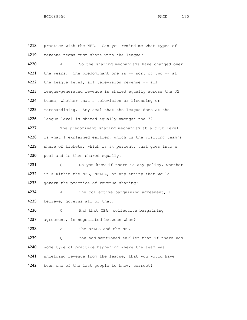4218 practice with the NFL. Can you remind me what types of 4219 revenue teams must share with the league? 4220 A So the sharing mechanisms have changed over 4221 the years. The predominant one is -- sort of two -- at 4222 the league level, all television revenue -- all 4223 league-generated revenue is shared equally across the 32 4224 teams, whether that's television or licensing or 4225 merchandising. Any deal that the league does at the 4226 league level is shared equally amongst the 32. 4227 The predominant sharing mechanism at a club level 4228 is what I explained earlier, which is the visiting team's 4229 share of tickets, which is 34 percent, that goes into a 4230 pool and is then shared equally. 4231 Q Do you know if there is any policy, whether 4232 it's within the NFL, NFLPA, or any entity that would 4233 govern the practice of revenue sharing? 4234 A The collective bargaining agreement, I 4235 believe, governs all of that. 4236 Q And that CBA, collective bargaining 4237 agreement, is negotiated between whom? 4238 A The NFLPA and the NFL. 4239 Q You had mentioned earlier that if there was 4240 some type of practice happening where the team was 4241 shielding revenue from the league, that you would have 4242 been one of the last people to know, correct?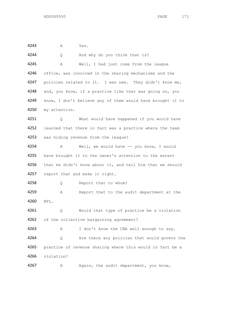4243 A Yes.

4244 Q And why do you think that is? 4245 A Well, I had just come from the league 4246 office, was involved in the sharing mechanisms and the 4247 policies related to it. I was new. They didn't know me, 4248 and, you know, if a practice like that was going on, you 4249 know, I don't believe any of them would have brought it to 4250 my attention. 4251 Q What would have happened if you would have 4252 learned that there in fact was a practice where the team 4253 was hiding revenue from the league? 4254 A Well, we would have -- you know, I would 4255 have brought it to the owner's attention to the extent 4256 that he didn't know about it, and tell him that we should 4257 report that and make it right. 4258 Q Report that to whom? 4259 A Report that to the audit department at the 4260 NFL. 4261 Q Would that type of practice be a violation 4262 of the collective bargaining agreement? 4263 A I don't know the CBA well enough to say. 4264 Q Are there any policies that would govern the 4265 practice of revenue sharing where this would in fact be a 4266 violation? 4267 A Again, the audit department, you know,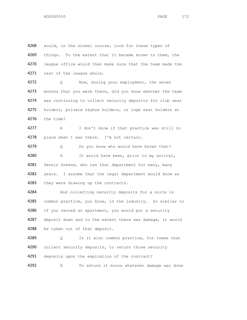4268 would, in the normal course, look for these types of 4269 things. To the extent that it became known to them, the 4270 league office would then make sure that the team made the 4271 rest of the league whole. 4272 Q Now, during your employment, the seven 4273 months that you were there, did you know whether the team 4274 was continuing to collect security deposits for club seat 4275 holders, private skybox holders, or loge seat holders at 4276 the time? 4277 A I don't know if that practice was still in 4278 place when I was there. I'm not certain. 4279 Q Do you know who would have known that? 4280 A It would have been, prior to my arrival, 4281 Dennis Greene, who ran that department for many, many 4282 years. I assume that the legal department would know as 4283 they were drawing up the contracts. 4284 And collecting security deposits for a suite is 4285 common practice, you know, in the industry. So similar to 4286 if you rented an apartment, you would put a security 4287 deposit down and to the extent there was damage, it would 4288 be taken out of that deposit. 4289 Q Is it also common practice, for teams that 4290 collect security deposits, to return those security 4291 deposits upon the expiration of the contract?

4292 A To return it minus whatever damage was done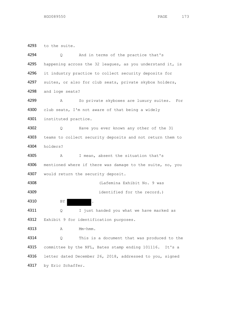to the suite. Q And in terms of the practice that's 4295 happening across the 32 leagues, as you understand it, is it industry practice to collect security deposits for 4297 suites, or also for club seats, private skybox holders, and loge seats? A So private skyboxes are luxury suites. For club seats, I'm not aware of that being a widely instituted practice. Q Have you ever known any other of the 31 4303 teams to collect security deposits and not return them to holders? A I mean, absent the situation that's 4306 mentioned where if there was damage to the suite, no, you 4307 would return the security deposit. (Lafemina Exhibit No. 9 was identified for the record.) 4310 BY 4311 Q I just handed you what we have marked as 4312 Exhibit 9 for identification purposes. 4313 A Mm-hmm. Q This is a document that was produced to the committee by the NFL, Bates stamp ending 101116. It's a letter dated December 26, 2018, addressed to you, signed by Eric Schaffer.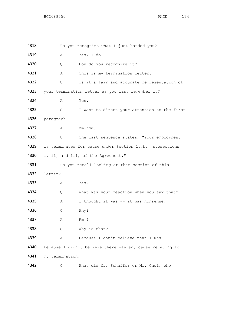| 4318 |                                                         | Do you recognize what I just handed you?                 |  |  |
|------|---------------------------------------------------------|----------------------------------------------------------|--|--|
| 4319 | Α                                                       | Yes, I do.                                               |  |  |
| 4320 | Q                                                       | How do you recognize it?                                 |  |  |
| 4321 | Α                                                       | This is my termination letter.                           |  |  |
| 4322 | Q.                                                      | Is it a fair and accurate representation of              |  |  |
| 4323 | your termination letter as you last remember it?        |                                                          |  |  |
| 4324 | Α                                                       | Yes.                                                     |  |  |
| 4325 | Q.                                                      | I want to direct your attention to the first             |  |  |
| 4326 | paragraph.                                              |                                                          |  |  |
| 4327 | Α                                                       | Mm-hmm.                                                  |  |  |
| 4328 | Q                                                       | The last sentence states, "Your employment               |  |  |
| 4329 | is terminated for cause under Section 10.b. subsections |                                                          |  |  |
| 4330 |                                                         | i, ii, and iii, of the Agreement."                       |  |  |
| 4331 |                                                         | Do you recall looking at that section of this            |  |  |
| 4332 | letter?                                                 |                                                          |  |  |
| 4333 | Α                                                       | Yes.                                                     |  |  |
| 4334 | Q                                                       | What was your reaction when you saw that?                |  |  |
| 4335 | Α                                                       | I thought it was -- it was nonsense.                     |  |  |
| 4336 | Q.                                                      | Why?                                                     |  |  |
| 4337 | Α                                                       | Hmm?                                                     |  |  |
| 4338 | Q.                                                      | Why is that?                                             |  |  |
| 4339 | Α                                                       | Because I don't believe that I was --                    |  |  |
| 4340 |                                                         | because I didn't believe there was any cause relating to |  |  |
| 4341 | my termination.                                         |                                                          |  |  |
| 4342 | Q                                                       | What did Mr. Schaffer or Mr. Choi, who                   |  |  |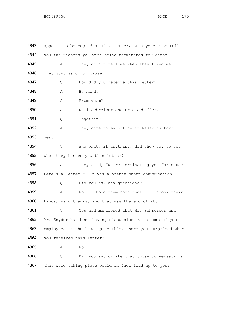| 4343 |      | appears to be copied on this letter, or anyone else tell     |
|------|------|--------------------------------------------------------------|
| 4344 |      | you the reasons you were being terminated for cause?         |
| 4345 | Α    | They didn't tell me when they fired me.                      |
| 4346 |      | They just said for cause.                                    |
| 4347 | Q    | How did you receive this letter?                             |
| 4348 | Α    | By hand.                                                     |
| 4349 | Q    | From whom?                                                   |
| 4350 | Α    | Karl Schreiber and Eric Schaffer.                            |
| 4351 | Q    | Together?                                                    |
| 4352 | Α    | They came to my office at Redskins Park,                     |
| 4353 | yes. |                                                              |
| 4354 | Q.   | And what, if anything, did they say to you                   |
| 4355 |      | when they handed you this letter?                            |
| 4356 | Α    | They said, "We're terminating you for cause.                 |
| 4357 |      | Here's a letter." It was a pretty short conversation.        |
| 4358 | Q.   | Did you ask any questions?                                   |
| 4359 | Α    | I told them both that -- I shook their<br>$\mathbb N\circ$ . |
| 4360 |      | hands, said thanks, and that was the end of it.              |
| 4361 | Q    | You had mentioned that Mr. Schreiber and                     |
| 4362 |      | Mr. Snyder had been having discussions with some of your     |
| 4363 |      | employees in the lead-up to this. Were you surprised when    |
| 4364 |      | you received this letter?                                    |
| 4365 | Α    | No.                                                          |
| 4366 | Q.   | Did you anticipate that those conversations                  |
| 4367 |      | that were taking place would in fact lead up to your         |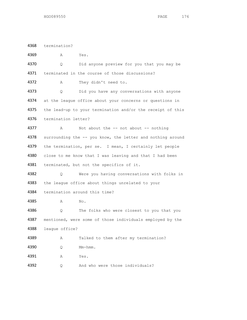termination?

| 4369 | Α                   | Yes.                                                       |
|------|---------------------|------------------------------------------------------------|
| 4370 | Q.                  | Did anyone preview for you that you may be                 |
| 4371 |                     | terminated in the course of those discussions?             |
| 4372 | A                   | They didn't need to.                                       |
| 4373 | Q.                  | Did you have any conversations with anyone                 |
| 4374 |                     | at the league office about your concerns or questions in   |
| 4375 |                     | the lead-up to your termination and/or the receipt of this |
| 4376 | termination letter? |                                                            |
| 4377 | Α                   | Not about the $--$ not about $--$ nothing                  |
| 4378 |                     | surrounding the -- you know, the letter and nothing around |
| 4379 |                     | the termination, per se. I mean, I certainly let people    |
| 4380 |                     | close to me know that I was leaving and that I had been    |
| 4381 |                     | terminated, but not the specifics of it.                   |
| 4382 | Q.                  | Were you having conversations with folks in                |
| 4383 |                     | the league office about things unrelated to your           |
| 4384 |                     | termination around this time?                              |
| 4385 | Α                   | No.                                                        |
| 4386 | O                   | The folks who were closest to you that you                 |
| 4387 |                     | mentioned, were some of those individuals employed by the  |
| 4388 | league office?      |                                                            |
| 4389 | Α                   | Talked to them after my termination?                       |
| 4390 | Q                   | Mm-hmm.                                                    |
| 4391 | Α                   | Yes.                                                       |
| 4392 | Q                   | And who were those individuals?                            |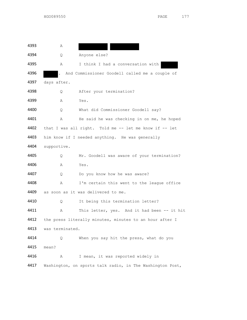A Q Anyone else? A I think I had a conversation with . And Commissioner Goodell called me a couple of days after. Q After your termination? A Yes. Q What did Commissioner Goodell say? 4401 A He said he was checking in on me, he hoped that I was all right. Told me -- let me know if -- let 4403 him know if I needed anything. He was generally supportive. Q Mr. Goodell was aware of your termination? A Yes. 4407 Q Do you know how he was aware? A I'm certain this went to the league office as soon as it was delivered to me. Q It being this termination letter? 4411 A This letter, yes. And it had been -- it hit 4412 the press literally minutes, minutes to an hour after I was terminated. Q When you say hit the press, what do you mean? A I mean, it was reported widely in Washington, on sports talk radio, in The Washington Post,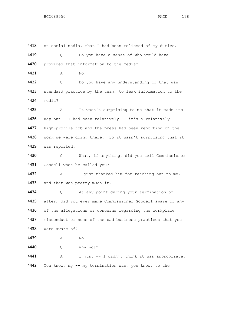4418 on social media, that I had been relieved of my duties. Q Do you have a sense of who would have provided that information to the media? 4421 A No. Q Do you have any understanding if that was 4423 standard practice by the team, to leak information to the media? A It wasn't surprising to me that it made its 4426 way out. I had been relatively -- it's a relatively high-profile job and the press had been reporting on the work we were doing there. So it wasn't surprising that it was reported. Q What, if anything, did you tell Commissioner Goodell when he called you? A I just thanked him for reaching out to me, 4433 and that was pretty much it. Q At any point during your termination or 4435 after, did you ever make Commissioner Goodell aware of any 4436 of the allegations or concerns regarding the workplace 4437 misconduct or some of the bad business practices that you were aware of? 4439 A No. Q Why not? A I just -- I didn't think it was appropriate. You know, my -- my termination was, you know, to the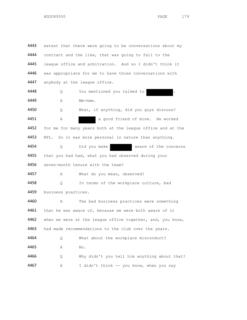4443 extent that there were going to be conversations about my 4444 contract and the like, that was going to fall to the 4445 league office and arbitration. And so I didn't think it 4446 was appropriate for me to have those conversations with 4447 anybody at the league office. 4448 Q You mentioned you talked to . 4449 A Mm-hmm. 4450 Q What, if anything, did you guys discuss? 4451 A a good friend of mine. He worked 4452 for me for many years both at the league office and at the 4453 NFL. So it was more personal in nature than anything. 4454 Q Did you make aware of the concerns 4455 that you had had, what you had observed during your 4456 seven-month tenure with the team? 4457 A What do you mean, observed? 4458 Q In terms of the workplace culture, bad 4459 business practices. 4460 A The bad business practices were something 4461 that he was aware of, because we were both aware of it 4462 when we were at the league office together, and, you know, 4463 had made recommendations to the club over the years. 4464 Q What about the workplace misconduct? 4465 A No. 4466 Q Why didn't you tell him anything about that? 4467 A I didn't think -- you know, when you say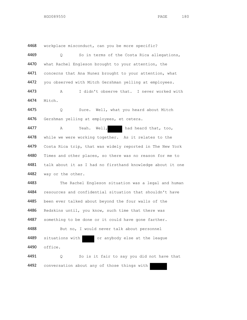4468 workplace misconduct, can you be more specific?

4469 Q So in terms of the Costa Rica allegations, 4470 what Rachel Engleson brought to your attention, the 4471 concerns that Ana Nunez brought to your attention, what 4472 you observed with Mitch Gershman yelling at employees.

4473 A I didn't observe that. I never worked with 4474 Mitch.

4475 Q Sure. Well, what you heard about Mitch 4476 Gershman yelling at employees, et cetera.

4477 A Yeah. Well, had heard that, too, 4478 while we were working together. As it relates to the 4479 Costa Rica trip, that was widely reported in The New York 4480 Times and other places, so there was no reason for me to 4481 talk about it as I had no firsthand knowledge about it one 4482 way or the other.

4483 The Rachel Engleson situation was a legal and human 4484 resources and confidential situation that shouldn't have 4485 been ever talked about beyond the four walls of the 4486 Redskins until, you know, such time that there was 4487 something to be done or it could have gone farther. 4488 But no, I would never talk about personnel 4489 situations with or anybody else at the league 4490 office.

4491 Q So is it fair to say you did not have that 4492 conversation about any of those things with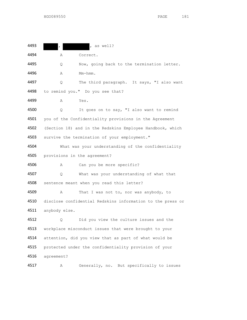| 4493 |               | , as well?                                                 |
|------|---------------|------------------------------------------------------------|
| 4494 | Α             | Correct.                                                   |
| 4495 | Q.            | Now, going back to the termination letter.                 |
| 4496 | Α             | Mm-hmm.                                                    |
| 4497 | Q.            | The third paragraph. It says, "I also want                 |
| 4498 |               | to remind you." Do you see that?                           |
| 4499 | Α             | Yes.                                                       |
| 4500 | Q             | It goes on to say, "I also want to remind                  |
| 4501 |               | you of the Confidentiality provisions in the Agreement     |
| 4502 |               | (Section 18) and in the Redskins Employee Handbook, which  |
| 4503 |               | survive the termination of your employment."               |
| 4504 |               | What was your understanding of the confidentiality         |
| 4505 |               | provisions in the agreement?                               |
| 4506 | Α             | Can you be more specific?                                  |
| 4507 | Q.            | What was your understanding of what that                   |
| 4508 |               | sentence meant when you read this letter?                  |
| 4509 | Α             | That I was not to, nor was anybody, to                     |
| 4510 |               | disclose confidential Redskins information to the press or |
| 4511 | anybody else. |                                                            |
| 4512 | Q             | Did you view the culture issues and the                    |
| 4513 |               | workplace misconduct issues that were brought to your      |
| 4514 |               | attention, did you view that as part of what would be      |
| 4515 |               | protected under the confidentiality provision of your      |
| 4516 | agreement?    |                                                            |
|      |               |                                                            |

A Generally, no. But specifically to issues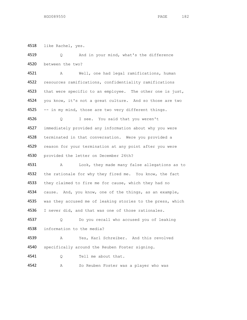like Rachel, yes.

| 4519 | And in your mind, what's the difference<br>Q.              |
|------|------------------------------------------------------------|
| 4520 | between the two?                                           |
| 4521 | Well, one had legal ramifications, human<br>Α              |
| 4522 | resources ramifications, confidentiality ramifications     |
| 4523 | that were specific to an employee. The other one is just,  |
| 4524 | you know, it's not a great culture. And so those are two   |
| 4525 | -- in my mind, those are two very different things.        |
| 4526 | I see. You said that you weren't<br>Q                      |
| 4527 | immediately provided any information about why you were    |
| 4528 | terminated in that conversation. Were you provided a       |
| 4529 | reason for your termination at any point after you were    |
| 4530 | provided the letter on December 26th?                      |
| 4531 | Look, they made many false allegations as to<br>Α          |
| 4532 | the rationale for why they fired me. You know, the fact    |
| 4533 | they claimed to fire me for cause, which they had no       |
| 4534 | cause. And, you know, one of the things, as an example,    |
| 4535 | was they accused me of leaking stories to the press, which |
| 4536 | I never did, and that was one of those rationales.         |
| 4537 | Do you recall who accused you of leaking<br>Q              |
| 4538 | information to the media?                                  |
| 4539 | Yes, Karl Schreiber. And this revolved<br>Α                |
| 4540 | specifically around the Reuben Foster signing.             |
| 4541 | Tell me about that.<br>Q.                                  |
| 4542 | So Reuben Foster was a player who was<br>Α                 |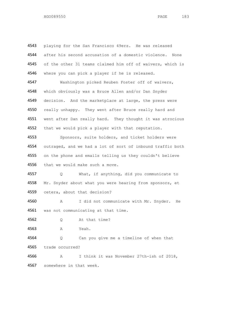4543 playing for the San Francisco 49ers. He was released 4544 after his second accusation of a domestic violence. None 4545 of the other 31 teams claimed him off of waivers, which is 4546 where you can pick a player if he is released. 4547 Washington picked Reuben Foster off of waivers, 4548 which obviously was a Bruce Allen and/or Dan Snyder 4549 decision. And the marketplace at large, the press were 4550 really unhappy. They went after Bruce really hard and 4551 went after Dan really hard. They thought it was atrocious 4552 that we would pick a player with that reputation. 4553 Sponsors, suite holders, and ticket holders were 4554 outraged, and we had a lot of sort of inbound traffic both 4555 on the phone and emails telling us they couldn't believe 4556 that we would make such a move. 4557 Q What, if anything, did you communicate to 4558 Mr. Snyder about what you were hearing from sponsors, et 4559 cetera, about that decision? 4560 A I did not communicate with Mr. Snyder. He 4561 was not communicating at that time. 4562 Q At that time? 4563 A Yeah. 4564 Q Can you give me a timeline of when that 4565 trade occurred? 4566 A I think it was November 27th-ish of 2018, 4567 somewhere in that week.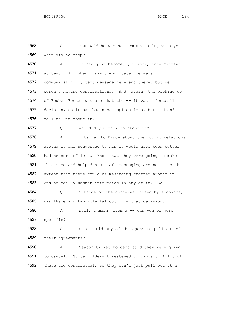4568 Q You said he was not communicating with you. 4569 When did he stop?

4570 A It had just become, you know, intermittent 4571 at best. And when I say communicate, we were 4572 communicating by text message here and there, but we 4573 weren't having conversations. And, again, the picking up 4574 of Reuben Foster was one that the -- it was a football 4575 decision, so it had business implications, but I didn't 4576 talk to Dan about it. 4577 Q Who did you talk to about it?

4578 A I talked to Bruce about the public relations 4579 around it and suggested to him it would have been better 4580 had he sort of let us know that they were going to make 4581 this move and helped him craft messaging around it to the 4582 extent that there could be messaging crafted around it. 4583 And he really wasn't interested in any of it. So --4584 Q Outside of the concerns raised by sponsors, 4585 was there any tangible fallout from that decision? 4586 A Well, I mean, from a -- can you be more

4587 specific?

4588 Q Sure. Did any of the sponsors pull out of 4589 their agreements?

4590 A Season ticket holders said they were going 4591 to cancel. Suite holders threatened to cancel. A lot of 4592 these are contractual, so they can't just pull out at a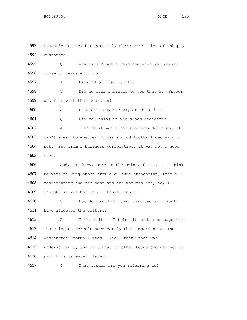moment's notice, but certainly there were a lot of unhappy customers. Q What was Bruce's response when you raised those concerns with him? A He kind of blew it off. 4598 Q Did he ever indicate to you that Mr. Snyder was fine with that decision? A He didn't say one way or the other. Q Did you think it was a bad decision? A I think it was a bad business decision. I can't speak to whether it was a good football decision or 4604 not. But from a business perspective, it was not a good move. 4606 And, you know, more to the point, from a -- I think we were talking about from a culture standpoint, from a -- 4608 representing the fan base and the marketplace, no, I thought it was bad on all those fronts. Q How do you think that that decision would have affected the culture? A I think it -- I think it sent a message that those issues weren't necessarily that important at The Washington Football Team. And I think that was underscored by the fact that 31 other teams decided not to pick this talented player. Q What issues are you referring to?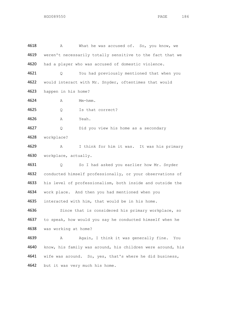4618 A What he was accused of. So, you know, we 4619 weren't necessarily totally sensitive to the fact that we had a player who was accused of domestic violence. Q You had previously mentioned that when you 4622 would interact with Mr. Snyder, oftentimes that would happen in his home? A Mm-hmm. Q Is that correct? A Yeah. Q Did you view his home as a secondary workplace? A I think for him it was. It was his primary workplace, actually. Q So I had asked you earlier how Mr. Snyder 4632 conducted himself professionally, or your observations of his level of professionalism, both inside and outside the work place. And then you had mentioned when you interacted with him, that would be in his home. 4636 Since that is considered his primary workplace, so to speak, how would you say he conducted himself when he was working at home? 4639 A Again, I think it was generally fine. You know, his family was around, his children were around, his wife was around. So, yes, that's where he did business, 4642 but it was very much his home.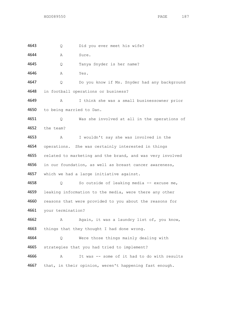Q Did you ever meet his wife?

A Sure.

Q Tanya Snyder is her name?

A Yes.

 Q Do you know if Ms. Snyder had any background in football operations or business?

 A I think she was a small businessowner prior to being married to Dan.

 Q Was she involved at all in the operations of the team?

 A I wouldn't say she was involved in the operations. She was certainly interested in things 4655 related to marketing and the brand, and was very involved in our foundation, as well as breast cancer awareness, which we had a large initiative against.

 Q So outside of leaking media -- excuse me, 4659 leaking information to the media, were there any other 4660 reasons that were provided to you about the reasons for your termination?

 A Again, it was a laundry list of, you know, 4663 things that they thought I had done wrong.

 Q Were those things mainly dealing with 4665 strategies that you had tried to implement?

 A It was -- some of it had to do with results 4667 that, in their opinion, weren't happening fast enough.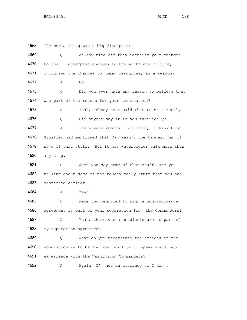The media thing was a big flashpoint.

| 4669 | Q.                       | At any time did they identify your changes                |
|------|--------------------------|-----------------------------------------------------------|
| 4670 |                          | to the -- attempted changes to the workplace culture,     |
| 4671 |                          | including the changes to human resources, as a reason?    |
| 4672 | Α                        | No.                                                       |
| 4673 | Q.                       | Did you ever have any reason to believe that              |
| 4674 |                          | was part of the reason for your termination?              |
| 4675 | Α                        | Yeah, nobody ever said that to me directly.               |
| 4676 | Q                        | Did anyone say it to you indirectly?                      |
| 4677 | Α                        | There were rumors. You know, I think Eric                 |
| 4678 |                          | Schaffer had mentioned that Dan wasn't the biggest fan of |
| 4679 |                          | some of that stuff. But it was watercooler talk more than |
| 4680 | anything.                |                                                           |
| 4681 | Q.                       | When you say some of that stuff, are you                  |
| 4682 |                          | talking about some of the touchy feely stuff that you had |
| 4683 | mentioned earlier?       |                                                           |
| 4684 | $\mathbb{A}$             | Yeah.                                                     |
| 4685 | Q.                       | Were you required to sign a nondisclosure                 |
| 4686 |                          | agreement as part of your separation from the Commanders? |
| 4687 | Α                        | Yeah, there was a nondisclosure as part of                |
| 4688 | my separation agreement. |                                                           |
| 4689 | 0                        | What do you understand the effects of the                 |
| 4690 |                          | nondisclosure to be and your ability to speak about your  |
| 4691 |                          | experience with the Washington Commanders?                |
|      |                          |                                                           |

A Again, I'm not an attorney so I don't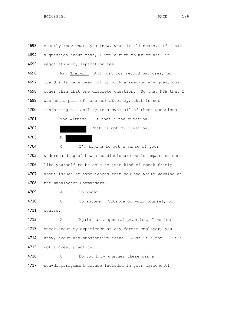4693 exactly know what, you know, what it all means. If I had 4694 a question about that, I would turn to my counsel in 4695 negotiating my separation fee. 4696 Mr. Sherwin. And just for record purposes, no 4697 guardrails have been put up with answering any questions 4698 other than that one discrete question. So that NDA that I 4699 was not a part of, another attorney, that is not 4700 inhibiting his ability to answer all of these questions. 4701 The Witness. If that's the question. 4702 That is not my question. 4703 BY 4704 Q I'm trying to get a sense of your 4705 understanding of how a nondisclosure would impact someone 4706 like yourself to be able to just kind of speak freely 4707 about issues or experiences that you had while working at 4708 the Washington Commanders. **4709** A To whom? 4710 Q To anyone. Outside of your counsel, of 4711 course. 4712 A Again, as a general practice, I wouldn't 4713 speak about my experience at any former employer, you 4714 know, about any substantive issue. Just it's not -- it's 4715 not a great practice. 4716 Q Do you know whether there was a 4717 non-disparagement clause included in your agreement?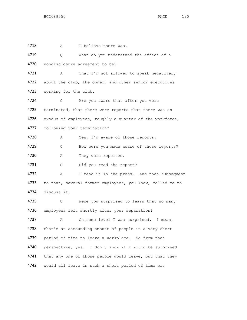4718 A I believe there was. 4719 Q What do you understand the effect of a 4720 nondisclosure agreement to be? 4721 A That I'm not allowed to speak negatively 4722 about the club, the owner, and other senior executives 4723 working for the club. 4724 Q Are you aware that after you were 4725 terminated, that there were reports that there was an 4726 exodus of employees, roughly a quarter of the workforce, 4727 following your termination? 4728 A Yes, I'm aware of those reports. 4729 Q How were you made aware of those reports? 4730 A They were reported. 4731 Q Did you read the report? 4732 A I read it in the press. And then subsequent 4733 to that, several former employees, you know, called me to 4734 discuss it. 4735 Q Were you surprised to learn that so many 4736 employees left shortly after your separation? 4737 A On some level I was surprised. I mean, 4738 that's an astounding amount of people in a very short 4739 period of time to leave a workplace. So from that 4740 perspective, yes. I don't know if I would be surprised 4741 that any one of those people would leave, but that they 4742 would all leave in such a short period of time was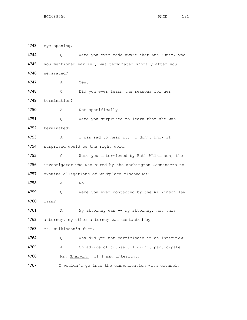eye-opening.

HGO089550 PAGE 191

4745 you mentioned earlier, was terminated shortly after you separated? A Yes. Q Did you ever learn the reasons for her termination? A Not specifically. 4751 Q Were you surprised to learn that she was terminated? A I was sad to hear it. I don't know if 4754 surprised would be the right word. Q Were you interviewed by Beth Wilkinson, the 4756 investigator who was hired by the Washington Commanders to examine allegations of workplace misconduct? A No. 4759 0 Were you ever contacted by the Wilkinson law firm? 4761 A My attorney was -- my attorney, not this 4762 attorney, my other attorney was contacted by Ms. Wilkinson's firm. Q Why did you not participate in an interview? A On advice of counsel, I didn't participate. 4766 Mr. Sherwin. If I may interrupt. I wouldn't go into the communication with counsel,

4744 Q Were you ever made aware that Ana Nunez, who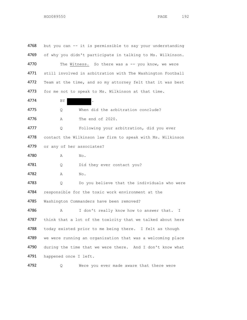4768 but you can -- it is permissible to say your understanding 4769 of why you didn't participate in talking to Ms. Wilkinson. 4770 The Witness. So there was a -- you know, we were 4771 still involved in arbitration with The Washington Football 4772 Team at the time, and so my attorney felt that it was best 4773 for me not to speak to Ms. Wilkinson at that time. 4774 BY BY 4775 Q When did the arbitration conclude? 4776 A The end of 2020. 4777 Q Following your arbitration, did you ever 4778 contact the Wilkinson law firm to speak with Ms. Wilkinson 4779 or any of her associates? 4780 A No. 4781 Q Did they ever contact you? 4782 A No. 4783 Q Do you believe that the individuals who were 4784 responsible for the toxic work environment at the 4785 Washington Commanders have been removed? 4786 A I don't really know how to answer that. I 4787 think that a lot of the toxicity that we talked about here 4788 today existed prior to me being there. I felt as though 4789 we were running an organization that was a welcoming place 4790 during the time that we were there. And I don't know what 4791 happened once I left.

4792 Q Were you ever made aware that there were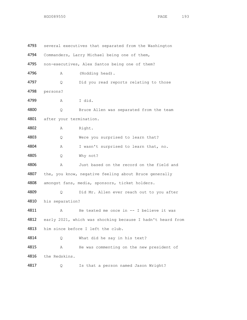| 4793 |                         | several executives that separated from the Washington      |
|------|-------------------------|------------------------------------------------------------|
| 4794 |                         | Commanders, Larry Michael being one of them,               |
| 4795 |                         | non-executives, Alex Santos being one of them?             |
| 4796 | Α                       | (Nodding head).                                            |
| 4797 | Q.                      | Did you read reports relating to those                     |
| 4798 | persons?                |                                                            |
| 4799 | Α                       | I did.                                                     |
| 4800 | Q                       | Bruce Allen was separated from the team                    |
| 4801 | after your termination. |                                                            |
| 4802 | Α                       | Right.                                                     |
| 4803 | Q.                      | Were you surprised to learn that?                          |
| 4804 | Α                       | I wasn't surprised to learn that, no.                      |
| 4805 | Q.                      | Why not?                                                   |
| 4806 | Α                       | Just based on the record on the field and                  |
| 4807 |                         | the, you know, negative feeling about Bruce generally      |
| 4808 |                         | amongst fans, media, sponsors, ticket holders.             |
| 4809 | Q                       | Did Mr. Allen ever reach out to you after                  |
| 4810 | his separation?         |                                                            |
| 4811 | Α                       | He texted me once in $--$ I believe it was                 |
| 4812 |                         | early 2021, which was shocking because I hadn't heard from |
| 4813 |                         | him since before I left the club.                          |
| 4814 | Q.                      | What did he say in his text?                               |
| 4815 | Α                       | He was commenting on the new president of                  |
| 4816 | the Redskins.           |                                                            |
| 4817 | Q.                      | Is that a person named Jason Wright?                       |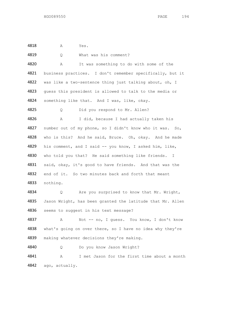A Yes.

| 4819 | What was his comment?<br>Q                                 |
|------|------------------------------------------------------------|
| 4820 | It was something to do with some of the<br>Α               |
| 4821 | business practices. I don't remember specifically, but it  |
| 4822 | was like a two-sentence thing just talking about, oh, I    |
| 4823 | guess this president is allowed to talk to the media or    |
| 4824 | something like that. And I was, like, okay.                |
| 4825 | Did you respond to Mr. Allen?<br>Q                         |
| 4826 | I did, because I had actually taken his<br>А               |
| 4827 | number out of my phone, so I didn't know who it was. So,   |
| 4828 | who is this? And he said, Bruce. Oh, okay. And he made     |
| 4829 | his comment, and I said -- you know, I asked him, like,    |
| 4830 | who told you that? He said something like friends. I       |
| 4831 | said, okay, it's good to have friends. And that was the    |
| 4832 | end of it. So two minutes back and forth that meant        |
| 4833 | nothing.                                                   |
| 4834 | Are you surprised to know that Mr. Wright,<br>Q.           |
| 4835 | Jason Wright, has been granted the latitude that Mr. Allen |
| 4836 | seems to suggest in his text message?                      |
| 4837 | Not -- no, I quess. You know, I don't know<br>Α            |
| 4838 | what's going on over there, so I have no idea why they're  |
| 4839 | making whatever decisions they're making.                  |
| 4840 | Do you know Jason Wright?<br>Q                             |
| 4841 | I met Jason for the first time about a month<br>Α          |
| 4842 | ago, actually.                                             |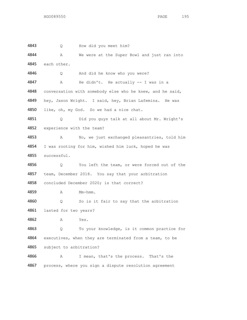Q How did you meet him? 4844 A We were at the Super Bowl and just ran into each other. Q And did he know who you were? A He didn't. He actually -- I was in a 4848 conversation with somebody else who he knew, and he said, hey, Jason Wright. I said, hey, Brian Lafemina. He was 4850 like, oh, my God. So we had a nice chat. Q Did you guys talk at all about Mr. Wright's experience with the team? A No, we just exchanged pleasantries, told him I was rooting for him, wished him luck, hoped he was successful. Q You left the team, or were forced out of the team, December 2018. You say that your arbitration concluded December 2020; is that correct? A Mm-hmm. Q So is it fair to say that the arbitration lasted for two years? A Yes. Q To your knowledge, is it common practice for 4864 executives, when they are terminated from a team, to be subject to arbitration? A I mean, that's the process. That's the 4867 process, where you sign a dispute resolution agreement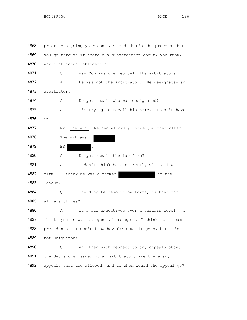4868 prior to signing your contract and that's the process that 4869 you go through if there's a disagreement about, you know, any contractual obligation. Q Was Commissioner Goodell the arbitrator? 4872 A He was not the arbitrator. He designates an arbitrator. Q Do you recall who was designated? A I'm trying to recall his name. I don't have it. 4877 Mr. Sherwin. We can always provide you that after. 4878 The Witness. 4879 BY Q Do you recall the law firm? A I don't think he's currently with a law 4882 firm. I think he was a former at the league. 4884 O The dispute resolution forms, is that for all executives? A It's all executives over a certain level. I think, you know, it's general managers, I think it's team presidents. I don't know how far down it goes, but it's not ubiquitous. Q And then with respect to any appeals about 4891 the decisions issued by an arbitrator, are there any appeals that are allowed, and to whom would the appeal go?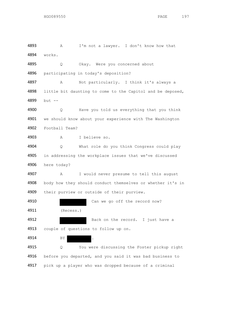A I'm not a lawyer. I don't know how that works. 4895 Q Okay. Were you concerned about participating in today's deposition? A Not particularly. I think it's always a 4898 little bit daunting to come to the Capitol and be deposed, but -- Q Have you told us everything that you think we should know about your experience with The Washington Football Team? A I believe so. Q What role do you think Congress could play 4905 in addressing the workplace issues that we've discussed here today? A I would never presume to tell this august 4908 body how they should conduct themselves or whether it's in their purview or outside of their purview. Can we go off the record now? (Recess.) 4912 Back on the record. I just have a couple of questions to follow up on. 4914 BY Q You were discussing the Foster pickup right 4916 before you departed, and you said it was bad business to

pick up a player who was dropped because of a criminal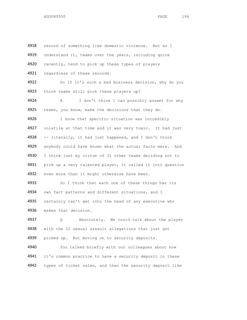4918 record of something like domestic violence. But as I 4919 understand it, teams over the years, including quite 4920 recently, tend to pick up these types of players 4921 regardless of these records. 4922 So if it's such a bad business decision, why do you 4923 think teams still pick these players up? 4924 A I don't think I can possibly answer for why 4925 teams, you know, make the decisions that they do. 4926 I know that specific situation was incredibly 4927 volatile at that time and it was very toxic. It had just 4928 -- literally, it had just happened, and I don't think 4929 anybody could have known what the actual facts were. And 4930 I think just by virtue of 31 other teams deciding not to 4931 pick up a very talented player, it called it into question 4932 even more than it might otherwise have been. 4933 So I think that each one of these things has its 4934 own fact patterns and different situations, and I 4935 certainly can't get into the head of any executive who 4936 makes that decision. 4937 Q Absolutely. We could talk about the player 4938 with the 22 sexual assault allegations that just got 4939 picked up. But moving on to security deposits. 4940 You talked briefly with our colleagues about how 4941 it's common practice to have a security deposit in these 4942 types of ticket sales, and then the security deposit like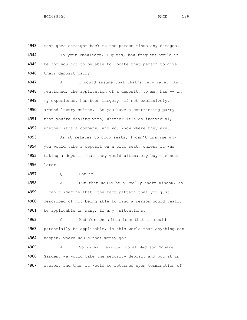4943 rent goes straight back to the person minus any damages. 4944 In your knowledge, I guess, how frequent would it 4945 be for you not to be able to locate that person to give 4946 their deposit back? 4947 A I would assume that that's very rare. As I 4948 mentioned, the application of a deposit, to me, has -- in 4949 my experience, has been largely, if not exclusively, 4950 around luxury suites. So you have a contracting party 4951 that you're dealing with, whether it's an individual, 4952 whether it's a company, and you know where they are. 4953 As it relates to club seats, I can't imagine why 4954 you would take a deposit on a club seat, unless it was 4955 taking a deposit that they would ultimately buy the seat 4956 later. 4957 Q Got it.

4958 A But that would be a really short window, so 4959 I can't imagine that, the fact pattern that you just 4960 described of not being able to find a person would really 4961 be applicable in many, if any, situations.

4962 Q And for the situations that it could 4963 potentially be applicable, in this world that anything can 4964 happen, where would that money go?

4965 A So in my previous job at Madison Square 4966 Garden, we would take the security deposit and put it in 4967 escrow, and then it would be returned upon termination of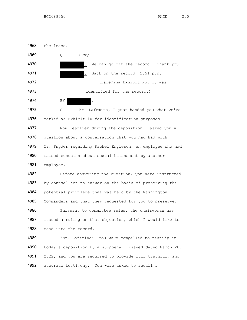

4978 question about a conversation that you had had with Mr. Snyder regarding Rachel Engleson, an employee who had raised concerns about sexual harassment by another employee.

 Before answering the question, you were instructed 4983 by counsel not to answer on the basis of preserving the potential privilege that was held by the Washington 4985 Commanders and that they requested for you to preserve. 4986 Pursuant to committee rules, the chairwoman has issued a ruling on that objection, which I would like to read into the record.

 "Mr. Lafemina: You were compelled to testify at today's deposition by a subpoena I issued dated March 28, 4991 2022, and you are required to provide full truthful, and accurate testimony. You were asked to recall a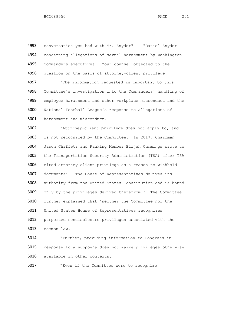4993 conversation you had with Mr. Snyder" -- "Daniel Snyder concerning allegations of sexual harassment by Washington Commanders executives. Your counsel objected to the 4996 question on the basis of attorney-client privilege. "The information requested is important to this Committee's investigation into the Commanders' handling of employee harassment and other workplace misconduct and the National Football League's response to allegations of harassment and misconduct.

 "Attorney-client privilege does not apply to, and is not recognized by the Committee. In 2017, Chairman Jason Chaffetz and Ranking Member Elijah Cummings wrote to the Transportation Security Administration (TSA) after TSA cited attorney-client privilege as a reason to withhold documents: 'The House of Representatives derives its authority from the United States Constitution and is bound only by the privileges derived therefrom.' The Committee further explained that 'neither the Committee nor the United States House of Representatives recognizes purported nondisclosure privileges associated with the common law.

 "Further, providing information to Congress in response to a subpoena does not waive privileges otherwise available in other contexts.

"Even if the Committee were to recognize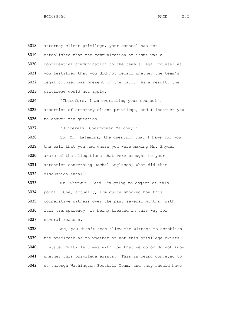attorney-client privilege, your counsel has not established that the communication at issue was a confidential communication to the team's legal counsel as you testified that you did not recall whether the team's legal counsel was present on the call. As a result, the privilege would not apply. "Therefore, I am overruling your counsel's assertion of attorney-client privilege, and I instruct you to answer the question. "Sincerely, Chairwoman Maloney." So, Mr. Lafemina, the question that I have for you, the call that you had where you were making Mr. Snyder aware of the allegations that were brought to your attention concerning Rachel Engleson, what did that discussion entail? Mr. Sherwin. And I'm going to object at this point. One, actually, I'm quite shocked how this cooperative witness over the past several months, with full transparency, is being treated in this way for several reasons. One, you didn't even allow the witness to establish the predicate as to whether or not this privilege exists. I stated multiple times with you that we do or do not know whether this privilege exists. This is being conveyed to us through Washington Football Team, and they should have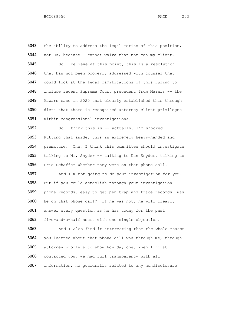the ability to address the legal merits of this position, not us, because I cannot waive that nor can my client. So I believe at this point, this is a resolution that has not been properly addressed with counsel that could look at the legal ramifications of this ruling to include recent Supreme Court precedent from Mazars -- the Mazars case in 2020 that clearly established this through dicta that there is recognized attorney-client privileges within congressional investigations. So I think this is -- actually, I'm shocked. Putting that aside, this is extremely heavy-handed and premature. One, I think this committee should investigate talking to Mr. Snyder -- talking to Dan Snyder, talking to Eric Schaffer whether they were on that phone call. And I'm not going to do your investigation for you. But if you could establish through your investigation phone records, easy to get pen trap and trace records, was he on that phone call? If he was not, he will clearly answer every question as he has today for the past five-and-a-half hours with one single objection. And I also find it interesting that the whole reason you learned about that phone call was through me, through attorney proffers to show how day one, when I first contacted you, we had full transparency with all information, no guardrails related to any nondisclosure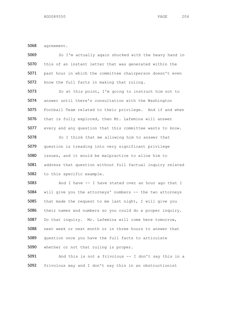agreement.

| 5069 | So I'm actually again shocked with the heavy hand in       |
|------|------------------------------------------------------------|
| 5070 | this of an instant letter that was generated within the    |
| 5071 | past hour in which the committee chairperson doesn't even  |
| 5072 | know the full facts in making that ruling.                 |
| 5073 | So at this point, I'm going to instruct him not to         |
| 5074 | answer until there's consultation with the Washington      |
| 5075 | Football Team related to their privilege. And if and when  |
| 5076 | that is fully explored, then Mr. Lafemina will answer      |
| 5077 | every and any question that this committee wants to know.  |
| 5078 | So I think that me allowing him to answer that             |
| 5079 | question is treading into very significant privilege       |
| 5080 | issues, and it would be malpractice to allow him to        |
| 5081 | address that question without full factual inquiry related |
| 5082 | to this specific example.                                  |
| 5083 | And I have -- I have stated over an hour ago that I        |
| 5084 | will give you the attorneys' numbers -- the two attorneys  |
| 5085 | that made the request to me last night, I will give you    |
| 5086 | their names and numbers so you could do a proper inquiry.  |
| 5087 | Do that inquiry. Mr. Lafemina will come here tomorrow,     |
| 5088 | next week or next month or in three hours to answer that   |
| 5089 | question once you have the full facts to articulate        |
| 5090 | whether or not that ruling is proper.                      |
| 5091 | And this is not a frivolous -- I don't say this in a       |

frivolous way and I don't say this in an obstructionist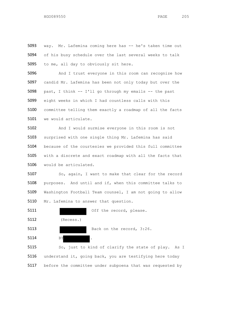way. Mr. Lafemina coming here has -- he's taken time out of his busy schedule over the last several weeks to talk 5095 to me, all day to obviously sit here.

 And I trust everyone in this room can recognize how candid Mr. Lafemina has been not only today but over the past, I think -- I'll go through my emails -- the past eight weeks in which I had countless calls with this committee telling them exactly a roadmap of all the facts we would articulate.

 And I would surmise everyone in this room is not surprised with one single thing Mr. Lafemina has said because of the courtesies we provided this full committee with a discrete and exact roadmap with all the facts that would be articulated.

5107 So, again, I want to make that clear for the record purposes. And until and if, when this committee talks to Washington Football Team counsel, I am not going to allow 5110 Mr. Lafemina to answer that question.

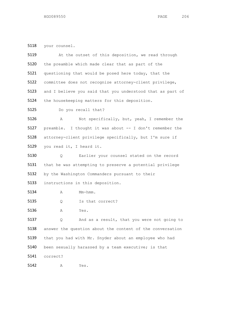your counsel.

| 5119 | At the outset of this deposition, we read through          |
|------|------------------------------------------------------------|
| 5120 | the preamble which made clear that as part of the          |
| 5121 | questioning that would be posed here today, that the       |
| 5122 | committee does not recognize attorney-client privilege,    |
| 5123 | and I believe you said that you understood that as part of |
| 5124 | the housekeeping matters for this deposition.              |
| 5125 | Do you recall that?                                        |
| 5126 | Not specifically, but, yeah, I remember the<br>Α           |
| 5127 | preamble. I thought it was about -- I don't remember the   |
| 5128 | attorney-client privilege specifically, but I'm sure if    |
| 5129 | you read it, I heard it.                                   |
| 5130 | Earlier your counsel stated on the record<br>Q.            |
| 5131 | that he was attempting to preserve a potential privilege   |
| 5132 | by the Washington Commanders pursuant to their             |
| 5133 | instructions in this deposition.                           |
| 5134 | Mm-hmm.<br>Α                                               |
| 5135 | Is that correct?<br>Q                                      |
| 5136 | Yes.<br>Α                                                  |
| 5137 | And as a result, that you were not going to<br>Q           |
| 5138 | answer the question about the content of the conversation  |
| 5139 | that you had with Mr. Snyder about an employee who had     |
| 5140 | been sexually harassed by a team executive; is that        |
| 5141 | correct?                                                   |
| 5142 | Yes.<br>Α                                                  |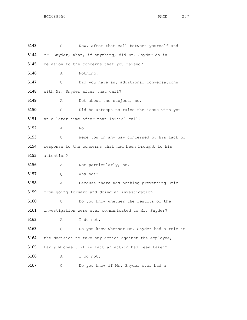| 5143 | Q          | Now, after that call between yourself and             |
|------|------------|-------------------------------------------------------|
| 5144 |            | Mr. Snyder, what, if anything, did Mr. Snyder do in   |
| 5145 |            | relation to the concerns that you raised?             |
| 5146 | Α          | Nothing.                                              |
| 5147 | Q.         | Did you have any additional conversations             |
| 5148 |            | with Mr. Snyder after that call?                      |
| 5149 | Α          | Not about the subject, no.                            |
| 5150 | Q.         | Did he attempt to raise the issue with you            |
| 5151 |            | at a later time after that initial call?              |
| 5152 | Α          | No.                                                   |
| 5153 | Q.         | Were you in any way concerned by his lack of          |
| 5154 |            | response to the concerns that had been brought to his |
| 5155 | attention? |                                                       |
| 5156 | Α          | Not particularly, no.                                 |
| 5157 | Q.         | Why not?                                              |
| 5158 | Α          | Because there was nothing preventing Eric             |
| 5159 |            | from going forward and doing an investigation.        |
| 5160 | Q.         | Do you know whether the results of the                |
| 5161 |            | investigation were ever communicated to Mr. Snyder?   |
| 5162 | Α          | I do not.                                             |
| 5163 | Q          | Do you know whether Mr. Snyder had a role in          |
| 5164 |            | the decision to take any action against the employee, |
| 5165 |            | Larry Michael, if in fact an action had been taken?   |
| 5166 | Α          | I do not.                                             |
| 5167 | Q          | Do you know if Mr. Snyder ever had a                  |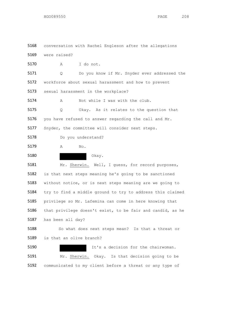conversation with Rachel Engleson after the allegations were raised? A I do not. Q Do you know if Mr. Snyder ever addressed the workforce about sexual harassment and how to prevent sexual harassment in the workplace? A Not while I was with the club. Q Okay. As it relates to the question that you have refused to answer regarding the call and Mr. 5177 Snyder, the committee will consider next steps. Do you understand? A No. Okay. Mr. Sherwin. Well, I guess, for record purposes, is that next steps meaning he's going to be sanctioned without notice, or is next steps meaning are we going to try to find a middle ground to try to address this claimed privilege so Mr. Lafemina can come in here knowing that that privilege doesn't exist, to be fair and candid, as he has been all day? 5188 So what does next steps mean? Is that a threat or is that an olive branch? It's a decision for the chairwoman. 5191 Mr. Sherwin. Okay. Is that decision going to be communicated to my client before a threat or any type of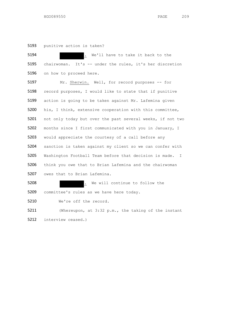punitive action is taken?

| 5194 | . We'll have to take it back to the                         |
|------|-------------------------------------------------------------|
| 5195 | chairwoman. It's -- under the rules, it's her discretion    |
| 5196 | on how to proceed here.                                     |
| 5197 | Mr. Sherwin. Well, for record purposes -- for               |
| 5198 | record purposes, I would like to state that if punitive     |
| 5199 | action is going to be taken against Mr. Lafemina given      |
| 5200 | his, I think, extensive cooperation with this committee,    |
| 5201 | not only today but over the past several weeks, if not two  |
| 5202 | months since I first communicated with you in January, I    |
| 5203 | would appreciate the courtesy of a call before any          |
| 5204 | sanction is taken against my client so we can confer with   |
| 5205 | Washington Football Team before that decision is made.<br>I |
| 5206 | think you owe that to Brian Lafemina and the chairwoman     |
| 5207 | owes that to Brian Lafemina.                                |
| 5208 | . We will continue to follow the                            |
| 5209 | committee's rules as we have here today.                    |
| 5210 | We're off the record.                                       |
| 5211 | (Whereupon, at 3:32 p.m., the taking of the instant         |
| 5212 | interview ceased.)                                          |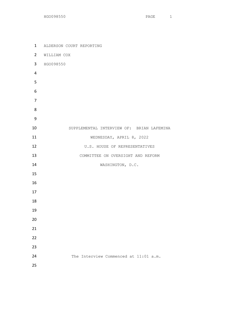| $\mathbf{1}$   | ALDERSON COURT REPORTING                  |
|----------------|-------------------------------------------|
| $\overline{2}$ | WILLIAM COX                               |
| 3              | HGO098550                                 |
| 4              |                                           |
| 5              |                                           |
| 6              |                                           |
| $\overline{7}$ |                                           |
| 8              |                                           |
| 9              |                                           |
| 10             | SUPPLEMENTAL INTERVIEW OF: BRIAN LAFEMINA |
| 11             | WEDNESDAY, APRIL 8, 2022                  |
| 12             | U.S. HOUSE OF REPRESENTATIVES             |
| 13             | COMMITTEE ON OVERSIGHT AND REFORM         |
| 14             | WASHINGTON, D.C.                          |
| 15             |                                           |
| 16             |                                           |
| 17             |                                           |
| 18             |                                           |
| 19             |                                           |
| 20             |                                           |
| 21             |                                           |
| 22             |                                           |
| 23             |                                           |
| 24             | The Interview Commenced at 11:01 a.m.     |
| 25             |                                           |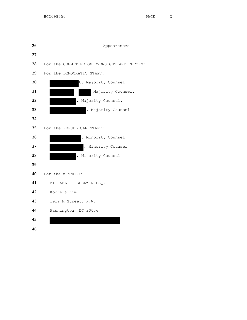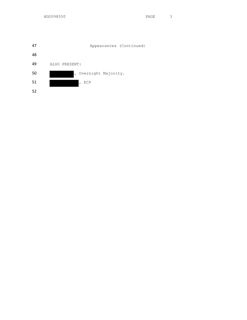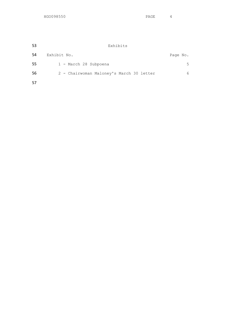| -53 | Exhibits                                 |          |
|-----|------------------------------------------|----------|
| 54  | Exhibit No.                              | Page No. |
| -55 | 1 - March 28 Subpoena                    | 5.       |
| -56 | 2 - Chairwoman Maloney's March 30 letter | 6        |
| -57 |                                          |          |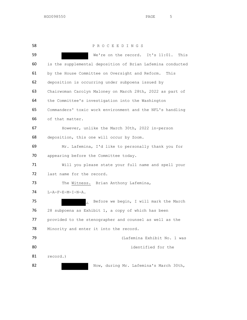P R O C E E D I N G S We're on the record. It's 11:01. This is the supplemental deposition of Brian Lafemina conducted by the House Committee on Oversight and Reform. This deposition is occurring under subpoena issued by Chairwoman Carolyn Maloney on March 28th, 2022 as part of the Committee's investigation into the Washington Commanders' toxic work environment and the NFL's handling of that matter. However, unlike the March 30th, 2022 in-person deposition, this one will occur by Zoom. Mr. Lafemina, I'd like to personally thank you for 70 appearing before the Committee today. Will you please state your full name and spell your 72 last name for the record. 73 The Witness. Brian Anthony Lafemina, L-A-F-E-M-I-N-A. **.** Before we begin, I will mark the March 28 subpoena as Exhibit 1, a copy of which has been 77 provided to the stenographer and counsel as well as the 78 Minority and enter it into the record. (Lafemina Exhibit No. 1 was 80 identified for the record.) 82 Now, during Mr. Lafemina's March 30th,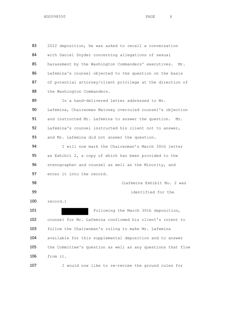83 2022 deposition, he was asked to recall a conversation 84 with Daniel Snyder concerning allegations of sexual 85 harassment by the Washington Commanders' executives. Mr. 86 Lafemina's counsel objected to the question on the basis 87 of potential attorney/client privilege at the direction of 88 the Washington Commanders. 89 In a hand-delivered letter addressed to Mr. 90 Lafemina, Chairwoman Maloney overruled counsel's objection 91 and instructed Mr. Lafemina to answer the question. Mr. 92 Lafemina's counsel instructed his client not to answer, 93 and Mr. Lafemina did not answer the question. 94 I will now mark the Chairwoman's March 30th letter 95 as Exhibit 2, a copy of which has been provided to the 96 stenographer and counsel as well as the Minority, and 97 enter it into the record. 98 (Lafemina Exhibit No. 2 was 99 identified for the 100 record.) 101 **Following the March 30th deposition,** 102 counsel for Mr. Lafemina confirmed his client's intent to 103 follow the Chairwoman's ruling to make Mr. Lafemina 104 available for this supplemental deposition and to answer 105 the Committee's question as well as any questions that flow 106 from it.

107 I would now like to re-review the ground rules for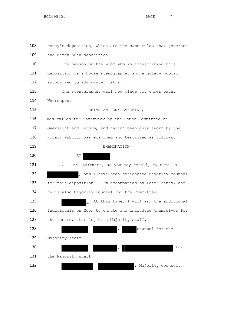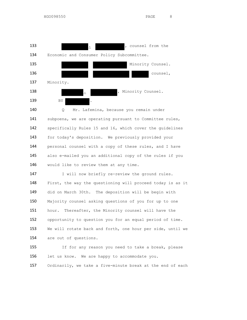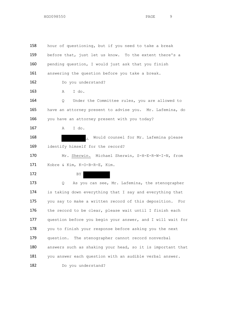158 hour of questioning, but if you need to take a break 159 before that, just let us know. To the extent there's a 160 pending question, I would just ask that you finish 161 answering the question before you take a break. 162 Do you understand? 163 A I do. 164 O Under the Committee rules, you are allowed to 165 have an attorney present to advise you. Mr. Lafemina, do 166 you have an attorney present with you today? 167 A I do. 168 . Would counsel for Mr. Lafemina please 169 identify himself for the record? 170 Mr. Sherwin. Michael Sherwin, S-H-E-R-W-I-N, from 171 Kobre & Kim, K-O-B-R-E, Kim. 172 BY 173 Q As you can see, Mr. Lafemina, the stenographer 174 is taking down everything that I say and everything that 175 you say to make a written record of this deposition. For 176 the record to be clear, please wait until I finish each 177 question before you begin your answer, and I will wait for 178 you to finish your response before asking you the next 179 question. The stenographer cannot record nonverbal 180 answers such as shaking your head, so it is important that 181 you answer each question with an audible verbal answer. 182 Do you understand?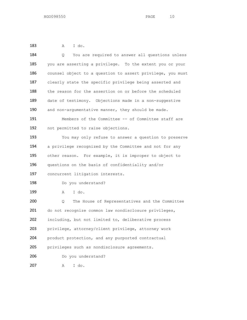A I do.

| 184 | You are required to answer all questions unless<br>Q.      |
|-----|------------------------------------------------------------|
| 185 | you are asserting a privilege. To the extent you or your   |
| 186 | counsel object to a question to assert privilege, you must |
| 187 | clearly state the specific privilege being asserted and    |
| 188 | the reason for the assertion on or before the scheduled    |
| 189 | date of testimony. Objections made in a non-suggestive     |
| 190 | and non-argumentative manner, they should be made.         |
| 191 | Members of the Committee -- of Committee staff are         |
| 192 | not permitted to raise objections.                         |
| 193 | You may only refuse to answer a question to preserve       |
| 194 | a privilege recognized by the Committee and not for any    |
| 195 | other reason. For example, it is improper to object to     |
| 196 | questions on the basis of confidentiality and/or           |
| 197 | concurrent litigation interests.                           |
| 198 | Do you understand?                                         |
| 199 | I do.<br>Α                                                 |
| 200 | The House of Representatives and the Committee<br>Q        |
| 201 | do not recognize common law nondisclosure privileges,      |
| 202 | including, but not limited to, deliberative process        |
| 203 | privilege, attorney/client privilege, attorney work        |
| 204 | product protection, and any purported contractual          |
| 205 | privileges such as nondisclosure agreements.               |
| 206 | Do you understand?                                         |
| 207 | I do.<br>Α                                                 |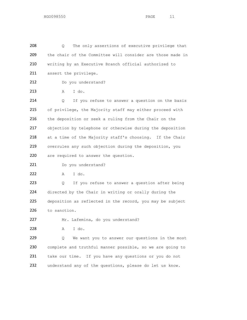208 Q The only assertions of executive privilege that 209 the chair of the Committee will consider are those made in 210 writing by an Executive Branch official authorized to 211 assert the privilege. 212 Do you understand? 213 A I do. 214 Q If you refuse to answer a question on the basis 215 of privilege, the Majority staff may either proceed with 216 the deposition or seek a ruling from the Chair on the 217 objection by telephone or otherwise during the deposition 218 at a time of the Majority staff's choosing. If the Chair 219 overrules any such objection during the deposition, you 220 are required to answer the question. 221 Do you understand? 222 A I do. 223 Q If you refuse to answer a question after being 224 directed by the Chair in writing or orally during the 225 deposition as reflected in the record, you may be subject 226 to sanction. 227 Mr. Lafemina, do you understand? 228 A I do. 229 Q We want you to answer our questions in the most 230 complete and truthful manner possible, so we are going to 231 take our time. If you have any questions or you do not 232 understand any of the questions, please do let us know.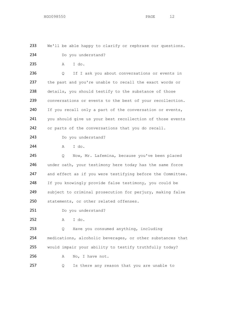233 We'll be able happy to clarify or rephrase our questions.

234 Do you understand?

235 A I do.

236 Q If I ask you about conversations or events in 237 the past and you're unable to recall the exact words or 238 details, you should testify to the substance of those 239 conversations or events to the best of your recollection. 240 If you recall only a part of the conversation or events, 241 you should give us your best recollection of those events 242 or parts of the conversations that you do recall.

243 Do you understand?

244 A I do.

245 Q Now, Mr. Lafemina, because you've been placed 246 under oath, your testimony here today has the same force 247 and effect as if you were testifying before the Committee. 248 If you knowingly provide false testimony, you could be 249 subject to criminal prosecution for perjury, making false 250 statements, or other related offenses.

251 Do you understand?

252 A I do.

 Q Have you consumed anything, including medications, alcoholic beverages, or other substances that would impair your ability to testify truthfully today? 256 A No, I have not.

257 Q Is there any reason that you are unable to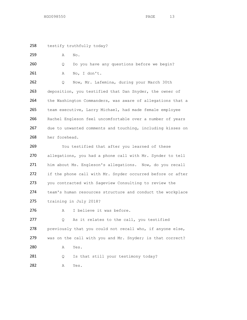258 testify truthfully today?

259 A No.

260 Q Do you have any questions before we begin? 261 A No, I don't.

262 Q Now, Mr. Lafemina, during your March 30th 263 deposition, you testified that Dan Snyder, the owner of 264 the Washington Commanders, was aware of allegations that a 265 team executive, Larry Michael, had made female employee 266 Rachel Engleson feel uncomfortable over a number of years 267 due to unwanted comments and touching, including kisses on 268 her forehead.

269 You testified that after you learned of these allegations, you had a phone call with Mr. Synder to tell him about Ms. Engleson's allegations. Now, do you recall 272 if the phone call with Mr. Snyder occurred before or after you contracted with Sageview Consulting to review the team's human resources structure and conduct the workplace training in July 2018?

276 A I believe it was before.

277 Q As it relates to the call, you testified 278 previously that you could not recall who, if anyone else, 279 was on the call with you and Mr. Snyder; is that correct? 280 A Yes. 281 Q Is that still your testimony today?

282 A Yes.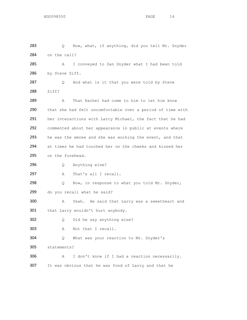283 Q Now, what, if anything, did you tell Mr. Snyder 284 on the call? A I conveyed to Dan Snyder what I had been told 286 by Steve Ziff. 287 Q And what is it that you were told by Steve Ziff? A That Rachel had come to him to let him know that she had felt uncomfortable over a period of time with her interactions with Larry Michael, the fact that he had commented about her appearance in public at events where he was the emcee and she was working the event, and that at times he had touched her on the cheeks and kissed her 295 on the forehead. Q Anything else? 297 A That's all I recall. 298 Q Now, in response to what you told Mr. Snyder, do you recall what he said? A Yeah. He said that Larry was a sweetheart and 301 that Larry wouldn't hurt anybody. Q Did he say anything else? A Not that I recall. Q What was your reaction to Mr. Snyder's statements? A I don't know if I had a reaction necessarily. It was obvious that he was fond of Larry and that he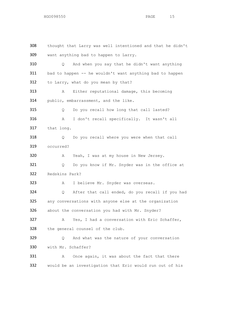thought that Larry was well intentioned and that he didn't want anything bad to happen to Larry. Q And when you say that he didn't want anything bad to happen -- he wouldn't want anything bad to happen 312 to Larry, what do you mean by that? A Either reputational damage, this becoming 314 public, embarrassment, and the like. Q Do you recall how long that call lasted? A I don't recall specifically. It wasn't all that long. Q Do you recall where you were when that call occurred? A Yeah, I was at my house in New Jersey. Q Do you know if Mr. Snyder was in the office at Redskins Park? A I believe Mr. Snyder was overseas. Q After that call ended, do you recall if you had any conversations with anyone else at the organization about the conversation you had with Mr. Snyder? A Yes, I had a conversation with Eric Schaffer, the general counsel of the club. 329 Q And what was the nature of your conversation with Mr. Schaffer? 331 A Once again, it was about the fact that there would be an investigation that Eric would run out of his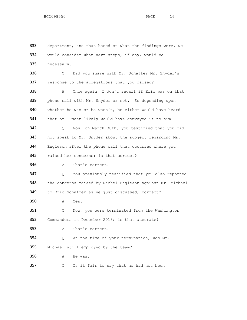department, and that based on what the findings were, we would consider what next steps, if any, would be necessary. Q Did you share with Mr. Schaffer Mr. Snyder's 337 response to the allegations that you raised? 338 A Once again, I don't recall if Eric was on that phone call with Mr. Snyder or not. So depending upon whether he was or he wasn't, he either would have heard 341 that or I most likely would have conveyed it to him. Q Now, on March 30th, you testified that you did not speak to Mr. Snyder about the subject regarding Ms. Engleson after the phone call that occurred where you raised her concerns; is that correct? A That's correct. Q You previously testified that you also reported the concerns raised by Rachel Engleson against Mr. Michael to Eric Schaffer as we just discussed; correct? A Yes. Q Now, you were terminated from the Washington Commanders in December 2018; is that accurate? A That's correct. Q At the time of your termination, was Mr. Michael still employed by the team? A He was. 357 Q Is it fair to say that he had not been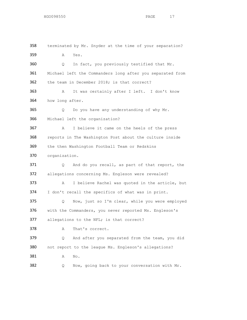terminated by Mr. Snyder at the time of your separation? A Yes. Q In fact, you previously testified that Mr. Michael left the Commanders long after you separated from the team in December 2018; is that correct? A It was certainly after I left. I don't know how long after. Q Do you have any understanding of why Mr. Michael left the organization? A I believe it came on the heels of the press reports in The Washington Post about the culture inside the then Washington Football Team or Redskins organization. Q And do you recall, as part of that report, the allegations concerning Ms. Engleson were revealed? A I believe Rachel was quoted in the article, but I don't recall the specifics of what was in print. Q Now, just so I'm clear, while you were employed with the Commanders, you never reported Ms. Engleson's 377 allegations to the NFL; is that correct? 378 A That's correct. Q And after you separated from the team, you did not report to the league Ms. Engleson's allegations? 381 A No. Q Now, going back to your conversation with Mr.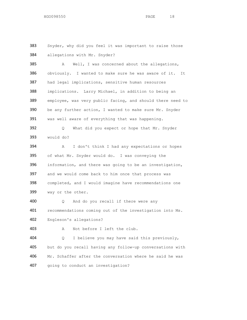383 Snyder, why did you feel it was important to raise those allegations with Mr. Snyder?

385 A Well, I was concerned about the allegations, obviously. I wanted to make sure he was aware of it. It had legal implications, sensitive human resources implications. Larry Michael, in addition to being an employee, was very public facing, and should there need to be any further action, I wanted to make sure Mr. Snyder was well aware of everything that was happening. Q What did you expect or hope that Mr. Snyder would do? A I don't think I had any expectations or hopes of what Mr. Snyder would do. I was conveying the information, and there was going to be an investigation, and we would come back to him once that process was completed, and I would imagine have recommendations one way or the other.

 Q And do you recall if there were any recommendations coming out of the investigation into Ms. Engleson's allegations?

```
403 A Not before I left the club.
```
 Q I believe you may have said this previously, but do you recall having any follow-up conversations with 406 Mr. Schaffer after the conversation where he said he was going to conduct an investigation?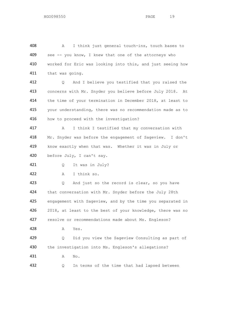A I think just general touch-ins, touch bases to 409 see -- you know, I knew that one of the attorneys who worked for Eric was looking into this, and just seeing how that was going. Q And I believe you testified that you raised the concerns with Mr. Snyder you believe before July 2018. At the time of your termination in December 2018, at least to your understanding, there was no recommendation made as to 416 how to proceed with the investigation? A I think I testified that my conversation with Mr. Snyder was before the engagement of Sageview. I don't know exactly when that was. Whether it was in July or before July, I can't say. Q It was in July? A I think so. 423 Q And just so the record is clear, so you have 424 that conversation with Mr. Snyder before the July 28th engagement with Sageview, and by the time you separated in 426 2018, at least to the best of your knowledge, there was no 427 resolve or recommendations made about Ms. Engleson? A Yes. Q Did you view the Sageview Consulting as part of 430 the investigation into Ms. Engleson's allegations? A No. Q In terms of the time that had lapsed between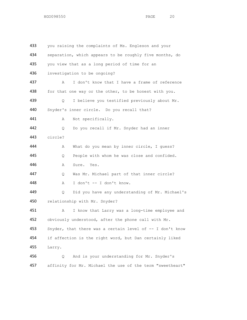| 433 | you raising the complaints of Ms. Engleson and your       |  |  |
|-----|-----------------------------------------------------------|--|--|
| 434 | separation, which appears to be roughly five months, do   |  |  |
| 435 | you view that as a long period of time for an             |  |  |
| 436 | investigation to be ongoing?                              |  |  |
| 437 | I don't know that I have a frame of reference<br>Α        |  |  |
| 438 | for that one way or the other, to be honest with you.     |  |  |
| 439 | I believe you testified previously about Mr.<br>Q         |  |  |
| 440 | Snyder's inner circle. Do you recall that?                |  |  |
| 441 | Not specifically.<br>Α                                    |  |  |
| 442 | Do you recall if Mr. Snyder had an inner<br>Q             |  |  |
| 443 | circle?                                                   |  |  |
| 444 | What do you mean by inner circle, I guess?<br>Α           |  |  |
| 445 | People with whom he was close and confided.<br>Q          |  |  |
| 446 | Sure. Yes.<br>Α                                           |  |  |
| 447 | Was Mr. Michael part of that inner circle?<br>Q.          |  |  |
| 448 | I don't -- I don't know.<br>Α                             |  |  |
| 449 | Did you have any understanding of Mr. Michael's<br>Q      |  |  |
| 450 | relationship with Mr. Snyder?                             |  |  |
| 451 | I know that Larry was a long-time employee and<br>Α       |  |  |
| 452 | obviously understood, after the phone call with Mr.       |  |  |
| 453 | Snyder, that there was a certain level of -- I don't know |  |  |
| 454 | if affection is the right word, but Dan certainly liked   |  |  |
| 455 | Larry.                                                    |  |  |
| 456 | And is your understanding for Mr. Snyder's<br>Q.          |  |  |
| 457 | affinity for Mr. Michael the use of the term "sweetheart" |  |  |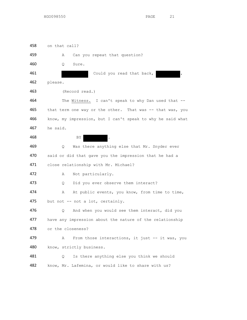458 on that call?

459 A Can you repeat that question? 460 Q Sure. 461 Could you read that back, 462 please. 463 (Record read.) 464 The Witness. I can't speak to why Dan used that -- 465 that term one way or the other. That was -- that was, you 466 know, my impression, but I can't speak to why he said what 467 he said. 468 BY BY 469 Q Was there anything else that Mr. Snyder ever 470 said or did that gave you the impression that he had a 471 close relationship with Mr. Michael? 472 A Not particularly. 473 Q Did you ever observe them interact? 474 A At public events, you know, from time to time, 475 but not -- not a lot, certainly. 476 Q And when you would see them interact, did you 477 have any impression about the nature of the relationship 478 or the closeness? 479 A From those interactions, it just -- it was, you 480 know, strictly business. 481 Q Is there anything else you think we should 482 know, Mr. Lafemina, or would like to share with us?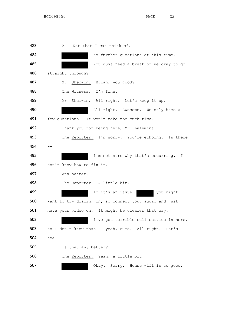483 A Not that I can think of. No further questions at this time. You guys need a break or we okay to go straight through? Mr. Sherwin. Brian, you good? The Witness. I'm fine. Mr. Sherwin. All right. Let's keep it up. 490 All right. Awesome. We only have a 491 few questions. It won't take too much time. Thank you for being here, Mr. Lafemina. 493 The Reporter. I'm sorry. You're echoing. Is there -- I'm not sure why that's occurring. I don't know how to fix it. 497 Any better? The Reporter. A little bit. 499 If it's an issue, you might want to try dialing in, so connect your audio and just have your video on. It might be clearer that way. I've got terrible cell service in here, 503 so I don't know that -- yeah, sure. All right. Let's see. Is that any better? 506 The Reporter. Yeah, a little bit. Okay. Sorry. House wifi is so good.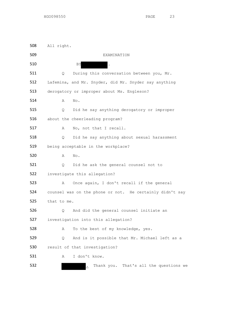All right. EXAMINATION BY Q During this conversation between you, Mr. Lafemina, and Mr. Snyder, did Mr. Snyder say anything derogatory or improper about Ms. Engleson? A No. Q Did he say anything derogatory or improper about the cheerleading program? 517 A No, not that I recall. Q Did he say anything about sexual harassment being acceptable in the workplace? A No. Q Did he ask the general counsel not to investigate this allegation? A Once again, I don't recall if the general counsel was on the phone or not. He certainly didn't say that to me. Q And did the general counsel initiate an investigation into this allegation? A To the best of my knowledge, yes. Q And is it possible that Mr. Michael left as a result of that investigation? A I don't know. 532 . Thank you. That's all the questions we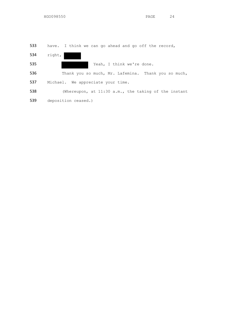